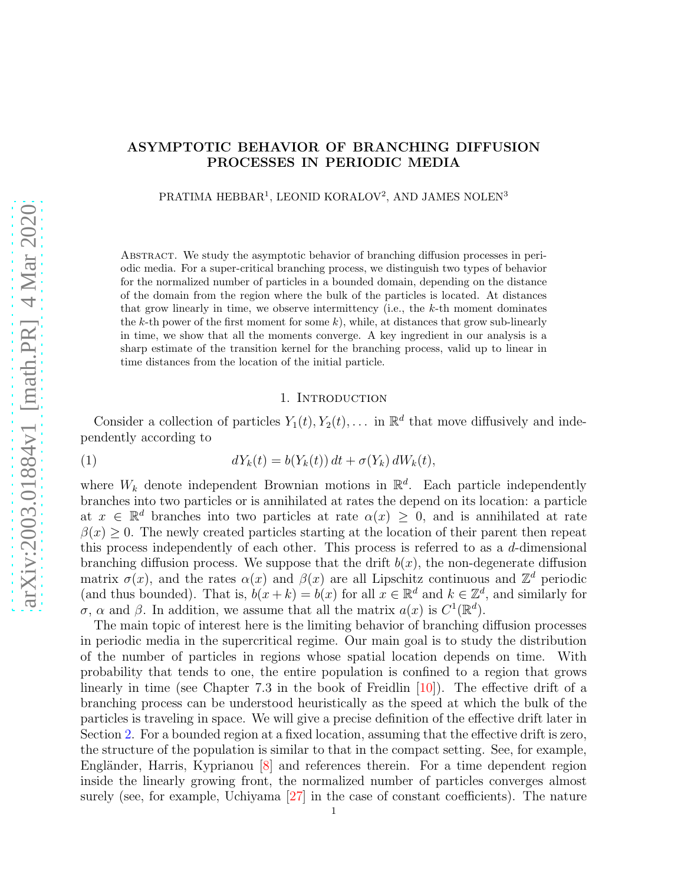# ASYMPTOTIC BEHAVIOR OF BRANCHING DIFFUSION PROCESSES IN PERIODIC MEDIA

PRATIMA HEBBAR<sup>1</sup>, LEONID KORALOV<sup>2</sup>, AND JAMES NOLEN<sup>3</sup>

Abstract. We study the asymptotic behavior of branching diffusion processes in periodic media. For a super-critical branching process, we distinguish two types of behavior for the normalized number of particles in a bounded domain, depending on the distance of the domain from the region where the bulk of the particles is located. At distances that grow linearly in time, we observe intermittency (i.e., the k-th moment dominates the  $k$ -th power of the first moment for some  $k$ ), while, at distances that grow sub-linearly in time, we show that all the moments converge. A key ingredient in our analysis is a sharp estimate of the transition kernel for the branching process, valid up to linear in time distances from the location of the initial particle.

## 1. INTRODUCTION

Consider a collection of particles  $Y_1(t), Y_2(t), \ldots$  in  $\mathbb{R}^d$  that move diffusively and independently according to

<span id="page-0-0"></span>(1) 
$$
dY_k(t) = b(Y_k(t)) dt + \sigma(Y_k) dW_k(t),
$$

where  $W_k$  denote independent Brownian motions in  $\mathbb{R}^d$ . Each particle independently branches into two particles or is annihilated at rates the depend on its location: a particle at  $x \in \mathbb{R}^d$  branches into two particles at rate  $\alpha(x) \geq 0$ , and is annihilated at rate  $\beta(x) \geq 0$ . The newly created particles starting at the location of their parent then repeat this process independently of each other. This process is referred to as a  $d$ -dimensional branching diffusion process. We suppose that the drift  $b(x)$ , the non-degenerate diffusion matrix  $\sigma(x)$ , and the rates  $\alpha(x)$  and  $\beta(x)$  are all Lipschitz continuous and  $\mathbb{Z}^d$  periodic (and thus bounded). That is,  $b(x + k) = b(x)$  for all  $x \in \mathbb{R}^d$  and  $k \in \mathbb{Z}^d$ , and similarly for σ, α and β. In addition, we assume that all the matrix  $a(x)$  is  $C^1(\mathbb{R}^d)$ .

The main topic of interest here is the limiting behavior of branching diffusion processes in periodic media in the supercritical regime. Our main goal is to study the distribution of the number of particles in regions whose spatial location depends on time. With probability that tends to one, the entire population is confined to a region that grows linearly in time (see Chapter 7.3 in the book of Freidlin [\[10\]](#page-42-0)). The effective drift of a branching process can be understood heuristically as the speed at which the bulk of the particles is traveling in space. We will give a precise definition of the effective drift later in Section [2.](#page-2-0) For a bounded region at a fixed location, assuming that the effective drift is zero, the structure of the population is similar to that in the compact setting. See, for example, Engländer, Harris, Kyprianou  $\vert 8 \vert$  and references therein. For a time dependent region inside the linearly growing front, the normalized number of particles converges almost surely (see, for example, Uchiyama [\[27\]](#page-43-0) in the case of constant coefficients). The nature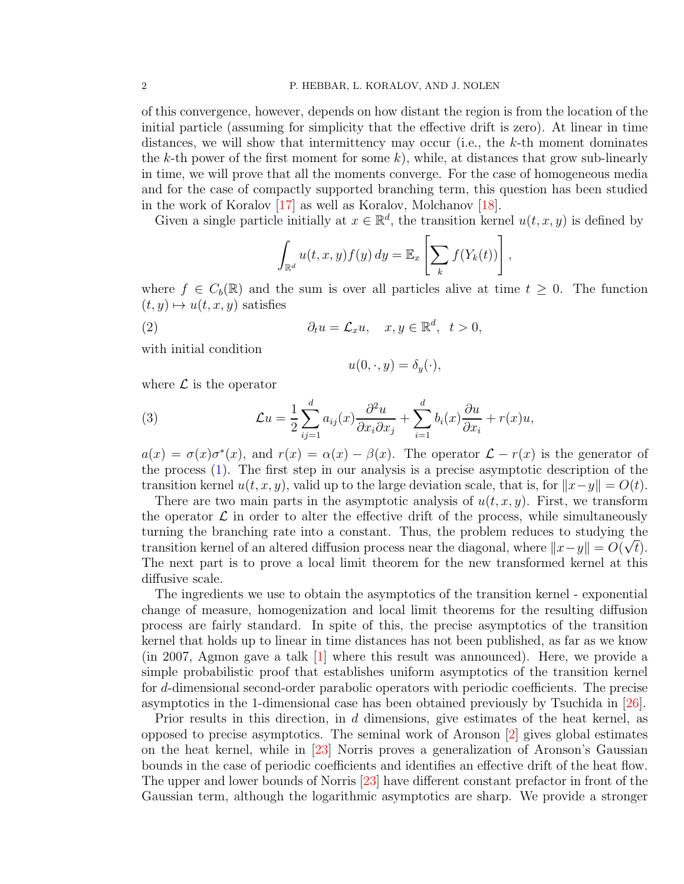of this convergence, however, depends on how distant the region is from the location of the initial particle (assuming for simplicity that the effective drift is zero). At linear in time distances, we will show that intermittency may occur (i.e., the  $k$ -th moment dominates the k-th power of the first moment for some  $k$ ), while, at distances that grow sub-linearly in time, we will prove that all the moments converge. For the case of homogeneous media and for the case of compactly supported branching term, this question has been studied in the work of Koralov [\[17\]](#page-42-2) as well as Koralov, Molchanov [\[18\]](#page-43-1).

Given a single particle initially at  $x \in \mathbb{R}^d$ , the transition kernel  $u(t, x, y)$  is defined by

$$
\int_{\mathbb{R}^d} u(t, x, y) f(y) dy = \mathbb{E}_x \left[ \sum_k f(Y_k(t)) \right],
$$

where  $f \in C_b(\mathbb{R})$  and the sum is over all particles alive at time  $t \geq 0$ . The function  $(t, y) \mapsto u(t, x, y)$  satisfies

(2) 
$$
\partial_t u = \mathcal{L}_x u, \quad x, y \in \mathbb{R}^d, \quad t > 0,
$$

with initial condition

<span id="page-1-1"></span><span id="page-1-0"></span>
$$
u(0,\cdot,y)=\delta_y(\cdot),
$$

where  $\mathcal L$  is the operator

(3) 
$$
\mathcal{L}u = \frac{1}{2} \sum_{ij=1}^{d} a_{ij}(x) \frac{\partial^2 u}{\partial x_i \partial x_j} + \sum_{i=1}^{d} b_i(x) \frac{\partial u}{\partial x_i} + r(x)u,
$$

 $a(x) = \sigma(x)\sigma^*(x)$ , and  $r(x) = \alpha(x) - \beta(x)$ . The operator  $\mathcal{L} - r(x)$  is the generator of the process [\(1\)](#page-0-0). The first step in our analysis is a precise asymptotic description of the transition kernel  $u(t, x, y)$ , valid up to the large deviation scale, that is, for  $||x-y|| = O(t)$ .

There are two main parts in the asymptotic analysis of  $u(t, x, y)$ . First, we transform the operator  $\mathcal L$  in order to alter the effective drift of the process, while simultaneously turning the branching rate into a constant. Thus, the problem reduces to studying the transition kernel of an altered diffusion process near the diagonal, where  $||x - y|| = O(\sqrt{t})$ . The next part is to prove a local limit theorem for the new transformed kernel at this diffusive scale.

The ingredients we use to obtain the asymptotics of the transition kernel - exponential change of measure, homogenization and local limit theorems for the resulting diffusion process are fairly standard. In spite of this, the precise asymptotics of the transition kernel that holds up to linear in time distances has not been published, as far as we know (in 2007, Agmon gave a talk [\[1\]](#page-42-3) where this result was announced). Here, we provide a simple probabilistic proof that establishes uniform asymptotics of the transition kernel for d-dimensional second-order parabolic operators with periodic coefficients. The precise asymptotics in the 1-dimensional case has been obtained previously by Tsuchida in [\[26\]](#page-43-2).

Prior results in this direction, in d dimensions, give estimates of the heat kernel, as opposed to precise asymptotics. The seminal work of Aronson [\[2\]](#page-42-4) gives global estimates on the heat kernel, while in [\[23\]](#page-43-3) Norris proves a generalization of Aronson's Gaussian bounds in the case of periodic coefficients and identifies an effective drift of the heat flow. The upper and lower bounds of Norris [\[23\]](#page-43-3) have different constant prefactor in front of the Gaussian term, although the logarithmic asymptotics are sharp. We provide a stronger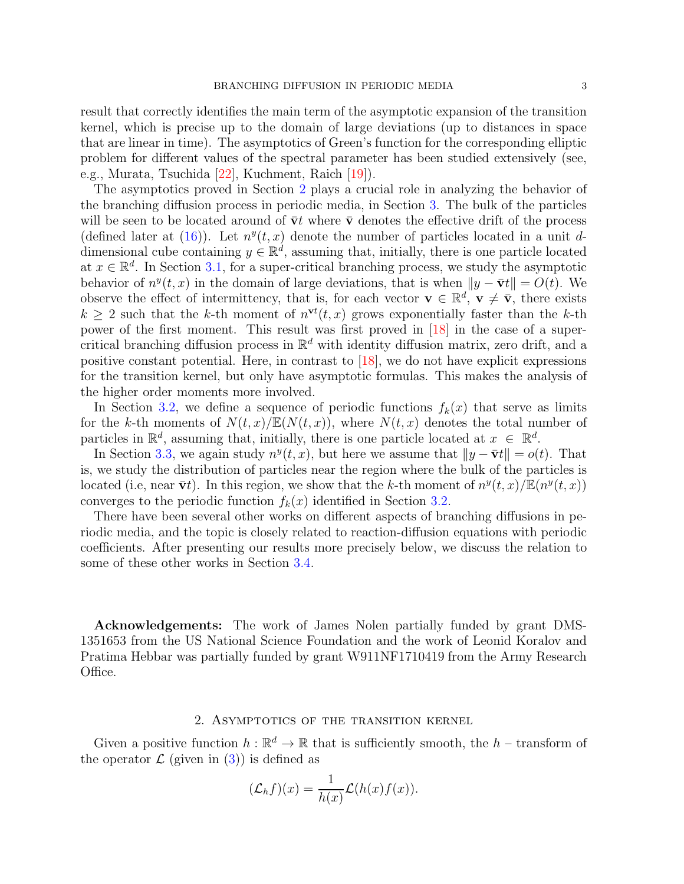result that correctly identifies the main term of the asymptotic expansion of the transition kernel, which is precise up to the domain of large deviations (up to distances in space that are linear in time). The asymptotics of Green's function for the corresponding elliptic problem for different values of the spectral parameter has been studied extensively (see, e.g., Murata, Tsuchida [\[22\]](#page-43-4), Kuchment, Raich [\[19\]](#page-43-5)).

The asymptotics proved in Section [2](#page-2-0) plays a crucial role in analyzing the behavior of the branching diffusion process in periodic media, in Section [3.](#page-6-0) The bulk of the particles will be seen to be located around of  $\bar{v}t$  where  $\bar{v}$  denotes the effective drift of the process (defined later at [\(16\)](#page-5-0)). Let  $n^y(t, x)$  denote the number of particles located in a unit ddimensional cube containing  $y \in \mathbb{R}^d$ , assuming that, initially, there is one particle located at  $x \in \mathbb{R}^d$ . In Section [3.1,](#page-6-1) for a super-critical branching process, we study the asymptotic behavior of  $n^y(t, x)$  in the domain of large deviations, that is when  $||y - \bar{v}t|| = O(t)$ . We observe the effect of intermittency, that is, for each vector  $\mathbf{v} \in \mathbb{R}^d$ ,  $\mathbf{v} \neq \overline{\mathbf{v}}$ , there exists  $k \geq 2$  such that the k-th moment of  $n^{vt}(t, x)$  grows exponentially faster than the k-th power of the first moment. This result was first proved in [\[18\]](#page-43-1) in the case of a supercritical branching diffusion process in  $\mathbb{R}^d$  with identity diffusion matrix, zero drift, and a positive constant potential. Here, in contrast to [\[18\]](#page-43-1), we do not have explicit expressions for the transition kernel, but only have asymptotic formulas. This makes the analysis of the higher order moments more involved.

In Section [3.2,](#page-7-0) we define a sequence of periodic functions  $f_k(x)$  that serve as limits for the k-th moments of  $N(t, x)/\mathbb{E}(N(t, x))$ , where  $N(t, x)$  denotes the total number of particles in  $\mathbb{R}^d$ , assuming that, initially, there is one particle located at  $x \in \mathbb{R}^d$ .

In Section [3.3,](#page-8-0) we again study  $n^y(t, x)$ , but here we assume that  $||y - \bar{v}t|| = o(t)$ . That is, we study the distribution of particles near the region where the bulk of the particles is located (i.e, near  $\bar{\mathbf{v}}t$ ). In this region, we show that the k-th moment of  $n^y(t,x)/\mathbb{E}(n^y(t,x))$ converges to the periodic function  $f_k(x)$  identified in Section [3.2.](#page-7-0)

There have been several other works on different aspects of branching diffusions in periodic media, and the topic is closely related to reaction-diffusion equations with periodic coefficients. After presenting our results more precisely below, we discuss the relation to some of these other works in Section [3.4.](#page-8-1)

Acknowledgements: The work of James Nolen partially funded by grant DMS-1351653 from the US National Science Foundation and the work of Leonid Koralov and Pratima Hebbar was partially funded by grant W911NF1710419 from the Army Research Office.

## 2. Asymptotics of the transition kernel

<span id="page-2-0"></span>Given a positive function  $h : \mathbb{R}^d \to \mathbb{R}$  that is sufficiently smooth, the  $h$  – transform of the operator  $\mathcal{L}$  (given in [\(3\)](#page-1-0)) is defined as

$$
(\mathcal{L}_h f)(x) = \frac{1}{h(x)} \mathcal{L}(h(x)f(x)).
$$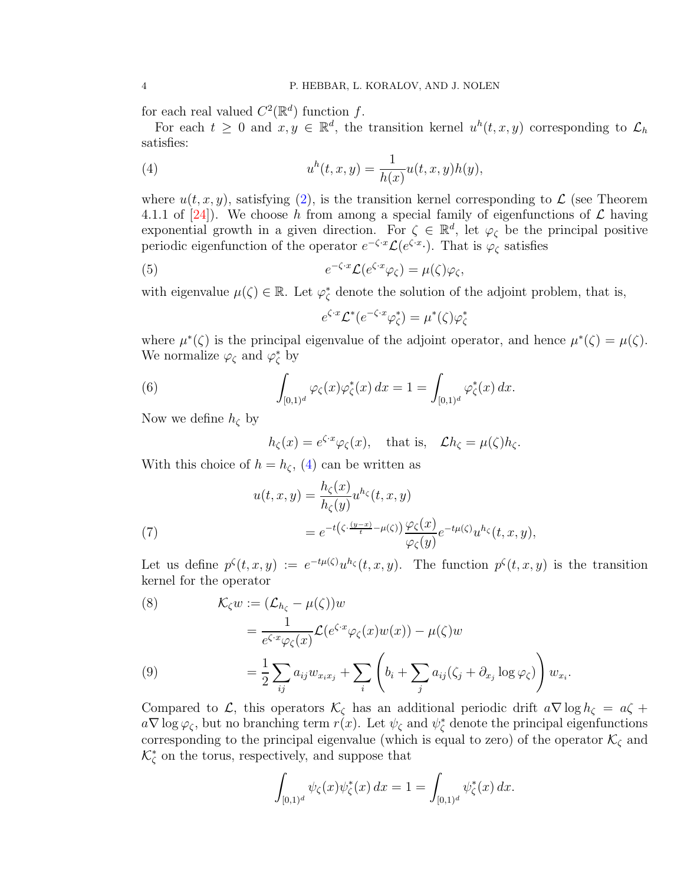for each real valued  $C^2(\mathbb{R}^d)$  function f.

For each  $t \geq 0$  and  $x, y \in \mathbb{R}^d$ , the transition kernel  $u^h(t, x, y)$  corresponding to  $\mathcal{L}_h$ satisfies:

<span id="page-3-0"></span>(4) 
$$
u^{h}(t, x, y) = \frac{1}{h(x)}u(t, x, y)h(y),
$$

where  $u(t, x, y)$ , satisfying [\(2\)](#page-1-1), is the transition kernel corresponding to  $\mathcal L$  (see Theorem 4.1.1 of [\[24\]](#page-43-6)). We choose h from among a special family of eigenfunctions of  $\mathcal L$  having exponential growth in a given direction. For  $\zeta \in \mathbb{R}^d$ , let  $\varphi_{\zeta}$  be the principal positive periodic eigenfunction of the operator  $e^{-\zeta \cdot x} \mathcal{L}(e^{\zeta \cdot x})$ . That is  $\varphi_{\zeta}$  satisfies

(5) 
$$
e^{-\zeta \cdot x} \mathcal{L}(e^{\zeta \cdot x} \varphi_{\zeta}) = \mu(\zeta) \varphi_{\zeta},
$$

with eigenvalue  $\mu(\zeta) \in \mathbb{R}$ . Let  $\varphi_{\zeta}^*$  denote the solution of the adjoint problem, that is,

$$
e^{\zeta \cdot x} \mathcal{L}^*(e^{-\zeta \cdot x} \varphi_{\zeta}^*) = \mu^*(\zeta) \varphi_{\zeta}^*
$$

where  $\mu^*(\zeta)$  is the principal eigenvalue of the adjoint operator, and hence  $\mu^*(\zeta) = \mu(\zeta)$ . We normalize  $\varphi_{\zeta}$  and  $\varphi_{\zeta}^*$  by

(6) 
$$
\int_{[0,1)^d} \varphi_{\zeta}(x) \varphi_{\zeta}^*(x) dx = 1 = \int_{[0,1)^d} \varphi_{\zeta}^*(x) dx.
$$

Now we define  $h_{\zeta}$  by

<span id="page-3-4"></span>
$$
h_{\zeta}(x) = e^{\zeta \cdot x} \varphi_{\zeta}(x)
$$
, that is,  $\mathcal{L}h_{\zeta} = \mu(\zeta)h_{\zeta}$ .

With this choice of  $h = h_{\zeta}$ , [\(4\)](#page-3-0) can be written as

(7)  
\n
$$
u(t, x, y) = \frac{h_{\zeta}(x)}{h_{\zeta}(y)} u^{h_{\zeta}}(t, x, y)
$$
\n
$$
= e^{-t(\zeta \cdot \frac{(y-x)}{t} - \mu(\zeta))} \frac{\varphi_{\zeta}(x)}{\varphi_{\zeta}(y)} e^{-t\mu(\zeta)} u^{h_{\zeta}}(t, x, y),
$$

<span id="page-3-1"></span>Let us define  $p^{\zeta}(t,x,y) := e^{-t\mu(\zeta)}u^{h_{\zeta}}(t,x,y)$ . The function  $p^{\zeta}(t,x,y)$  is the transition kernel for the operator

<span id="page-3-3"></span>(8) 
$$
\mathcal{K}_{\zeta} w := (\mathcal{L}_{h_{\zeta}} - \mu(\zeta))w
$$

$$
= \frac{1}{e^{\zeta x} \varphi_{\zeta}(x)} \mathcal{L}(e^{\zeta \cdot x} \varphi_{\zeta}(x) w(x)) - \mu(\zeta)w
$$

$$
= \frac{1}{2} \sum_{ij} a_{ij} w_{x_i x_j} + \sum_{i} \left( b_i + \sum_{j} a_{ij} (\zeta_j + \partial_{x_j} \log \varphi_{\zeta}) \right) w_{x_i}.
$$

<span id="page-3-2"></span>Compared to L, this operators  $\mathcal{K}_{\zeta}$  has an additional periodic drift  $a\nabla \log h_{\zeta} = a\zeta +$  $a\nabla \log \varphi_{\zeta}$ , but no branching term  $r(x)$ . Let  $\psi_{\zeta}$  and  $\psi_{\zeta}^*$  denote the principal eigenfunctions corresponding to the principal eigenvalue (which is equal to zero) of the operator  $\mathcal{K}_{\zeta}$  and  $\mathcal{K}_{\zeta}^{*}$  on the torus, respectively, and suppose that

$$
\int_{[0,1)^d} \psi_{\zeta}(x) \psi_{\zeta}^*(x) dx = 1 = \int_{[0,1)^d} \psi_{\zeta}^*(x) dx.
$$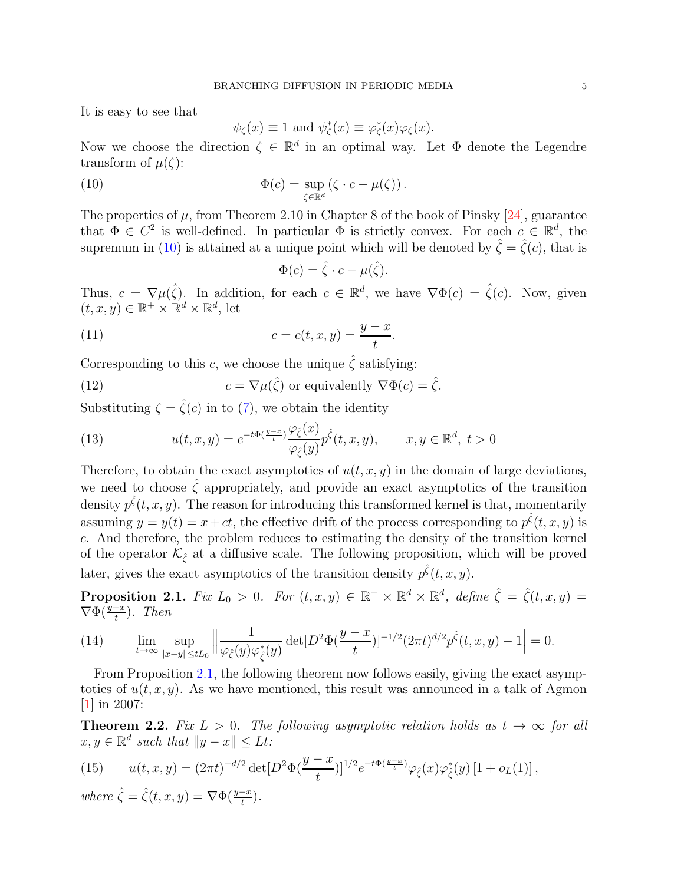It is easy to see that

$$
\psi_{\zeta}(x) \equiv 1
$$
 and  $\psi_{\zeta}^*(x) \equiv \varphi_{\zeta}^*(x)\varphi_{\zeta}(x)$ .

Now we choose the direction  $\zeta \in \mathbb{R}^d$  in an optimal way. Let  $\Phi$  denote the Legendre transform of  $\mu(\zeta)$ :

<span id="page-4-0"></span>(10) 
$$
\Phi(c) = \sup_{\zeta \in \mathbb{R}^d} (\zeta \cdot c - \mu(\zeta)).
$$

The properties of  $\mu$ , from Theorem 2.10 in Chapter 8 of the book of Pinsky [\[24\]](#page-43-6), guarantee that  $\Phi \in C^2$  is well-defined. In particular  $\Phi$  is strictly convex. For each  $c \in \mathbb{R}^d$ , the supremum in [\(10\)](#page-4-0) is attained at a unique point which will be denoted by  $\hat{\zeta} = \hat{\zeta}(c)$ , that is

<span id="page-4-6"></span><span id="page-4-5"></span>
$$
\Phi(c) = \hat{\zeta} \cdot c - \mu(\hat{\zeta}).
$$

Thus,  $c = \nabla \mu(\hat{\zeta})$ . In addition, for each  $c \in \mathbb{R}^d$ , we have  $\nabla \Phi(c) = \hat{\zeta}(c)$ . Now, given  $(t, x, y) \in \mathbb{R}^+ \times \mathbb{R}^d \times \mathbb{R}^d$ , let

(11) 
$$
c = c(t, x, y) = \frac{y - x}{t}.
$$

Corresponding to this c, we choose the unique  $\hat{\zeta}$  satisfying:

(12) 
$$
c = \nabla \mu(\hat{\zeta}) \text{ or equivalently } \nabla \Phi(c) = \hat{\zeta}.
$$

Substituting  $\zeta = \zeta(c)$  in to [\(7\)](#page-3-1), we obtain the identity

<span id="page-4-3"></span>(13) 
$$
u(t, x, y) = e^{-t\Phi(\frac{y-x}{t})} \frac{\varphi_{\hat{\zeta}}(x)}{\varphi_{\hat{\zeta}}(y)} p^{\hat{\zeta}}(t, x, y), \qquad x, y \in \mathbb{R}^d, t > 0
$$

Therefore, to obtain the exact asymptotics of  $u(t, x, y)$  in the domain of large deviations, we need to choose  $\hat{\zeta}$  appropriately, and provide an exact asymptotics of the transition density  $p^{\hat{\zeta}}(t,x,y)$ . The reason for introducing this transformed kernel is that, momentarily assuming  $y = y(t) = x + ct$ , the effective drift of the process corresponding to  $p^{\hat{\zeta}}(t, x, y)$  is c. And therefore, the problem reduces to estimating the density of the transition kernel of the operator  $\mathcal{K}_{\hat{\zeta}}$  at a diffusive scale. The following proposition, which will be proved later, gives the exact asymptotics of the transition density  $p^{\hat{\zeta}}(t, x, y)$ .

<span id="page-4-1"></span>**Proposition 2.1.** Fix  $L_0 > 0$ . For  $(t, x, y) \in \mathbb{R}^+ \times \mathbb{R}^d \times \mathbb{R}^d$ , define  $\hat{\zeta} = \hat{\zeta}(t, x, y) =$  $\nabla \Phi(\frac{y-x}{t})$ . Then

(14) 
$$
\lim_{t \to \infty} \sup_{\|x-y\| \le tL_0} \left\| \frac{1}{\varphi_{\hat{\zeta}}(y)\varphi_{\hat{\zeta}}^*(y)} \det[D^2 \Phi(\frac{y-x}{t})]^{-1/2} (2\pi t)^{d/2} p^{\hat{\zeta}}(t,x,y) - 1 \right\| = 0.
$$

From Proposition [2.1,](#page-4-1) the following theorem now follows easily, giving the exact asymptotics of  $u(t, x, y)$ . As we have mentioned, this result was announced in a talk of Agmon [\[1\]](#page-42-3) in 2007:

<span id="page-4-2"></span>**Theorem 2.2.** Fix  $L > 0$ . The following asymptotic relation holds as  $t \to \infty$  for all  $x, y \in \mathbb{R}^d$  such that  $||y - x|| \leq Lt$ :

<span id="page-4-4"></span>(15) 
$$
u(t,x,y) = (2\pi t)^{-d/2} \det[D^2 \Phi(\frac{y-x}{t})]^{1/2} e^{-t\Phi(\frac{y-x}{t})} \varphi_{\hat{\zeta}}(x) \varphi_{\hat{\zeta}}^*(y) [1 + o_L(1)],
$$

where  $\hat{\zeta} = \hat{\zeta}(t, x, y) = \nabla \Phi(\frac{y - x}{t}).$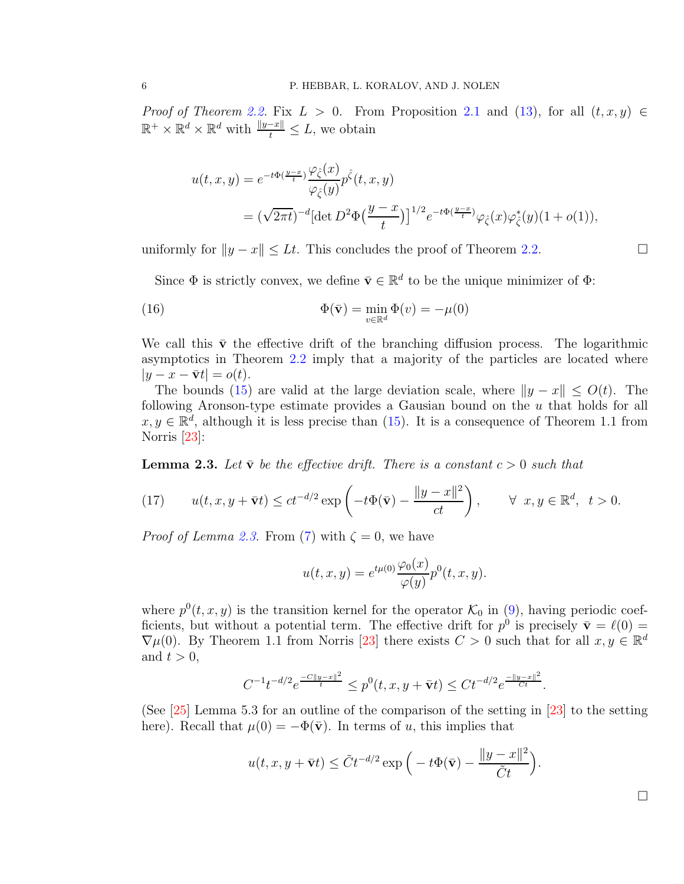*Proof of Theorem [2.2.](#page-4-2)* Fix  $L > 0$ . From Proposition [2.1](#page-4-1) and [\(13\)](#page-4-3), for all  $(t, x, y) \in$  $\mathbb{R}^+ \times \mathbb{R}^d \times \mathbb{R}^d$  with  $\frac{\|y-x\|}{t} \leq L$ , we obtain

$$
u(t, x, y) = e^{-t\Phi(\frac{y-x}{t})} \frac{\varphi_{\hat{\zeta}}(x)}{\varphi_{\hat{\zeta}}(y)} p^{\hat{\zeta}}(t, x, y)
$$
  
= 
$$
(\sqrt{2\pi t})^{-d} [\det D^2 \Phi(\frac{y-x}{t})]^{1/2} e^{-t\Phi(\frac{y-x}{t})} \varphi_{\hat{\zeta}}(x) \varphi_{\hat{\zeta}}^*(y) (1 + o(1)),
$$

uniformly for  $||y - x|| \leq Lt$ . This concludes the proof of Theorem [2.2.](#page-4-2)

<span id="page-5-0"></span>Since  $\Phi$  is strictly convex, we define  $\bar{\mathbf{v}} \in \mathbb{R}^d$  to be the unique minimizer of  $\Phi$ :

(16) 
$$
\Phi(\bar{\mathbf{v}}) = \min_{v \in \mathbb{R}^d} \Phi(v) = -\mu(0)
$$

We call this  $\bar{v}$  the effective drift of the branching diffusion process. The logarithmic asymptotics in Theorem [2.2](#page-4-2) imply that a majority of the particles are located where  $|y - x - \bar{v}t| = o(t).$ 

The bounds [\(15\)](#page-4-4) are valid at the large deviation scale, where  $||y - x|| \le O(t)$ . The following Aronson-type estimate provides a Gausian bound on the  $u$  that holds for all  $x, y \in \mathbb{R}^d$ , although it is less precise than [\(15\)](#page-4-4). It is a consequence of Theorem 1.1 from Norris [\[23\]](#page-43-3):

<span id="page-5-1"></span>**Lemma 2.3.** Let  $\bar{v}$  be the effective drift. There is a constant  $c > 0$  such that

(17) 
$$
u(t, x, y + \bar{\mathbf{v}}t) \le ct^{-d/2} \exp\left(-t\Phi(\bar{\mathbf{v}}) - \frac{\|y - x\|^2}{ct}\right), \qquad \forall \ x, y \in \mathbb{R}^d, \ t > 0.
$$

*Proof of Lemma [2.3.](#page-5-1)* From [\(7\)](#page-3-1) with  $\zeta = 0$ , we have

$$
u(t, x, y) = e^{t\mu(0)} \frac{\varphi_0(x)}{\varphi(y)} p^{0}(t, x, y).
$$

where  $p^{0}(t, x, y)$  is the transition kernel for the operator  $\mathcal{K}_{0}$  in [\(9\)](#page-3-2), having periodic coefficients, but without a potential term. The effective drift for  $p^0$  is precisely  $\bar{\mathbf{v}} = \ell(0) =$  $\nabla \mu(0)$ . By Theorem 1.1 from Norris [\[23\]](#page-43-3) there exists  $C > 0$  such that for all  $x, y \in \mathbb{R}^d$ and  $t > 0$ ,

$$
C^{-1}t^{-d/2}e^{\frac{-C\|y-x\|^2}{t}}\leq p^0(t,x,y+\bar{\mathbf{v}}t)\leq Ct^{-d/2}e^{\frac{-\|y-x\|^2}{Ct}}.
$$

(See [\[25\]](#page-43-7) Lemma 5.3 for an outline of the comparison of the setting in [\[23\]](#page-43-3) to the setting here). Recall that  $\mu(0) = -\Phi(\bar{v})$ . In terms of u, this implies that

$$
u(t, x, y + \bar{\mathbf{v}}t) \leq \tilde{C}t^{-d/2} \exp\left(-t\Phi(\bar{\mathbf{v}}) - \frac{\|y - x\|^2}{\tilde{C}t}\right).
$$

 $\Box$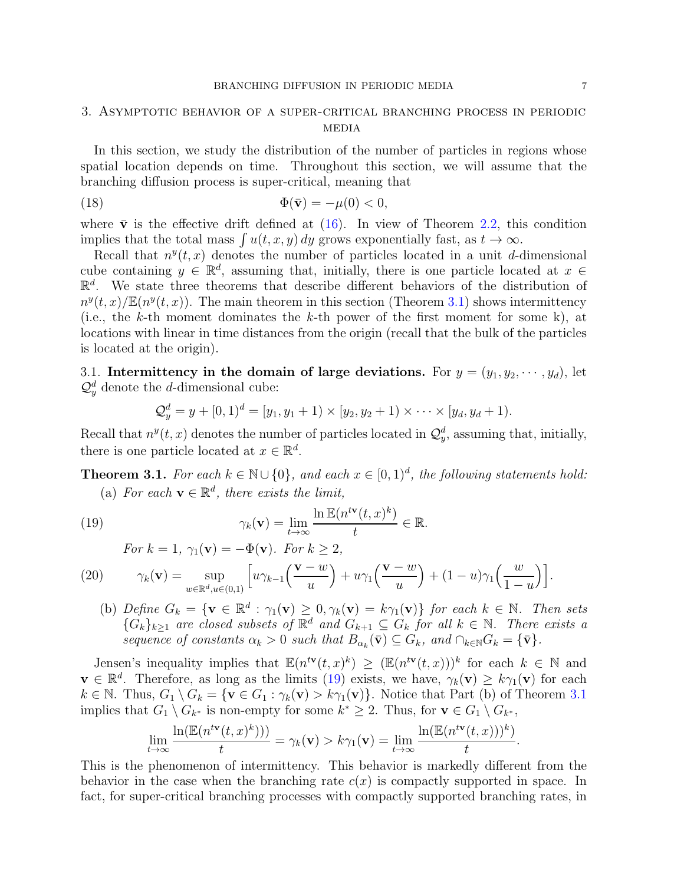# <span id="page-6-0"></span>3. Asymptotic behavior of a super-critical branching process in periodic **MEDIA**

In this section, we study the distribution of the number of particles in regions whose spatial location depends on time. Throughout this section, we will assume that the branching diffusion process is super-critical, meaning that

<span id="page-6-5"></span>(18) 
$$
\Phi(\bar{\mathbf{v}}) = -\mu(0) < 0,
$$

where  $\bar{v}$  is the effective drift defined at [\(16\)](#page-5-0). In view of Theorem [2.2,](#page-4-2) this condition implies that the total mass  $\int u(t, x, y) dy$  grows exponentially fast, as  $t \to \infty$ .

Recall that  $n^y(t, x)$  denotes the number of particles located in a unit d-dimensional cube containing  $y \in \mathbb{R}^d$ , assuming that, initially, there is one particle located at  $x \in \mathbb{R}^d$ .  $\mathbb{R}^d$ . We state three theorems that describe different behaviors of the distribution of  $n^y(t,x)/\mathbb{E}(n^y(t,x))$ . The main theorem in this section (Theorem [3.1\)](#page-6-2) shows intermittency (i.e., the k-th moment dominates the k-th power of the first moment for some k), at locations with linear in time distances from the origin (recall that the bulk of the particles is located at the origin).

<span id="page-6-1"></span>3.1. Intermittency in the domain of large deviations. For  $y = (y_1, y_2, \dots, y_d)$ , let  $\mathcal{Q}_y^d$  denote the *d*-dimensional cube:

$$
Q_y^d = y + [0, 1)^d = [y_1, y_1 + 1) \times [y_2, y_2 + 1) \times \cdots \times [y_d, y_d + 1].
$$

Recall that  $n^y(t, x)$  denotes the number of particles located in  $\mathcal{Q}_y^d$ , assuming that, initially, there is one particle located at  $x \in \mathbb{R}^d$ .

<span id="page-6-2"></span>**Theorem 3.1.** For each  $k \in \mathbb{N} \cup \{0\}$ , and each  $x \in [0, 1)^d$ , the following statements hold: (a) For each  $\mathbf{v} \in \mathbb{R}^d$ , there exists the limit,

(19) 
$$
\gamma_k(\mathbf{v}) = \lim_{t \to \infty} \frac{\ln \mathbb{E}(n^{t\mathbf{v}}(t,x)^k)}{t} \in \mathbb{R}.
$$

<span id="page-6-4"></span><span id="page-6-3"></span>For 
$$
k = 1
$$
,  $\gamma_1(\mathbf{v}) = -\Phi(\mathbf{v})$ . For  $k \ge 2$ ,

(20) 
$$
\gamma_k(\mathbf{v}) = \sup_{w \in \mathbb{R}^d, u \in (0,1)} \left[ u \gamma_{k-1} \left( \frac{\mathbf{v} - w}{u} \right) + u \gamma_1 \left( \frac{\mathbf{v} - w}{u} \right) + (1 - u) \gamma_1 \left( \frac{w}{1 - u} \right) \right].
$$

(b) Define  $G_k = \{ \mathbf{v} \in \mathbb{R}^d : \gamma_1(\mathbf{v}) \geq 0, \gamma_k(\mathbf{v}) = k\gamma_1(\mathbf{v}) \}$  for each  $k \in \mathbb{N}$ . Then sets  $\{\hat{G}_k\}_{k\geq 1}$  are closed subsets of  $\mathbb{R}^d$  and  $\hat{G}_{k+1} \subseteq \hat{G}_k$  for all  $k \in \mathbb{N}$ . There exists a sequence of constants  $\alpha_k > 0$  such that  $B_{\alpha_k}(\bar{\mathbf{v}}) \subseteq G_k$ , and  $\cap_{k \in \mathbb{N}} G_k = {\bar{\mathbf{v}}}.$ 

Jensen's inequality implies that  $\mathbb{E}(n^{t\mathbf{v}}(t,x)^k) \geq (\mathbb{E}(n^{t\mathbf{v}}(t,x)))^k$  for each  $k \in \mathbb{N}$  and  $\mathbf{v} \in \mathbb{R}^d$ . Therefore, as long as the limits [\(19\)](#page-6-3) exists, we have,  $\gamma_k(\mathbf{v}) \geq k \gamma_1(\mathbf{v})$  for each  $k \in \mathbb{N}$ . Thus,  $G_1 \setminus G_k = \{ \mathbf{v} \in G_1 : \gamma_k(\mathbf{v}) > k\gamma_1(\mathbf{v}) \}$ . Notice that Part (b) of Theorem [3.1](#page-6-2) implies that  $G_1 \setminus G_{k^*}$  is non-empty for some  $k^* \geq 2$ . Thus, for  $\mathbf{v} \in G_1 \setminus G_{k^*}$ ,

$$
\lim_{t \to \infty} \frac{\ln(\mathbb{E}(n^{t\mathbf{v}}(t,x)^k)))}{t} = \gamma_k(\mathbf{v}) > k\gamma_1(\mathbf{v}) = \lim_{t \to \infty} \frac{\ln(\mathbb{E}(n^{t\mathbf{v}}(t,x)))^k)}{t}
$$

.

This is the phenomenon of intermittency. This behavior is markedly different from the behavior in the case when the branching rate  $c(x)$  is compactly supported in space. In fact, for super-critical branching processes with compactly supported branching rates, in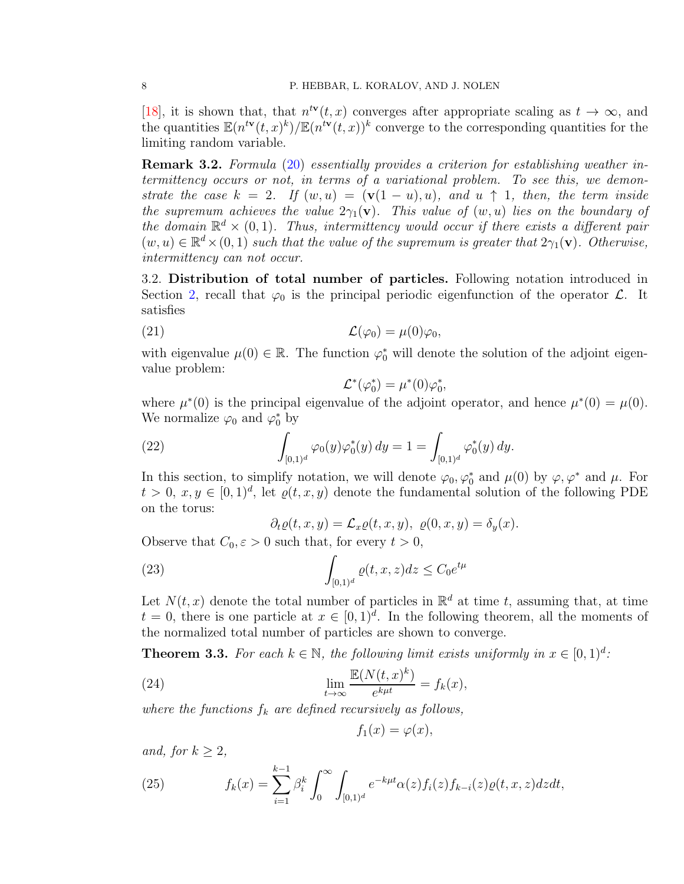[\[18\]](#page-43-1), it is shown that, that  $n^{t\mathbf{v}}(t, x)$  converges after appropriate scaling as  $t \to \infty$ , and the quantities  $\mathbb{E}(n^{t\mathbf{v}}(t,x)^k)/\mathbb{E}(n^{t\mathbf{v}}(t,x))^k$  converge to the corresponding quantities for the limiting random variable.

Remark 3.2. Formula [\(20\)](#page-6-4) essentially provides a criterion for establishing weather intermittency occurs or not, in terms of a variational problem. To see this, we demonstrate the case  $k = 2$ . If  $(w, u) = (\mathbf{v}(1 - u), u)$ , and  $u \uparrow 1$ , then, the term inside the supremum achieves the value  $2\gamma_1(\mathbf{v})$ . This value of  $(w, u)$  lies on the boundary of the domain  $\mathbb{R}^d \times (0,1)$ . Thus, intermittency would occur if there exists a different pair  $(w, u) \in \mathbb{R}^d \times (0, 1)$  such that the value of the supremum is greater that  $2\gamma_1(\mathbf{v})$ . Otherwise, intermittency can not occur.

<span id="page-7-0"></span>3.2. Distribution of total number of particles. Following notation introduced in Section [2,](#page-2-0) recall that  $\varphi_0$  is the principal periodic eigenfunction of the operator  $\mathcal{L}$ . It satisfies

(21) 
$$
\mathcal{L}(\varphi_0) = \mu(0)\varphi_0,
$$

with eigenvalue  $\mu(0) \in \mathbb{R}$ . The function  $\varphi_0^*$  will denote the solution of the adjoint eigenvalue problem:

$$
\mathcal{L}^*(\varphi_0^*) = \mu^*(0)\varphi_0^*,
$$

where  $\mu^*(0)$  is the principal eigenvalue of the adjoint operator, and hence  $\mu^*(0) = \mu(0)$ . We normalize  $\varphi_0$  and  $\varphi_0^*$  by

(22) 
$$
\int_{[0,1)^d} \varphi_0(y) \varphi_0^*(y) dy = 1 = \int_{[0,1)^d} \varphi_0^*(y) dy.
$$

In this section, to simplify notation, we will denote  $\varphi_0, \varphi_0^*$  and  $\mu(0)$  by  $\varphi, \varphi^*$  and  $\mu$ . For  $t > 0, x, y \in [0, 1)^d$ , let  $\varrho(t, x, y)$  denote the fundamental solution of the following PDE on the torus:

<span id="page-7-3"></span>
$$
\partial_t \varrho(t, x, y) = \mathcal{L}_x \varrho(t, x, y), \ \varrho(0, x, y) = \delta_y(x).
$$

Observe that  $C_0, \varepsilon > 0$  such that, for every  $t > 0$ ,

(23) 
$$
\int_{[0,1)^d} \varrho(t,x,z) dz \le C_0 e^{t\mu}
$$

Let  $N(t, x)$  denote the total number of particles in  $\mathbb{R}^d$  at time t, assuming that, at time  $t = 0$ , there is one particle at  $x \in [0, 1]^d$ . In the following theorem, all the moments of the normalized total number of particles are shown to converge.

<span id="page-7-2"></span>**Theorem 3.3.** For each  $k \in \mathbb{N}$ , the following limit exists uniformly in  $x \in [0, 1]^d$ :

(24) 
$$
\lim_{t \to \infty} \frac{\mathbb{E}(N(t,x)^k)}{e^{k\mu t}} = f_k(x),
$$

where the functions  $f_k$  are defined recursively as follows,

$$
f_1(x) = \varphi(x),
$$

and, for  $k \geq 2$ ,

<span id="page-7-1"></span>(25) 
$$
f_k(x) = \sum_{i=1}^{k-1} \beta_i^k \int_0^\infty \int_{[0,1)^d} e^{-k\mu t} \alpha(z) f_i(z) f_{k-i}(z) \varrho(t,x,z) dz dt,
$$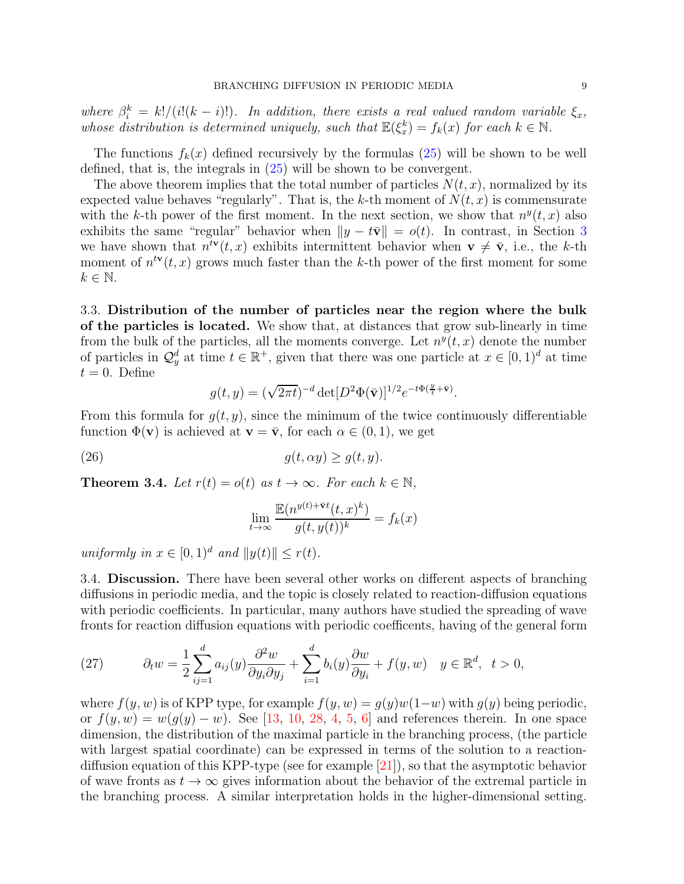where  $\beta_i^k = k!/(i!(k-i)!)$ . In addition, there exists a real valued random variable  $\xi_x$ , whose distribution is determined uniquely, such that  $\mathbb{E}(\xi_x^k) = f_k(x)$  for each  $k \in \mathbb{N}$ .

The functions  $f_k(x)$  defined recursively by the formulas  $(25)$  will be shown to be well defined, that is, the integrals in [\(25\)](#page-7-1) will be shown to be convergent.

The above theorem implies that the total number of particles  $N(t, x)$ , normalized by its expected value behaves "regularly". That is, the k-th moment of  $N(t, x)$  is commensurate with the k-th power of the first moment. In the next section, we show that  $n^y(t, x)$  also exhibits the same "regular" behavior when  $||y - t\overline{v}|| = o(t)$ . In contrast, in Section [3](#page-6-0) we have shown that  $n^{t\mathbf{v}}(t,x)$  exhibits intermittent behavior when  $\mathbf{v} \neq \bar{\mathbf{v}}$ , i.e., the k-th moment of  $n^{t\mathbf{v}}(t,x)$  grows much faster than the k-th power of the first moment for some  $k \in \mathbb{N}$ .

<span id="page-8-0"></span>3.3. Distribution of the number of particles near the region where the bulk of the particles is located. We show that, at distances that grow sub-linearly in time from the bulk of the particles, all the moments converge. Let  $n^y(t, x)$  denote the number of particles in  $\mathcal{Q}_y^d$  at time  $t \in \mathbb{R}^+$ , given that there was one particle at  $x \in [0,1]^d$  at time  $t = 0$ . Define

$$
g(t,y) = (\sqrt{2\pi t})^{-d} \det[D^2 \Phi(\bar{\mathbf{v}})]^{1/2} e^{-t\Phi(\frac{y}{t} + \bar{\mathbf{v}})}.
$$

From this formula for  $g(t, y)$ , since the minimum of the twice continuously differentiable function  $\Phi(\mathbf{v})$  is achieved at  $\mathbf{v} = \bar{\mathbf{v}}$ , for each  $\alpha \in (0, 1)$ , we get

(26) 
$$
g(t, \alpha y) \ge g(t, y).
$$

<span id="page-8-2"></span>**Theorem 3.4.** Let  $r(t) = o(t)$  as  $t \to \infty$ . For each  $k \in \mathbb{N}$ ,

$$
\lim_{t \to \infty} \frac{\mathbb{E}(n^{y(t)+\bar{\mathbf{v}}t}(t,x)^k)}{g(t,y(t))^k} = f_k(x)
$$

uniformly in  $x \in [0, 1)^d$  and  $||y(t)|| \leq r(t)$ .

<span id="page-8-1"></span>3.4. Discussion. There have been several other works on different aspects of branching diffusions in periodic media, and the topic is closely related to reaction-diffusion equations with periodic coefficients. In particular, many authors have studied the spreading of wave fronts for reaction diffusion equations with periodic coefficents, having of the general form

(27) 
$$
\partial_t w = \frac{1}{2} \sum_{ij=1}^d a_{ij}(y) \frac{\partial^2 w}{\partial y_i \partial y_j} + \sum_{i=1}^d b_i(y) \frac{\partial w}{\partial y_i} + f(y, w) \quad y \in \mathbb{R}^d, \quad t > 0,
$$

where  $f(y, w)$  is of KPP type, for example  $f(y, w) = g(y)w(1-w)$  with  $g(y)$  being periodic, or  $f(y, w) = w(g(y) - w)$ . See [\[13,](#page-42-5) [10,](#page-42-0) [28,](#page-43-8) [4,](#page-42-6) [5,](#page-42-7) [6\]](#page-42-8) and references therein. In one space dimension, the distribution of the maximal particle in the branching process, (the particle with largest spatial coordinate) can be expressed in terms of the solution to a reactiondiffusion equation of this KPP-type (see for example [\[21\]](#page-43-9)), so that the asymptotic behavior of wave fronts as  $t \to \infty$  gives information about the behavior of the extremal particle in the branching process. A similar interpretation holds in the higher-dimensional setting.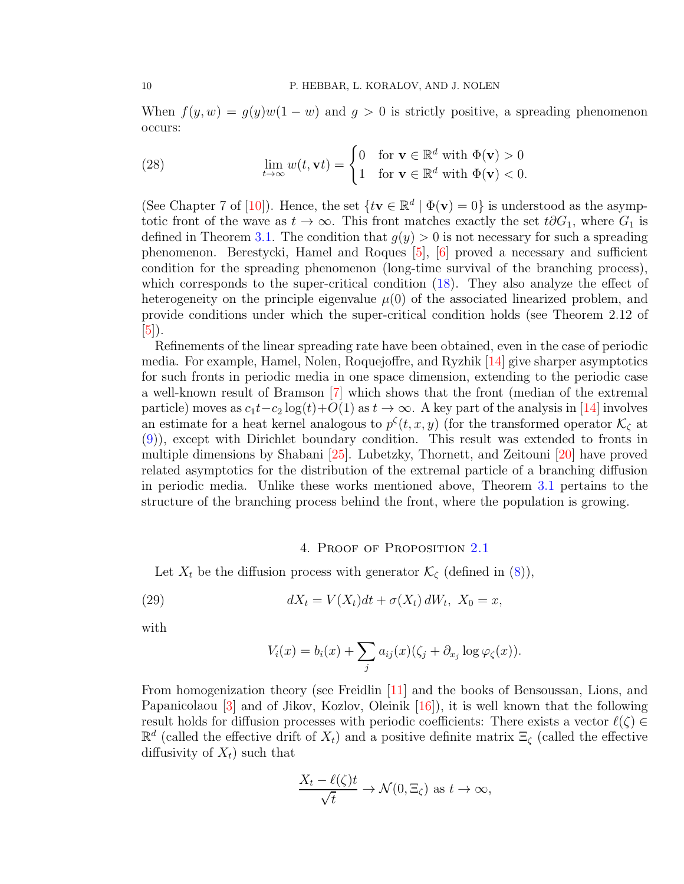When  $f(y, w) = g(y)w(1 - w)$  and  $g > 0$  is strictly positive, a spreading phenomenon occurs:

(28) 
$$
\lim_{t \to \infty} w(t, \mathbf{v}t) = \begin{cases} 0 & \text{for } \mathbf{v} \in \mathbb{R}^d \text{ with } \Phi(\mathbf{v}) > 0 \\ 1 & \text{for } \mathbf{v} \in \mathbb{R}^d \text{ with } \Phi(\mathbf{v}) < 0. \end{cases}
$$

(See Chapter 7 of [\[10\]](#page-42-0)). Hence, the set  $\{tv \in \mathbb{R}^d \mid \Phi(v) = 0\}$  is understood as the asymptotic front of the wave as  $t \to \infty$ . This front matches exactly the set  $t\partial G_1$ , where  $G_1$  is defined in Theorem [3.1.](#page-6-2) The condition that  $g(y) > 0$  is not necessary for such a spreading phenomenon. Berestycki, Hamel and Roques [\[5\]](#page-42-7), [\[6\]](#page-42-8) proved a necessary and sufficient condition for the spreading phenomenon (long-time survival of the branching process), which corresponds to the super-critical condition  $(18)$ . They also analyze the effect of heterogeneity on the principle eigenvalue  $\mu(0)$  of the associated linearized problem, and provide conditions under which the super-critical condition holds (see Theorem 2.12 of [\[5\]](#page-42-7)).

Refinements of the linear spreading rate have been obtained, even in the case of periodic media. For example, Hamel, Nolen, Roquejoffre, and Ryzhik [\[14\]](#page-42-9) give sharper asymptotics for such fronts in periodic media in one space dimension, extending to the periodic case a well-known result of Bramson [\[7\]](#page-42-10) which shows that the front (median of the extremal particle) moves as  $c_1t-c_2\log(t)+O(1)$  as  $t\to\infty$ . A key part of the analysis in [\[14\]](#page-42-9) involves an estimate for a heat kernel analogous to  $p^{\zeta}(t, x, y)$  (for the transformed operator  $\mathcal{K}_{\zeta}$  at [\(9\)](#page-3-2)), except with Dirichlet boundary condition. This result was extended to fronts in multiple dimensions by Shabani [\[25\]](#page-43-7). Lubetzky, Thornett, and Zeitouni [\[20\]](#page-43-10) have proved related asymptotics for the distribution of the extremal particle of a branching diffusion in periodic media. Unlike these works mentioned above, Theorem [3.1](#page-6-2) pertains to the structure of the branching process behind the front, where the population is growing.

#### 4. Proof of Proposition [2.1](#page-4-1)

Let  $X_t$  be the diffusion process with generator  $\mathcal{K}_{\zeta}$  (defined in [\(8\)](#page-3-3)),

(29) 
$$
dX_t = V(X_t)dt + \sigma(X_t) dW_t, X_0 = x,
$$

with

$$
V_i(x) = b_i(x) + \sum_j a_{ij}(x)(\zeta_j + \partial_{x_j} \log \varphi_{\zeta}(x)).
$$

From homogenization theory (see Freidlin [\[11\]](#page-42-11) and the books of Bensoussan, Lions, and Papanicolaou [\[3\]](#page-42-12) and of Jikov, Kozlov, Oleinik [\[16\]](#page-42-13)), it is well known that the following result holds for diffusion processes with periodic coefficients: There exists a vector  $\ell(\zeta) \in$  $\mathbb{R}^d$  (called the effective drift of  $X_t$ ) and a positive definite matrix  $\Xi_\zeta$  (called the effective diffusivity of  $X_t$ ) such that

$$
\frac{X_t - \ell(\zeta)t}{\sqrt{t}} \to \mathcal{N}(0, \Xi_{\zeta}) \text{ as } t \to \infty,
$$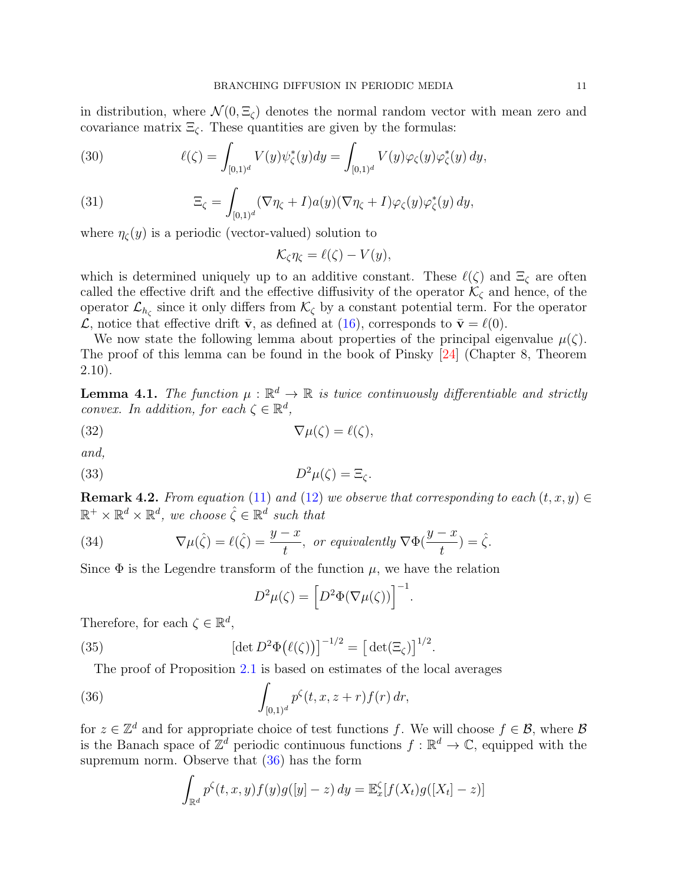in distribution, where  $\mathcal{N}(0, \Xi_c)$  denotes the normal random vector with mean zero and covariance matrix  $\Xi_{\zeta}$ . These quantities are given by the formulas:

(30) 
$$
\ell(\zeta) = \int_{[0,1)^d} V(y) \psi_{\zeta}^*(y) dy = \int_{[0,1)^d} V(y) \varphi_{\zeta}(y) \varphi_{\zeta}^*(y) dy,
$$

(31) 
$$
\Xi_{\zeta} = \int_{[0,1)^d} (\nabla \eta_{\zeta} + I) a(y) (\nabla \eta_{\zeta} + I) \varphi_{\zeta}(y) \varphi_{\zeta}^*(y) dy,
$$

where  $\eta_{\zeta}(y)$  is a periodic (vector-valued) solution to

$$
\mathcal{K}_{\zeta}\eta_{\zeta}=\ell(\zeta)-V(y),
$$

which is determined uniquely up to an additive constant. These  $\ell(\zeta)$  and  $\Xi_{\zeta}$  are often called the effective drift and the effective diffusivity of the operator  $\mathcal{K}_{\zeta}$  and hence, of the operator  $\mathcal{L}_{h_{\zeta}}$  since it only differs from  $\mathcal{K}_{\zeta}$  by a constant potential term. For the operator  $\mathcal{L}$ , notice that effective drift  $\bar{\mathbf{v}}$ , as defined at [\(16\)](#page-5-0), corresponds to  $\bar{\mathbf{v}} = \ell(0)$ .

We now state the following lemma about properties of the principal eigenvalue  $\mu(\zeta)$ . The proof of this lemma can be found in the book of Pinsky [\[24\]](#page-43-6) (Chapter 8, Theorem 2.10).

<span id="page-10-3"></span>**Lemma 4.1.** The function  $\mu : \mathbb{R}^d \to \mathbb{R}$  is twice continuously differentiable and strictly convex. In addition, for each  $\zeta \in \mathbb{R}^d$ ,

(32) 
$$
\nabla \mu(\zeta) = \ell(\zeta),
$$

and,

(33) 
$$
D^2\mu(\zeta) = \Xi_{\zeta}.
$$

**Remark 4.2.** From equation [\(11\)](#page-4-5) and [\(12\)](#page-4-6) we observe that corresponding to each  $(t, x, y) \in$  $\mathbb{R}^+ \times \mathbb{R}^d \times \mathbb{R}^d$ , we choose  $\hat{\zeta} \in \mathbb{R}^d$  such that

(34) 
$$
\nabla \mu(\hat{\zeta}) = \ell(\hat{\zeta}) = \frac{y-x}{t}, \text{ or equivalently } \nabla \Phi(\frac{y-x}{t}) = \hat{\zeta}.
$$

Since  $\Phi$  is the Legendre transform of the function  $\mu$ , we have the relation

<span id="page-10-2"></span><span id="page-10-1"></span>
$$
D^2\mu(\zeta) = \left[D^2\Phi(\nabla\mu(\zeta))\right]^{-1}
$$

.

Therefore, for each  $\zeta \in \mathbb{R}^d$ ,

(35) 
$$
[\det D^2 \Phi(\ell(\zeta))]^{-1/2} = [\det(\Xi_{\zeta})]^{1/2}.
$$

The proof of Proposition [2.1](#page-4-1) is based on estimates of the local averages

<span id="page-10-0"></span>(36) 
$$
\int_{[0,1)^d} p^{\zeta}(t,x,z+r) f(r) dr,
$$

for  $z \in \mathbb{Z}^d$  and for appropriate choice of test functions f. We will choose  $f \in \mathcal{B}$ , where  $\mathcal{B}$ is the Banach space of  $\mathbb{Z}^d$  periodic continuous functions  $f : \mathbb{R}^d \to \mathbb{C}$ , equipped with the supremum norm. Observe that [\(36\)](#page-10-0) has the form

$$
\int_{\mathbb{R}^d} p^{\zeta}(t, x, y) f(y) g([y] - z) dy = \mathbb{E}_x^{\zeta} [f(X_t) g([X_t] - z)]
$$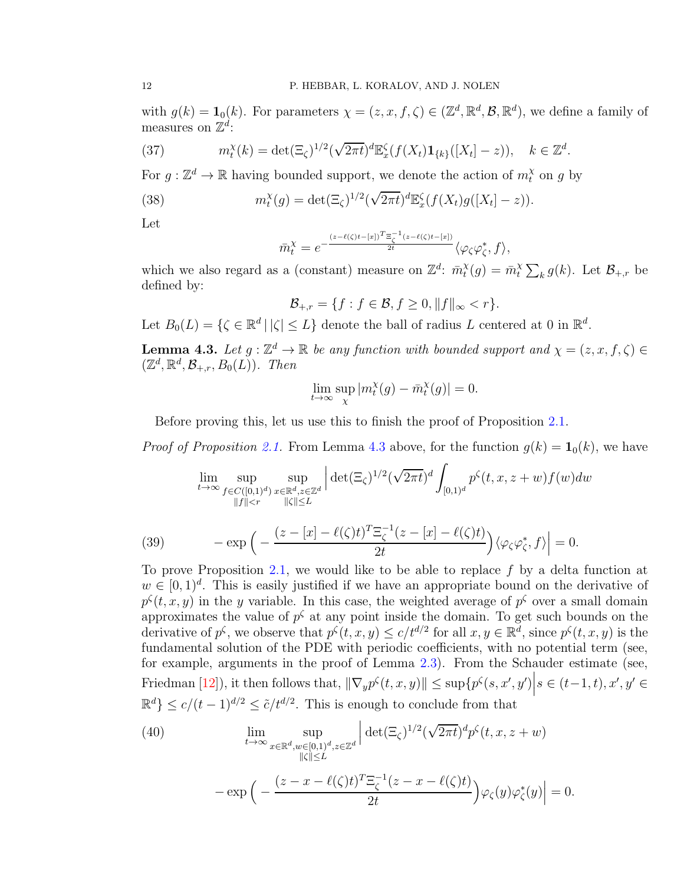with  $g(k) = \mathbf{1}_0(k)$ . For parameters  $\chi = (z, x, f, \zeta) \in (\mathbb{Z}^d, \mathbb{R}^d, \mathcal{B}, \mathbb{R}^d)$ , we define a family of measures on  $\mathbb{Z}^d$ :

<span id="page-11-1"></span>(37) 
$$
m_t^{\chi}(k) = \det(\Xi_{\zeta})^{1/2} (\sqrt{2\pi t})^d \mathbb{E}_x^{\zeta} (f(X_t) \mathbf{1}_{\{k\}}([X_t] - z)), \quad k \in \mathbb{Z}^d.
$$

For  $g: \mathbb{Z}^d \to \mathbb{R}$  having bounded support, we denote the action of  $m_t^{\chi}$  on g by

(38) 
$$
m_t^{\chi}(g) = \det(\Xi_{\zeta})^{1/2} (\sqrt{2\pi t})^d \mathbb{E}_x^{\zeta}(f(X_t)g([X_t]-z)).
$$

Let

$$
\bar{m}_t^{\chi} = e^{-\frac{(z-\ell(\zeta)t-[x])^T \Xi_{\zeta}^{-1}(z-\ell(\zeta)t-[x])}{2t}} \langle \varphi_{\zeta} \varphi_{\zeta}^*, f \rangle,
$$

which we also regard as a (constant) measure on  $\mathbb{Z}^d$ :  $\bar{m}_t^{\chi}$  $t^{\chi}(g) = \bar{m}^{\chi}_t$  $\sum_k g(k)$ . Let  $\mathcal{B}_{+,r}$  be defined by:

$$
\mathcal{B}_{+,r} = \{f : f \in \mathcal{B}, f \ge 0, ||f||_{\infty} < r\}.
$$

Let  $B_0(L) = \{ \zeta \in \mathbb{R}^d \mid |\zeta| \le L \}$  denote the ball of radius L centered at 0 in  $\mathbb{R}^d$ .

<span id="page-11-0"></span>**Lemma 4.3.** Let  $g: \mathbb{Z}^d \to \mathbb{R}$  be any function with bounded support and  $\chi = (z, x, f, \zeta) \in \mathbb{Z}^d$  $(\mathbb{Z}^d, \mathbb{R}^d, \mathcal{B}_{+,r}, B_0(L))$ . Then

$$
\lim_{t \to \infty} \sup_{\chi} |m_t^{\chi}(g) - \bar{m}_t^{\chi}(g)| = 0.
$$

Before proving this, let us use this to finish the proof of Proposition [2.1.](#page-4-1)

*Proof of Proposition [2.1.](#page-4-1)* From Lemma [4.3](#page-11-0) above, for the function  $g(k) = \mathbf{1}_0(k)$ , we have

$$
\lim_{t \to \infty} \sup_{\substack{f \in C([0,1]^d) \\ \|f\| < r}} \sup_{\substack{x \in \mathbb{R}^d, z \in \mathbb{Z}^d \\ \| \zeta \| \le L}} \left| \det_{\substack{(\Xi_\zeta)^{1/2} \\ \le L}} (\sqrt{2\pi t})^d \int_{[0,1)^d} p^\zeta(t, x, z + w) f(w) dw \right|
$$

(39) 
$$
-\exp\Big(-\frac{(z-[x]-\ell(\zeta)t)^T\Xi_{\zeta}^{-1}(z-[x]-\ell(\zeta)t)}{2t}\Big)\langle\varphi_{\zeta}\varphi_{\zeta}^*,f\rangle\Big|=0.
$$

To prove Proposition [2.1,](#page-4-1) we would like to be able to replace  $f$  by a delta function at  $w \in [0,1]^d$ . This is easily justified if we have an appropriate bound on the derivative of  $p^{\zeta}(t,x,y)$  in the y variable. In this case, the weighted average of  $p^{\zeta}$  over a small domain approximates the value of  $p^{\zeta}$  at any point inside the domain. To get such bounds on the derivative of  $p^{\zeta}$ , we observe that  $p^{\zeta}(t, x, y) \le c/t^{d/2}$  for all  $x, y \in \mathbb{R}^d$ , since  $p^{\zeta}(t, x, y)$  is the fundamental solution of the PDE with periodic coefficients, with no potential term (see, for example, arguments in the proof of Lemma [2.3\)](#page-5-1). From the Schauder estimate (see, Friedman [\[12\]](#page-42-14)), it then follows that,  $\|\nabla_y p^\zeta(t, x, y)\| \leq \sup\{p^\zeta(s, x', y')\} |s \in (t-1, t), x', y' \in$  $\mathbb{R}^d$ }  $\leq c/(t-1)^{d/2} \leq \tilde{c}/t^{d/2}$ . This is enough to conclude from that

(40) 
$$
\lim_{t \to \infty} \sup_{x \in \mathbb{R}^d, w \in [0,1)^d, z \in \mathbb{Z}^d} \left| \det(\Xi_{\zeta})^{1/2} (\sqrt{2\pi t})^d p^{\zeta}(t, x, z + w) \right|
$$

$$
-\exp\left(-\frac{(z - x - \ell(\zeta)t)^T \Xi_{\zeta}^{-1} (z - x - \ell(\zeta)t)}{2t}\right) \varphi_{\zeta}(y) \varphi_{\zeta}^*(y) = 0.
$$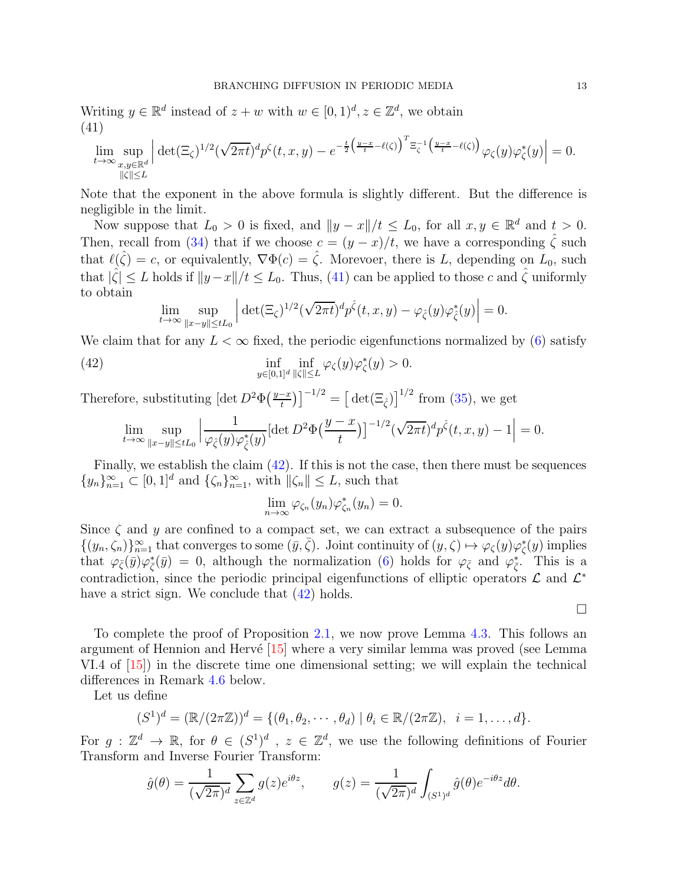Writing  $y \in \mathbb{R}^d$  instead of  $z + w$  with  $w \in [0, 1)^d, z \in \mathbb{Z}^d$ , we obtain (41)

<span id="page-12-0"></span>
$$
\lim_{t\to\infty}\sup_{\substack{x,y\in\mathbb{R}^d\\|\zeta|\le L}}\left|\det(\Xi_{\zeta})^{1/2}(\sqrt{2\pi t})^dp^{\zeta}(t,x,y)-e^{-\frac{t}{2}\left(\frac{y-x}{t}-\ell(\zeta)\right)^T\Xi_{\zeta}^{-1}\left(\frac{y-x}{t}-\ell(\zeta)\right)}\varphi_{\zeta}(y)\varphi_{\zeta}^*(y)\right|=0.
$$

Note that the exponent in the above formula is slightly different. But the difference is negligible in the limit.

Now suppose that  $L_0 > 0$  is fixed, and  $||y - x||/t \le L_0$ , for all  $x, y \in \mathbb{R}^d$  and  $t > 0$ . Then, recall from [\(34\)](#page-10-1) that if we choose  $c = (y - x)/t$ , we have a corresponding  $\hat{\zeta}$  such that  $\ell(\hat{\zeta}) = c$ , or equivalently,  $\nabla \Phi(c) = \hat{\zeta}$ . Morevoer, there is L, depending on  $L_0$ , such that  $|\hat{\zeta}| \leq L$  holds if  $||y-x||/t \leq L_0$ . Thus, [\(41\)](#page-12-0) can be applied to those c and  $\hat{\zeta}$  uniformly to obtain

<span id="page-12-1"></span>
$$
\lim_{t\to\infty}\sup_{\|x-y\|\leq tL_0}\left|\det(\Xi_{\zeta})^{1/2}(\sqrt{2\pi t})^dp^{\hat{\zeta}}(t,x,y)-\varphi_{\hat{\zeta}}(y)\varphi_{\hat{\zeta}}^*(y)\right|=0.
$$

We claim that for any  $L < \infty$  fixed, the periodic eigenfunctions normalized by [\(6\)](#page-3-4) satisfy

(42) 
$$
\inf_{y \in [0,1]^d} \inf_{\|\zeta\| \le L} \varphi_{\zeta}(y) \varphi_{\zeta}^*(y) > 0.
$$

Therefore, substituting  $\left[\det D^2 \Phi\left(\frac{y-x}{t}\right)\right]^{-1/2} = \left[\det(\Xi_{\hat{\zeta}})\right]^{1/2}$  from [\(35\)](#page-10-2), we get

$$
\lim_{t \to \infty} \sup_{\|x-y\| \le tL_0} \left| \frac{1}{\varphi_{\hat{\zeta}}(y)\varphi_{\hat{\zeta}}^*(y)} [\det D^2 \Phi(\frac{y-x}{t})]^{-1/2} (\sqrt{2\pi t})^d p^{\hat{\zeta}}(t,x,y) - 1 \right| = 0.
$$

Finally, we establish the claim [\(42\)](#page-12-1). If this is not the case, then there must be sequences  $\{y_n\}_{n=1}^{\infty} \subset [0,1]^d$  and  $\{\zeta_n\}_{n=1}^{\infty}$ , with  $\|\zeta_n\| \leq L$ , such that

$$
\lim_{n\to\infty}\varphi_{\zeta_n}(y_n)\varphi_{\zeta_n}^*(y_n)=0.
$$

Since  $\zeta$  and y are confined to a compact set, we can extract a subsequence of the pairs  $\{(y_n,\zeta_n)\}_{n=1}^{\infty}$  that converges to some  $(\bar{y},\bar{\zeta})$ . Joint continuity of  $(y,\zeta) \mapsto \varphi_{\zeta}(y)\varphi_{\zeta}^*(y)$  implies that  $\varphi_{\bar{\zeta}}(\bar{y})\varphi_{\bar{\zeta}}^*(\bar{y}) = 0$ , although the normalization [\(6\)](#page-3-4) holds for  $\varphi_{\bar{\zeta}}$  and  $\varphi_{\bar{\zeta}}^*$ . This is a contradiction, since the periodic principal eigenfunctions of elliptic operators  $\mathcal{L}$  and  $\mathcal{L}^*$ have a strict sign. We conclude that  $(42)$  holds.

 $\Box$ 

To complete the proof of Proposition [2.1,](#page-4-1) we now prove Lemma [4.3.](#page-11-0) This follows an argument of Hennion and Hervé  $[15]$  where a very similar lemma was proved (see Lemma VI.4 of [\[15\]](#page-42-15)) in the discrete time one dimensional setting; we will explain the technical differences in Remark [4.6](#page-17-0) below.

Let us define

$$
(S1)d = (\mathbb{R}/(2\pi\mathbb{Z}))d = \{(\theta_1, \theta_2, \cdots, \theta_d) | \theta_i \in \mathbb{R}/(2\pi\mathbb{Z}), i = 1, \ldots, d\}.
$$

For  $g: \mathbb{Z}^d \to \mathbb{R}$ , for  $\theta \in (S^1)^d$ ,  $z \in \mathbb{Z}^d$ , we use the following definitions of Fourier Transform and Inverse Fourier Transform:

$$
\hat{g}(\theta) = \frac{1}{(\sqrt{2\pi})^d} \sum_{z \in \mathbb{Z}^d} g(z) e^{i\theta z}, \qquad g(z) = \frac{1}{(\sqrt{2\pi})^d} \int_{(S^1)^d} \hat{g}(\theta) e^{-i\theta z} d\theta.
$$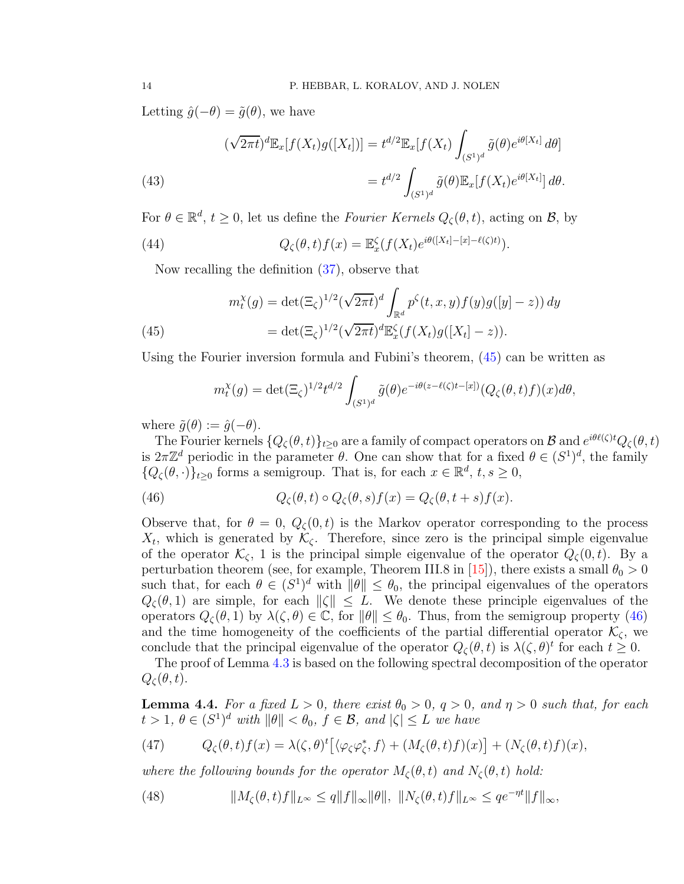Letting  $\hat{g}(-\theta) = \tilde{g}(\theta)$ , we have

(43)  
\n
$$
(\sqrt{2\pi t})^d \mathbb{E}_x[f(X_t)g([X_t])] = t^{d/2} \mathbb{E}_x[f(X_t) \int_{(S^1)^d} \tilde{g}(\theta) e^{i\theta[X_t]} d\theta]
$$
\n
$$
= t^{d/2} \int_{(S^1)^d} \tilde{g}(\theta) \mathbb{E}_x[f(X_t) e^{i\theta[X_t]}] d\theta.
$$

For  $\theta \in \mathbb{R}^d$ ,  $t \geq 0$ , let us define the *Fourier Kernels*  $Q_{\zeta}(\theta, t)$ , acting on  $\mathcal{B}$ , by

(44) 
$$
Q_{\zeta}(\theta,t)f(x) = \mathbb{E}_{x}^{\zeta}(f(X_{t})e^{i\theta([X_{t}]-[x]-\ell(\zeta)t)}).
$$

Now recalling the definition [\(37\)](#page-11-1), observe that

<span id="page-13-0"></span>(45) 
$$
m_t^{\chi}(g) = \det(\Xi_{\zeta})^{1/2} (\sqrt{2\pi t})^d \int_{\mathbb{R}^d} p^{\zeta}(t, x, y) f(y) g([y] - z)) dy
$$

$$
= \det(\Xi_{\zeta})^{1/2} (\sqrt{2\pi t})^d \mathbb{E}_x^{\zeta} (f(X_t) g([X_t] - z)).
$$

Using the Fourier inversion formula and Fubini's theorem, [\(45\)](#page-13-0) can be written as

<span id="page-13-1"></span>
$$
m_t^{\chi}(g) = \det(\Xi_{\zeta})^{1/2} t^{d/2} \int_{(S^1)^d} \tilde{g}(\theta) e^{-i\theta(z-\ell(\zeta)t-[x])} (Q_{\zeta}(\theta,t)f)(x) d\theta,
$$

where  $\tilde{g}(\theta) := \hat{g}(-\theta)$ .

The Fourier kernels  $\{Q_{\zeta}(\theta,t)\}_{t\geq0}$  are a family of compact operators on B and  $e^{i\theta\ell(\zeta)t}Q_{\zeta}(\theta,t)$ is  $2\pi\mathbb{Z}^d$  periodic in the parameter  $\theta$ . One can show that for a fixed  $\theta \in (S^1)^d$ , the family  ${Q_{\zeta}(\theta, \cdot)}_{t\geq 0}$  forms a semigroup. That is, for each  $x \in \mathbb{R}^d$ ,  $t, s \geq 0$ ,

(46) 
$$
Q_{\zeta}(\theta, t) \circ Q_{\zeta}(\theta, s) f(x) = Q_{\zeta}(\theta, t + s) f(x).
$$

Observe that, for  $\theta = 0$ ,  $Q_{\zeta}(0,t)$  is the Markov operator corresponding to the process  $X_t$ , which is generated by  $\mathcal{K}_{\zeta}$ . Therefore, since zero is the principal simple eigenvalue of the operator  $\mathcal{K}_{\zeta}$ , 1 is the principal simple eigenvalue of the operator  $Q_{\zeta}(0,t)$ . By a perturbation theorem (see, for example, Theorem III.8 in [\[15\]](#page-42-15)), there exists a small  $\theta_0 > 0$ such that, for each  $\theta \in (S^1)^d$  with  $\|\theta\| \leq \theta_0$ , the principal eigenvalues of the operators  $Q_{\zeta}(\theta,1)$  are simple, for each  $\|\zeta\|\leq L$ . We denote these principle eigenvalues of the operators  $Q_{\zeta}(\theta,1)$  by  $\lambda(\zeta,\theta) \in \mathbb{C}$ , for  $\|\theta\| \leq \theta_0$ . Thus, from the semigroup property [\(46\)](#page-13-1) and the time homogeneity of the coefficients of the partial differential operator  $\mathcal{K}_{\zeta}$ , we conclude that the principal eigenvalue of the operator  $Q_{\zeta}(\theta, t)$  is  $\lambda(\zeta, \theta)^t$  for each  $t \geq 0$ .

The proof of Lemma [4.3](#page-11-0) is based on the following spectral decomposition of the operator  $Q_{\zeta}(\theta, t).$ 

<span id="page-13-2"></span>**Lemma 4.4.** For a fixed  $L > 0$ , there exist  $\theta_0 > 0$ ,  $q > 0$ , and  $\eta > 0$  such that, for each  $t > 1, \ \theta \in (S^1)^d$  with  $\|\theta\| < \theta_0, \ f \in \mathcal{B}$ , and  $|\zeta| \leq L$  we have

<span id="page-13-3"></span>(47) 
$$
Q_{\zeta}(\theta,t)f(x) = \lambda(\zeta,\theta)^{t} \left[ \langle \varphi_{\zeta} \varphi_{\zeta}^{*}, f \rangle + (M_{\zeta}(\theta,t)f)(x) \right] + (N_{\zeta}(\theta,t)f)(x),
$$

where the following bounds for the operator  $M_{\zeta}(\theta, t)$  and  $N_{\zeta}(\theta, t)$  hold:

(48) 
$$
||M_{\zeta}(\theta,t)f||_{L^{\infty}} \leq q||f||_{\infty}||\theta||, ||N_{\zeta}(\theta,t)f||_{L^{\infty}} \leq qe^{-\eta t}||f||_{\infty},
$$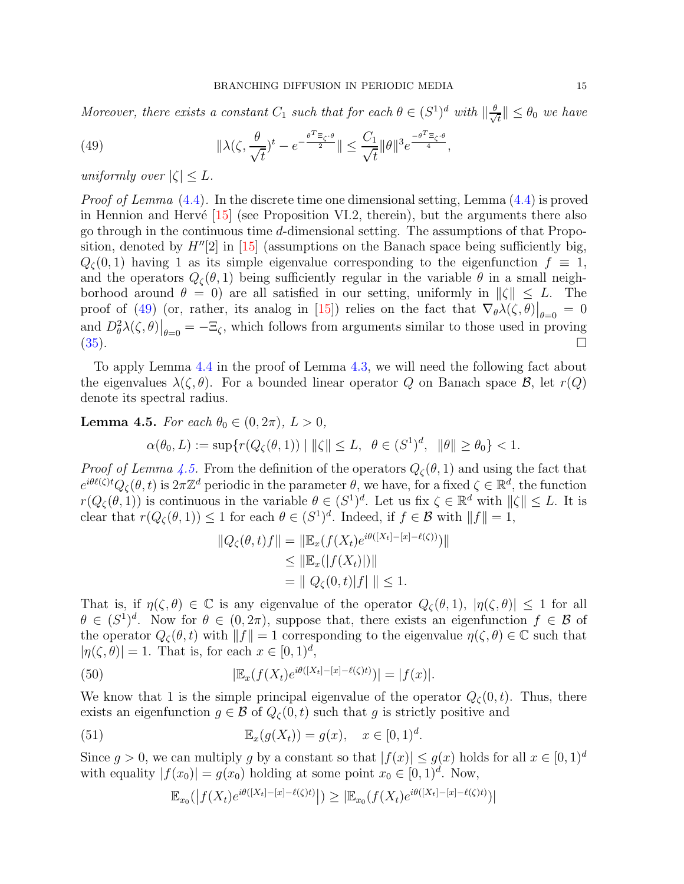Moreover, there exists a constant  $C_1$  such that for each  $\theta \in (S^1)^d$  with  $\|\frac{\theta}{\sqrt{N}}\|$  $\frac{1}{t}$ ||  $\leq \theta_0$  we have

<span id="page-14-0"></span>(49) 
$$
\|\lambda(\zeta,\frac{\theta}{\sqrt{t}})^t - e^{-\frac{\theta^T \Xi_{\zeta}\cdot \theta}{2}}\| \leq \frac{C_1}{\sqrt{t}} \|\theta\|^3 e^{\frac{-\theta^T \Xi_{\zeta}\cdot \theta}{4}},
$$

uniformly over  $|\zeta| \leq L$ .

*Proof of Lemma*  $(4.4)$ . In the discrete time one dimensional setting, Lemma  $(4.4)$  is proved in Hennion and Hervé  $[15]$  (see Proposition VI.2, therein), but the arguments there also go through in the continuous time d-dimensional setting. The assumptions of that Proposition, denoted by  $H''[2]$  in [\[15\]](#page-42-15) (assumptions on the Banach space being sufficiently big,  $Q_{\zeta}(0,1)$  having 1 as its simple eigenvalue corresponding to the eigenfunction  $f \equiv 1$ , and the operators  $Q_{\zeta}(\theta, 1)$  being sufficiently regular in the variable  $\theta$  in a small neighborhood around  $\theta = 0$ ) are all satisfied in our setting, uniformly in  $\|\zeta\| \leq L$ . The proof of [\(49\)](#page-14-0) (or, rather, its analog in [\[15\]](#page-42-15)) relies on the fact that  $\nabla_{\theta} \lambda(\zeta, \theta)|_{\theta=0} = 0$ and  $D_{\theta}^2 \lambda(\zeta, \theta)|_{\theta=0} = -\Xi_{\zeta}$ , which follows from arguments similar to those used in proving  $(35)$ .

To apply Lemma [4.4](#page-13-2) in the proof of Lemma [4.3,](#page-11-0) we will need the following fact about the eigenvalues  $\lambda(\zeta, \theta)$ . For a bounded linear operator Q on Banach space B, let  $r(Q)$ denote its spectral radius.

<span id="page-14-1"></span>**Lemma 4.5.** For each  $\theta_0 \in (0, 2\pi), L > 0$ ,

$$
\alpha(\theta_0, L) := \sup \{ r(Q_{\zeta}(\theta, 1)) \mid ||\zeta|| \le L, \ \theta \in (S^1)^d, \ \|\theta\| \ge \theta_0 \} < 1.
$$

*Proof of Lemma [4.5.](#page-14-1)* From the definition of the operators  $Q_{\zeta}(\theta, 1)$  and using the fact that  $e^{i\theta\ell(\zeta)t}Q_{\zeta}(\theta,t)$  is  $2\pi\mathbb{Z}^d$  periodic in the parameter  $\theta$ , we have, for a fixed  $\zeta \in \mathbb{R}^d$ , the function  $r(Q_{\zeta}(\theta, 1))$  is continuous in the variable  $\theta \in (S^1)^d$ . Let us fix  $\zeta \in \mathbb{R}^d$  with  $\|\zeta\| \leq L$ . It is clear that  $r(Q_\zeta(\theta,1)) \leq 1$  for each  $\theta \in (S^1)^d$ . Indeed, if  $f \in \mathcal{B}$  with  $||f|| = 1$ ,

$$
||Q_{\zeta}(\theta, t)f|| = ||\mathbb{E}_{x}(f(X_{t})e^{i\theta([X_{t}]-[x]-\ell(\zeta))})||
$$
  
\n
$$
\leq ||\mathbb{E}_{x}(|f(X_{t})|)||
$$
  
\n
$$
= ||Q_{\zeta}(0, t)|f|| || \leq 1.
$$

That is, if  $\eta(\zeta,\theta) \in \mathbb{C}$  is any eigenvalue of the operator  $Q_{\zeta}(\theta,1), |\eta(\zeta,\theta)| \leq 1$  for all  $\theta \in (S^1)^d$ . Now for  $\theta \in (0, 2\pi)$ , suppose that, there exists an eigenfunction  $f \in \mathcal{B}$  of the operator  $Q_{\zeta}(\theta, t)$  with  $||f|| = 1$  corresponding to the eigenvalue  $\eta(\zeta, \theta) \in \mathbb{C}$  such that  $|\eta(\zeta,\theta)| = 1$ . That is, for each  $x \in [0,1)^d$ ,

(50) 
$$
|\mathbb{E}_x(f(X_t)e^{i\theta([X_t]-[x]-\ell(\zeta)t)})|=|f(x)|.
$$

We know that 1 is the simple principal eigenvalue of the operator  $Q_{\zeta}(0,t)$ . Thus, there exists an eigenfunction  $g \in \mathcal{B}$  of  $Q_{\zeta}(0,t)$  such that g is strictly positive and

(51) 
$$
\mathbb{E}_x(g(X_t)) = g(x), \quad x \in [0,1)^d.
$$

Since  $g > 0$ , we can multiply g by a constant so that  $|f(x)| \le g(x)$  holds for all  $x \in [0,1]^d$ with equality  $|f(x_0)| = g(x_0)$  holding at some point  $x_0 \in [0, 1)^d$ . Now,

$$
\mathbb{E}_{x_0}(|f(X_t)e^{i\theta([X_t]-[x]-\ell(\zeta)t)}|) \geq |\mathbb{E}_{x_0}(f(X_t)e^{i\theta([X_t]-[x]-\ell(\zeta)t)})|
$$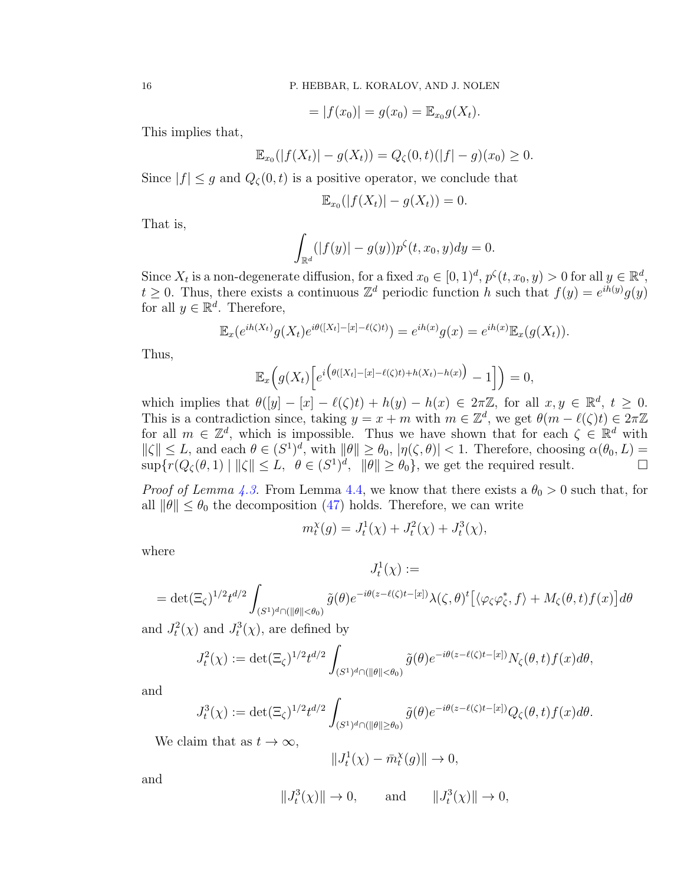$$
= |f(x_0)| = g(x_0) = \mathbb{E}_{x_0} g(X_t).
$$

This implies that,

$$
\mathbb{E}_{x_0}(|f(X_t)| - g(X_t)) = Q_{\zeta}(0,t)(|f| - g)(x_0) \ge 0.
$$

Since  $|f| \leq g$  and  $Q_{\zeta}(0,t)$  is a positive operator, we conclude that

$$
\mathbb{E}_{x_0}(|f(X_t)| - g(X_t)) = 0.
$$

That is,

$$
\int_{\mathbb{R}^d} (|f(y)| - g(y)) p^{\zeta}(t, x_0, y) dy = 0.
$$

Since  $X_t$  is a non-degenerate diffusion, for a fixed  $x_0 \in [0,1)^d$ ,  $p^{\zeta}(t, x_0, y) > 0$  for all  $y \in \mathbb{R}^d$ ,  $t \geq 0$ . Thus, there exists a continuous  $\mathbb{Z}^d$  periodic function h such that  $f(y) = e^{i\tilde{h}(y)}g(y)$ for all  $y \in \mathbb{R}^d$ . Therefore,

$$
\mathbb{E}_x(e^{ih(X_t)}g(X_t)e^{i\theta([X_t]-[x]-\ell(\zeta)t)})=e^{ih(x)}g(x)=e^{ih(x)}\mathbb{E}_x(g(X_t)).
$$

Thus,

$$
\mathbb{E}_x\Big(g(X_t)\Big[e^{i\big(\theta([X_t]-[x]-\ell(\zeta)t)+h(X_t)-h(x)\big)}-1\Big]\Big)=0,
$$

which implies that  $\theta([y] - [x] - \ell(\zeta)t) + h(y) - h(x) \in 2\pi\mathbb{Z}$ , for all  $x, y \in \mathbb{R}^d$ ,  $t \geq 0$ . This is a contradiction since, taking  $y = x + m$  with  $m \in \mathbb{Z}^d$ , we get  $\theta(m - \ell(\zeta)t) \in 2\pi\mathbb{Z}$ for all  $m \in \mathbb{Z}^d$ , which is impossible. Thus we have shown that for each  $\zeta \in \mathbb{R}^d$  with  $\|\zeta\| \le L$ , and each  $\theta \in (S^1)^d$ , with  $\|\theta\| \ge \theta_0$ ,  $|\eta(\zeta, \theta)| < 1$ . Therefore, choosing  $\alpha(\theta_0, L) =$  $\sup\{r(Q_{\zeta}(\theta,1)) \mid \|\zeta\| \leq L, \ \theta \in (S^1)^d, \ \|\theta\| \geq \theta_0\},\$  we get the required result.

*Proof of Lemma [4.3.](#page-11-0)* From Lemma [4.4,](#page-13-2) we know that there exists a  $\theta_0 > 0$  such that, for all  $\|\theta\| \leq \theta_0$  the decomposition [\(47\)](#page-13-3) holds. Therefore, we can write

$$
m_t^{\chi}(g) = J_t^1(\chi) + J_t^2(\chi) + J_t^3(\chi),
$$

where

$$
J_t^1(\chi) :=
$$
  
= det $(\Xi_{\zeta})^{1/2} t^{d/2} \int_{(S^1)^d \cap (\|\theta\| < \theta_0)} \tilde{g}(\theta) e^{-i\theta(z-\ell(\zeta)t-[x])} \lambda(\zeta,\theta)^t [\langle \varphi_{\zeta} \varphi_{\zeta}^*, f \rangle + M_{\zeta}(\theta,t) f(x)] d\theta$ 

and  $J_t^2(\chi)$  and  $J_t^3(\chi)$ , are defined by

$$
J_t^2(\chi) := \det(\Xi_{\zeta})^{1/2} t^{d/2} \int_{(S^1)^d \cap (\|\theta\| < \theta_0)} \tilde{g}(\theta) e^{-i\theta(z-\ell(\zeta)t-[x])} N_{\zeta}(\theta, t) f(x) d\theta,
$$

and

$$
J_t^3(\chi) := \det(\Xi_{\zeta})^{1/2} t^{d/2} \int_{(S^1)^d \cap (\|\theta\| \ge \theta_0)} \tilde{g}(\theta) e^{-i\theta(z-\ell(\zeta)t-[x])} Q_{\zeta}(\theta, t) f(x) d\theta.
$$

We claim that as  $t \to \infty$ ,

$$
||J_t^1(\chi) - \bar{m}_t^{\chi}(g)|| \to 0,
$$

and

$$
||J_t^3(\chi)|| \to 0
$$
, and  $||J_t^3(\chi)|| \to 0$ ,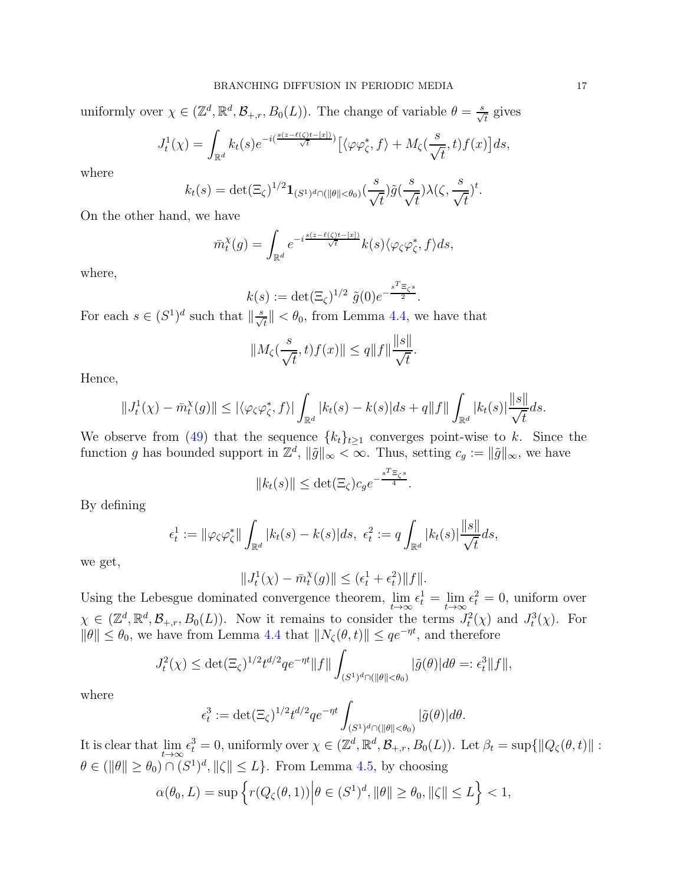uniformly over  $\chi \in (\mathbb{Z}^d, \mathbb{R}^d, \mathcal{B}_{+,r}, B_0(L))$ . The change of variable  $\theta = \frac{s}{\sqrt{t}}$  gives

$$
J_t^1(\chi) = \int_{\mathbb{R}^d} k_t(s) e^{-i(\frac{s(z-\ell(\zeta)t-[x])}{\sqrt{t}})} \left[ \langle \varphi \varphi_\zeta^*, f \rangle + M_\zeta(\frac{s}{\sqrt{t}}, t) f(x) \right] ds,
$$

where

$$
k_t(s) = \det(\Xi_{\zeta})^{1/2} \mathbf{1}_{(S^1)^d \cap (\|\theta\| < \theta_0)}(\frac{s}{\sqrt{t}}) \tilde{g}(\frac{s}{\sqrt{t}}) \lambda(\zeta, \frac{s}{\sqrt{t}})^t.
$$

On the other hand, we have

$$
\bar{m}_t^{\chi}(g) = \int_{\mathbb{R}^d} e^{-i\frac{s(z-\ell(\zeta)t - [x])}{\sqrt{t}}} k(s) \langle \varphi_{\zeta} \varphi_{\zeta}^*, f \rangle ds,
$$

where,

$$
k(s) := \det(\Xi_{\zeta})^{1/2} \tilde{g}(0) e^{-\frac{s^T \Xi_{\zeta} s}{2}}.
$$

For each  $s \in (S^1)^d$  such that  $\left\|\frac{s}{\sqrt{t}}\right\| < \theta_0$ , from Lemma [4.4,](#page-13-2) we have that

$$
||M_{\zeta}(\frac{s}{\sqrt{t}},t)f(x)|| \leq q||f||\frac{||s||}{\sqrt{t}}.
$$

Hence,

$$
||J_t^1(\chi) - \bar{m}_t^{\chi}(g)|| \leq |\langle \varphi_{\zeta} \varphi_{\zeta}^*, f \rangle| \int_{\mathbb{R}^d} |k_t(s) - k(s)| ds + q||f|| \int_{\mathbb{R}^d} |k_t(s)| \frac{||s||}{\sqrt{t}} ds.
$$

We observe from [\(49\)](#page-14-0) that the sequence  ${k_t}_{t\geq 1}$  converges point-wise to k. Since the function g has bounded support in  $\mathbb{Z}^d$ ,  $\|\tilde{g}\|_{\infty} < \infty$ . Thus, setting  $c_g := \|\tilde{g}\|_{\infty}$ , we have

$$
||k_t(s)|| \leq \det(\Xi_{\zeta})c_g e^{-\frac{s^T \Xi_{\zeta^s}}{4}}.
$$

By defining

$$
\epsilon_t^1 := \|\varphi_{\zeta}\varphi_{\zeta}^*\| \int_{\mathbb{R}^d} |k_t(s) - k(s)| ds, \ \epsilon_t^2 := q \int_{\mathbb{R}^d} |k_t(s)| \frac{\|s\|}{\sqrt{t}} ds,
$$

we get,

$$
||J_t^1(\chi) - \bar{m}_t^{\chi}(g)|| \le (\epsilon_t^1 + \epsilon_t^2) ||f||.
$$

Using the Lebesgue dominated convergence theorem,  $\lim_{t\to\infty} \epsilon_t^1 = \lim_{t\to\infty}$  $\epsilon_t^2 = 0$ , uniform over  $\chi \in (\mathbb{Z}^d, \mathbb{R}^d, \mathcal{B}_{+,r}, B_0(L))$ . Now it remains to consider the terms  $J_t^2(\chi)$  and  $J_t^3(\chi)$ . For  $\|\theta\| \leq \theta_0$ , we have from Lemma [4.4](#page-13-2) that  $\|N_{\zeta}(\theta, t)\| \leq qe^{-\eta t}$ , and therefore

$$
J_t^2(\chi) \le \det(\Xi_\zeta)^{1/2} t^{d/2} q e^{-\eta t} ||f|| \int_{(S^1)^d \cap (||\theta|| < \theta_0)} |\tilde{g}(\theta)| d\theta =: \epsilon_t^3 ||f||,
$$

where

$$
\epsilon_t^3 := \det(\Xi_\zeta)^{1/2} t^{d/2} q e^{-\eta t} \int_{(S^1)^d \cap (\|\theta\| < \theta_0)} |\tilde{g}(\theta)| d\theta.
$$

It is clear that lim  $t\rightarrow\infty$  $\epsilon_t^3 = 0$ , uniformly over  $\chi \in (\mathbb{Z}^d, \mathbb{R}^d, \mathcal{B}_{+,r}, B_0(L))$ . Let  $\beta_t = \sup \{ ||Q_\zeta(\theta, t)|| :$  $\theta \in (\|\theta\| \ge \theta_0) \cap (S^1)^d, \|\zeta\| \le L\}$ . From Lemma [4.5,](#page-14-1) by choosing

$$
\alpha(\theta_0, L) = \sup \left\{ r(Q_\zeta(\theta, 1)) \middle| \theta \in (S^1)^d, \|\theta\| \ge \theta_0, \|\zeta\| \le L \right\} < 1,
$$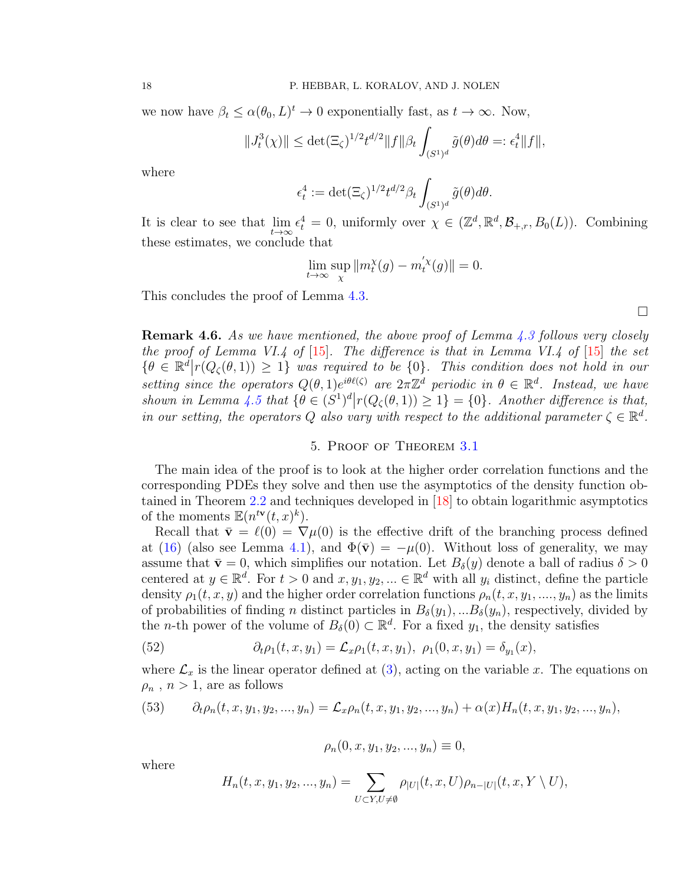we now have  $\beta_t \leq \alpha(\theta_0, L)^t \to 0$  exponentially fast, as  $t \to \infty$ . Now,

$$
||J_t^3(\chi)|| \le \det(\Xi_{\zeta})^{1/2} t^{d/2} ||f|| \beta_t \int_{(S^1)^d} \tilde{g}(\theta) d\theta =: \epsilon_t^4 ||f||,
$$

where

$$
\epsilon_t^4 := \det(\Xi_\zeta)^{1/2} t^{d/2} \beta_t \int_{(S^1)^d} \tilde{g}(\theta) d\theta.
$$

It is clear to see that lim  $t\rightarrow \infty$  $\epsilon_t^4 = 0$ , uniformly over  $\chi \in (\mathbb{Z}^d, \mathbb{R}^d, \mathcal{B}_{+,r}, B_0(L))$ . Combining these estimates, we conclude that

$$
\lim_{t \to \infty} \sup_{\chi} ||m_t^{\chi}(g) - m_t^{'\chi}(g)|| = 0.
$$

This concludes the proof of Lemma [4.3.](#page-11-0)

<span id="page-17-0"></span>**Remark 4.6.** As we have mentioned, the above proof of Lemma [4.3](#page-11-0) follows very closely the proof of Lemma VI.4 of  $[15]$ . The difference is that in Lemma VI.4 of  $[15]$  the set  $\{\theta \in \mathbb{R}^d | r(Q_{\zeta}(\theta,1)) \geq 1\}$  was required to be  $\{0\}$ . This condition does not hold in our setting since the operators  $Q(\theta, 1)e^{i\theta\ell(\zeta)}$  are  $2\pi\mathbb{Z}^d$  periodic in  $\theta \in \mathbb{R}^d$ . Instead, we have shown in Lemma [4.5](#page-14-1) that  $\{\theta \in (S^1)^d | r(Q_\zeta(\theta, 1)) \geq 1\} = \{0\}$ . Another difference is that, in our setting, the operators Q also vary with respect to the additional parameter  $\zeta \in \mathbb{R}^d$ .

### 5. Proof of Theorem [3.1](#page-6-2)

The main idea of the proof is to look at the higher order correlation functions and the corresponding PDEs they solve and then use the asymptotics of the density function obtained in Theorem [2.2](#page-4-2) and techniques developed in [\[18\]](#page-43-1) to obtain logarithmic asymptotics of the moments  $\mathbb{E}(n^{t\mathbf{v}}(t,x)^k)$ .

Recall that  $\bar{\mathbf{v}} = \ell(0) = \nabla \mu(0)$  is the effective drift of the branching process defined at [\(16\)](#page-5-0) (also see Lemma [4.1\)](#page-10-3), and  $\Phi(\bar{v}) = -\mu(0)$ . Without loss of generality, we may assume that  $\bar{\mathbf{v}} = 0$ , which simplifies our notation. Let  $B_{\delta}(y)$  denote a ball of radius  $\delta > 0$ centered at  $y \in \mathbb{R}^d$ . For  $t > 0$  and  $x, y_1, y_2, ... \in \mathbb{R}^d$  with all  $y_i$  distinct, define the particle density  $\rho_1(t, x, y)$  and the higher order correlation functions  $\rho_n(t, x, y_1, \ldots, y_n)$  as the limits of probabilities of finding n distinct particles in  $B_\delta(y_1),...B_\delta(y_n)$ , respectively, divided by the *n*-th power of the volume of  $B_\delta(0) \subset \mathbb{R}^d$ . For a fixed  $y_1$ , the density satisfies

<span id="page-17-2"></span>(52) 
$$
\partial_t \rho_1(t, x, y_1) = \mathcal{L}_x \rho_1(t, x, y_1), \ \rho_1(0, x, y_1) = \delta_{y_1}(x),
$$

where  $\mathcal{L}_x$  is the linear operator defined at [\(3\)](#page-1-0), acting on the variable x. The equations on  $\rho_n$ ,  $n > 1$ , are as follows

<span id="page-17-1"></span>(53) 
$$
\partial_t \rho_n(t, x, y_1, y_2, ..., y_n) = \mathcal{L}_x \rho_n(t, x, y_1, y_2, ..., y_n) + \alpha(x) H_n(t, x, y_1, y_2, ..., y_n),
$$

$$
\rho_n(0, x, y_1, y_2, ..., y_n) \equiv 0,
$$

where

$$
H_n(t, x, y_1, y_2, ..., y_n) = \sum_{U \subset Y, U \neq \emptyset} \rho_{|U|}(t, x, U) \rho_{n-|U|}(t, x, Y \setminus U),
$$

 $\Box$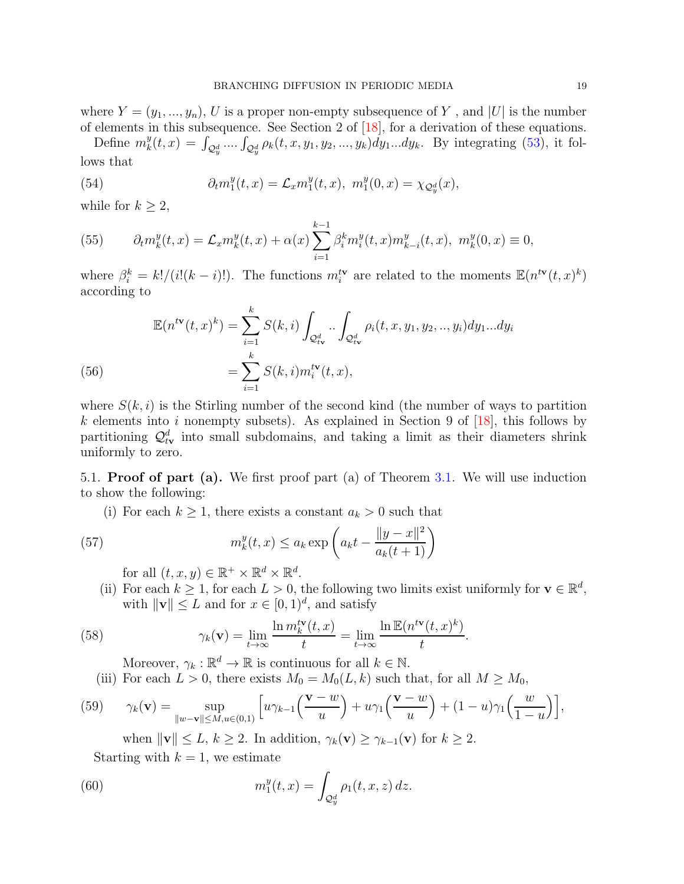where  $Y = (y_1, ..., y_n)$ , U is a proper non-empty subsequence of Y, and |U| is the number of elements in this subsequence. See Section 2 of [\[18\]](#page-43-1), for a derivation of these equations.

Define  $m_k^y$  $y_k^y(t, x) = \int_{Q_y^d} ... \int_{Q_y^d} \rho_k(t, x, y_1, y_2, ..., y_k) dy_1...dy_k$ . By integrating [\(53\)](#page-17-1), it follows that

(54) 
$$
\partial_t m_1^y(t,x) = \mathcal{L}_x m_1^y(t,x), \ m_1^y(0,x) = \chi_{\mathcal{Q}_y^d}(x),
$$

while for  $k \geq 2$ ,

<span id="page-18-1"></span>(55) 
$$
\partial_t m_k^y(t,x) = \mathcal{L}_x m_k^y(t,x) + \alpha(x) \sum_{i=1}^{k-1} \beta_i^k m_i^y(t,x) m_{k-i}^y(t,x), \ m_k^y(0,x) \equiv 0,
$$

where  $\beta_i^k = k!/(i!(k-i)!)$ . The functions  $m_i^{t\mathbf{v}}$  are related to the moments  $\mathbb{E}(n^{t\mathbf{v}}(t,x)^k)$ according to

(56)  
\n
$$
\mathbb{E}(n^{t\mathbf{v}}(t,x)^k) = \sum_{i=1}^k S(k,i) \int_{\mathcal{Q}_{t\mathbf{v}}^d} \int_{\mathcal{Q}_{t\mathbf{v}}^d} \rho_i(t,x,y_1,y_2,..,y_i) dy_1...dy_i
$$
\n
$$
= \sum_{i=1}^k S(k,i)m_i^{t\mathbf{v}}(t,x),
$$

<span id="page-18-3"></span>where  $S(k, i)$  is the Stirling number of the second kind (the number of ways to partition  $k$  elements into i nonempty subsets). As explained in Section 9 of  $[18]$ , this follows by partitioning  $\mathcal{Q}^d_{t\mathbf{v}}$  into small subdomains, and taking a limit as their diameters shrink uniformly to zero.

5.1. Proof of part (a). We first proof part (a) of Theorem [3.1.](#page-6-2) We will use induction to show the following:

(i) For each  $k \geq 1$ , there exists a constant  $a_k > 0$  such that

(57) 
$$
m_k^y(t,x) \le a_k \exp\left(a_k t - \frac{\|y-x\|^2}{a_k(t+1)}\right)
$$

<span id="page-18-2"></span>for all  $(t, x, y) \in \mathbb{R}^+ \times \mathbb{R}^d \times \mathbb{R}^d$ .

(ii) For each  $k \geq 1$ , for each  $L > 0$ , the following two limits exist uniformly for  $\mathbf{v} \in \mathbb{R}^d$ , with  $\|\mathbf{v}\| \leq L$  and for  $x \in [0, 1)^d$ , and satisfy

(58) 
$$
\gamma_k(\mathbf{v}) = \lim_{t \to \infty} \frac{\ln m_k^{t\mathbf{v}}(t,x)}{t} = \lim_{t \to \infty} \frac{\ln \mathbb{E}(n^{t\mathbf{v}}(t,x)^k)}{t}.
$$

<span id="page-18-4"></span>Moreover,  $\gamma_k : \mathbb{R}^d \to \mathbb{R}$  is continuous for all  $k \in \mathbb{N}$ .

(iii) For each  $L > 0$ , there exists  $M_0 = M_0(L, k)$  such that, for all  $M \ge M_0$ ,

(59) 
$$
\gamma_k(\mathbf{v}) = \sup_{\|w-\mathbf{v}\| \le M, u \in (0,1)} \left[ u\gamma_{k-1}\left(\frac{\mathbf{v}-w}{u}\right) + u\gamma_1\left(\frac{\mathbf{v}-w}{u}\right) + (1-u)\gamma_1\left(\frac{w}{1-u}\right) \right],
$$

<span id="page-18-5"></span><span id="page-18-0"></span>when  $\|\mathbf{v}\| \leq L, k \geq 2$ . In addition,  $\gamma_k(\mathbf{v}) \geq \gamma_{k-1}(\mathbf{v})$  for  $k \geq 2$ .

Starting with  $k = 1$ , we estimate

(60) 
$$
m_1^y(t,x) = \int_{\mathcal{Q}_y^d} \rho_1(t,x,z) \, dz.
$$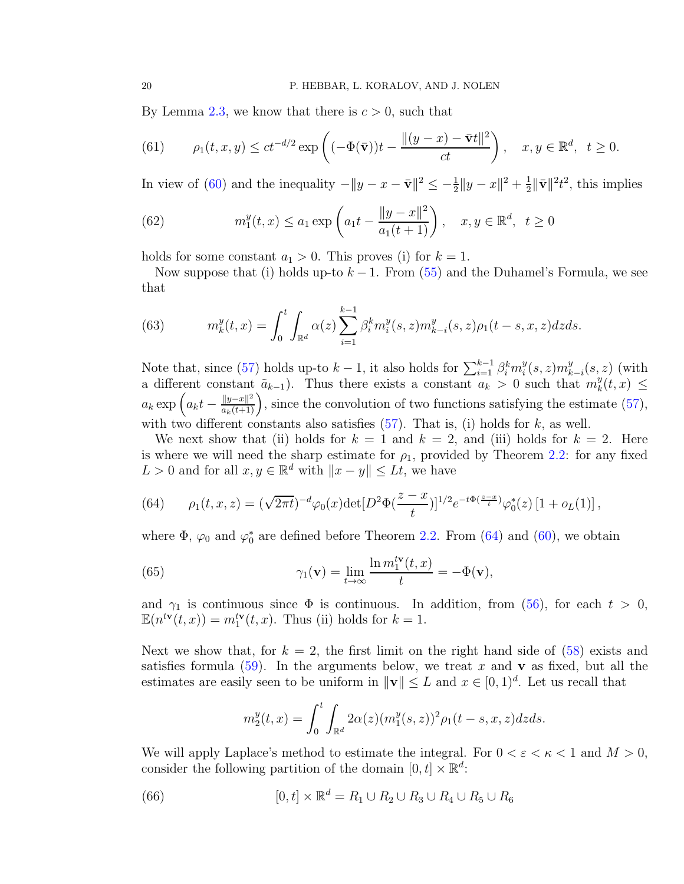By Lemma [2.3,](#page-5-1) we know that there is  $c > 0$ , such that

<span id="page-19-2"></span>(61) 
$$
\rho_1(t,x,y) \le ct^{-d/2} \exp\left((-\Phi(\bar{\mathbf{v}}))t - \frac{\|(y-x) - \bar{\mathbf{v}}t\|^2}{ct}\right), \quad x, y \in \mathbb{R}^d, \ t \ge 0.
$$

In view of [\(60\)](#page-18-0) and the inequality  $-||y - x - \bar{v}||^2 \le -\frac{1}{2}||y - x||^2 + \frac{1}{2}$  $\frac{1}{2} \|\bar{\mathbf{v}}\|^2 t^2$ , this implies

<span id="page-19-1"></span>(62) 
$$
m_1^y(t,x) \le a_1 \exp\left(a_1 t - \frac{\|y-x\|^2}{a_1(t+1)}\right), \quad x, y \in \mathbb{R}^d, \ \ t \ge 0
$$

holds for some constant  $a_1 > 0$ . This proves (i) for  $k = 1$ .

Now suppose that (i) holds up-to  $k-1$ . From [\(55\)](#page-18-1) and the Duhamel's Formula, we see that

<span id="page-19-4"></span>(63) 
$$
m_k^y(t,x) = \int_0^t \int_{\mathbb{R}^d} \alpha(z) \sum_{i=1}^{k-1} \beta_i^k m_i^y(s,z) m_{k-i}^y(s,z) \rho_1(t-s,x,z) dz ds.
$$

Note that, since [\(57\)](#page-18-2) holds up-to  $k-1$ , it also holds for  $\sum_{i=1}^{k-1} \beta_i^k m_i^y$  $i^y(s,z)m_k^y$  $\binom{y}{k-i}(s,z)$  (with a different constant  $\tilde{a}_{k-1}$ ). Thus there exists a constant  $\tilde{a}_k > 0$  such that  $m_k^y$  $_{k}^{y}(t,x)\leq$  $a_k \exp\left(a_k t - \frac{\|y-x\|^2}{a_k(t+1)}\right)$ , since the convolution of two functions satisfying the estimate [\(57\)](#page-18-2), with two different constants also satisfies  $(57)$ . That is, (i) holds for k, as well.

We next show that (ii) holds for  $k = 1$  and  $k = 2$ , and (iii) holds for  $k = 2$ . Here is where we will need the sharp estimate for  $\rho_1$ , provided by Theorem [2.2:](#page-4-2) for any fixed  $L > 0$  and for all  $x, y \in \mathbb{R}^d$  with  $||x - y|| \leq Lt$ , we have

<span id="page-19-0"></span>(64) 
$$
\rho_1(t,x,z) = (\sqrt{2\pi t})^{-d} \varphi_0(x) \det[D^2 \Phi(\frac{z-x}{t})]^{1/2} e^{-t \Phi(\frac{z-x}{t})} \varphi_0^*(z) [1 + o_L(1)],
$$

where  $\Phi$ ,  $\varphi_0$  and  $\varphi_0^*$  are defined before Theorem [2.2.](#page-4-2) From [\(64\)](#page-19-0) and [\(60\)](#page-18-0), we obtain

(65) 
$$
\gamma_1(\mathbf{v}) = \lim_{t \to \infty} \frac{\ln m_1^{t\mathbf{v}}(t,x)}{t} = -\Phi(\mathbf{v}),
$$

and  $\gamma_1$  is continuous since  $\Phi$  is continuous. In addition, from [\(56\)](#page-18-3), for each  $t > 0$ ,  $\mathbb{E}(n^{t\mathbf{v}}(t,x)) = m_1^{t\mathbf{v}}(t,x)$ . Thus (ii) holds for  $k = 1$ .

Next we show that, for  $k = 2$ , the first limit on the right hand side of [\(58\)](#page-18-4) exists and satisfies formula [\(59\)](#page-18-5). In the arguments below, we treat x and v as fixed, but all the estimates are easily seen to be uniform in  $\|\mathbf{v}\| \leq L$  and  $x \in [0, 1)^d$ . Let us recall that

<span id="page-19-5"></span><span id="page-19-3"></span>
$$
m_2^{y}(t,x) = \int_0^t \int_{\mathbb{R}^d} 2\alpha(z) (m_1^{y}(s,z))^2 \rho_1(t-s,x,z) dz ds.
$$

We will apply Laplace's method to estimate the integral. For  $0 < \varepsilon < \kappa < 1$  and  $M > 0$ , consider the following partition of the domain  $[0, t] \times \mathbb{R}^d$ :

(66) 
$$
[0, t] \times \mathbb{R}^d = R_1 \cup R_2 \cup R_3 \cup R_4 \cup R_5 \cup R_6
$$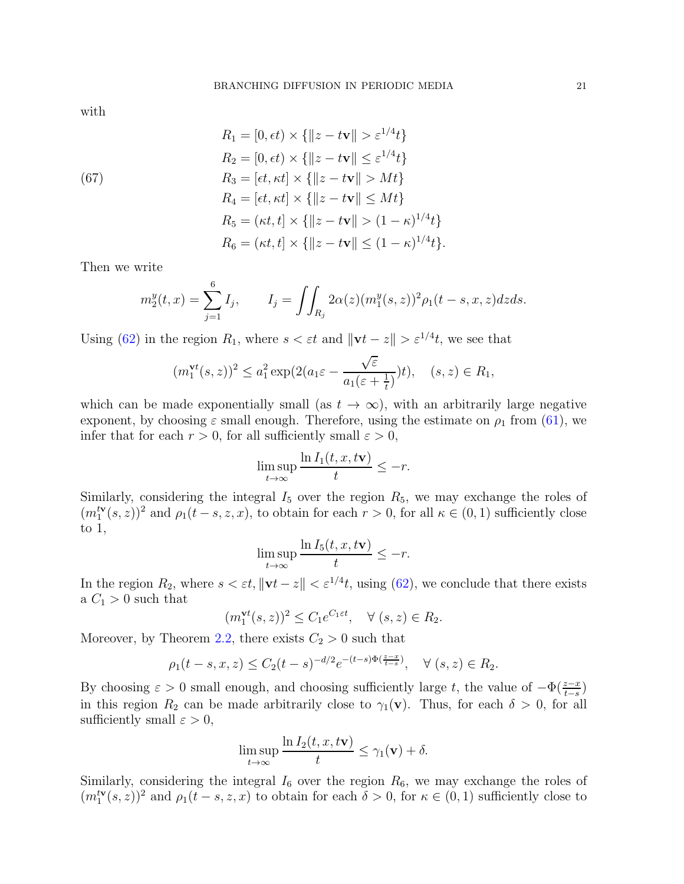with

<span id="page-20-0"></span>(67)  
\n
$$
R_1 = [0, \epsilon t) \times \{ ||z - t\mathbf{v}|| > \varepsilon^{1/4} t \}
$$
\n
$$
R_2 = [0, \epsilon t) \times \{ ||z - t\mathbf{v}|| \le \varepsilon^{1/4} t \}
$$
\n
$$
R_3 = [\epsilon t, \kappa t] \times \{ ||z - t\mathbf{v}|| > Mt \}
$$
\n
$$
R_4 = [\epsilon t, \kappa t] \times \{ ||z - t\mathbf{v}|| \le Mt \}
$$
\n
$$
R_5 = (\kappa t, t] \times \{ ||z - t\mathbf{v}|| > (1 - \kappa)^{1/4} t \}
$$
\n
$$
R_6 = (\kappa t, t] \times \{ ||z - t\mathbf{v}|| \le (1 - \kappa)^{1/4} t \}.
$$

Then we write

$$
m_2^y(t,x) = \sum_{j=1}^6 I_j, \qquad I_j = \iint_{R_j} 2\alpha(z) (m_1^y(s,z))^2 \rho_1(t-s,x,z) dz ds.
$$

Using [\(62\)](#page-19-1) in the region  $R_1$ , where  $s < \varepsilon t$  and  $\|\mathbf{v}t - z\| > \varepsilon^{1/4}t$ , we see that

$$
(m_1^{\mathbf{v}t}(s,z))^2 \le a_1^2 \exp(2(a_1\varepsilon - \frac{\sqrt{\varepsilon}}{a_1(\varepsilon + \frac{1}{t})})t), \quad (s,z) \in R_1,
$$

which can be made exponentially small (as  $t \to \infty$ ), with an arbitrarily large negative exponent, by choosing  $\varepsilon$  small enough. Therefore, using the estimate on  $\rho_1$  from [\(61\)](#page-19-2), we infer that for each  $r > 0$ , for all sufficiently small  $\varepsilon > 0$ ,

$$
\limsup_{t \to \infty} \frac{\ln I_1(t, x, t\mathbf{v})}{t} \le -r.
$$

Similarly, considering the integral  $I_5$  over the region  $R_5$ , we may exchange the roles of  $(m_1^{\mathsf{tv}}(s,z))^2$  and  $\rho_1(t-s,z,x)$ , to obtain for each  $r > 0$ , for all  $\kappa \in (0,1)$  sufficiently close to 1,

$$
\limsup_{t\to\infty}\frac{\ln I_5(t,x,t\mathbf{v})}{t}\leq -r.
$$

In the region  $R_2$ , where  $s < \varepsilon t$ ,  $\|\mathbf{v}t - z\| < \varepsilon^{1/4}t$ , using [\(62\)](#page-19-1), we conclude that there exists a  $C_1 > 0$  such that

$$
(m_1^{\mathbf{vt}}(s,z))^2 \le C_1 e^{C_1 \varepsilon t}, \quad \forall (s,z) \in R_2.
$$

Moreover, by Theorem [2.2,](#page-4-2) there exists  $C_2 > 0$  such that

$$
\rho_1(t-s,x,z) \le C_2(t-s)^{-d/2} e^{-(t-s)\Phi(\frac{z-x}{t-s})}, \quad \forall (s,z) \in R_2.
$$

By choosing  $\varepsilon > 0$  small enough, and choosing sufficiently large t, the value of  $-\Phi(\frac{z-x}{t-s})$ in this region  $R_2$  can be made arbitrarily close to  $\gamma_1(\mathbf{v})$ . Thus, for each  $\delta > 0$ , for all sufficiently small  $\varepsilon > 0$ ,

$$
\limsup_{t \to \infty} \frac{\ln I_2(t, x, t\mathbf{v})}{t} \le \gamma_1(\mathbf{v}) + \delta.
$$

Similarly, considering the integral  $I_6$  over the region  $R_6$ , we may exchange the roles of  $(m_1^{\mathbf{tv}}(s, z))^2$  and  $\rho_1(t-s, z, x)$  to obtain for each  $\delta > 0$ , for  $\kappa \in (0, 1)$  sufficiently close to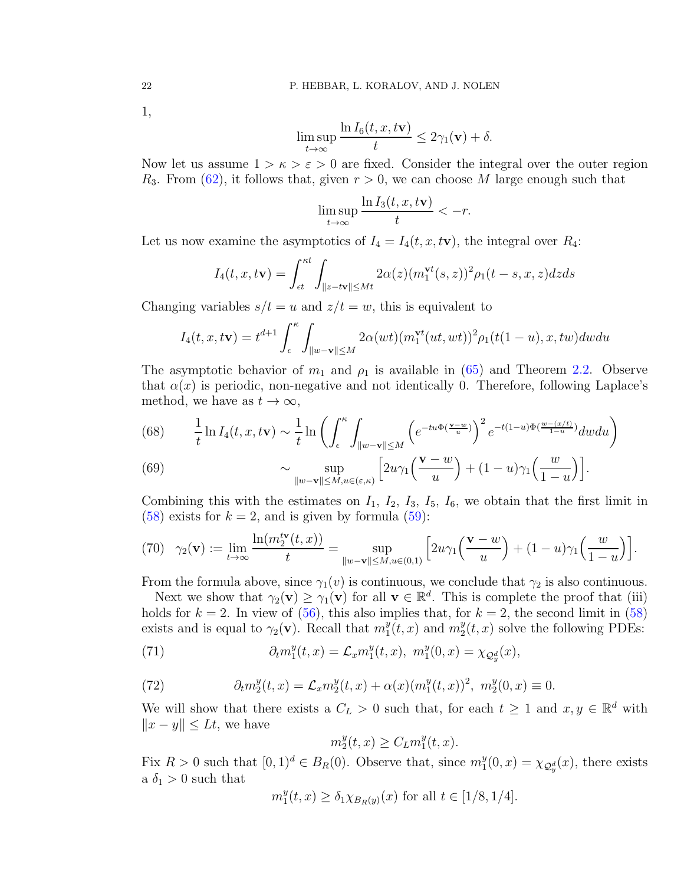#### 22 P. HEBBAR, L. KORALOV, AND J. NOLEN

1,

$$
\limsup_{t \to \infty} \frac{\ln I_6(t, x, t\mathbf{v})}{t} \le 2\gamma_1(\mathbf{v}) + \delta.
$$

Now let us assume  $1 > \kappa > \varepsilon > 0$  are fixed. Consider the integral over the outer region  $R_3$ . From [\(62\)](#page-19-1), it follows that, given  $r > 0$ , we can choose M large enough such that

$$
\limsup_{t \to \infty} \frac{\ln I_3(t, x, t\mathbf{v})}{t} < -r.
$$

Let us now examine the asymptotics of  $I_4 = I_4(t, x, t\mathbf{v})$ , the integral over  $R_4$ :

$$
I_4(t, x, t\mathbf{v}) = \int_{\epsilon t}^{\kappa t} \int_{\|z - t\mathbf{v}\| \le Mt} 2\alpha(z) (m_1^{\mathbf{v}t}(s, z))^2 \rho_1(t - s, x, z) dz ds
$$

Changing variables  $s/t = u$  and  $z/t = w$ , this is equivalent to

$$
I_4(t, x, t\mathbf{v}) = t^{d+1} \int_{\epsilon}^{\kappa} \int_{\|w-\mathbf{v}\| \le M} 2\alpha(wt) (m_1^{\mathbf{v}t}(ut, wt))^2 \rho_1(t(1-u), x, tw) dw du
$$

The asymptotic behavior of  $m_1$  and  $\rho_1$  is available in [\(65\)](#page-19-3) and Theorem [2.](#page-4-2)2. Observe that  $\alpha(x)$  is periodic, non-negative and not identically 0. Therefore, following Laplace's method, we have as  $t \to \infty$ ,

(68) 
$$
\frac{1}{t} \ln I_4(t, x, t\mathbf{v}) \sim \frac{1}{t} \ln \left( \int_{\epsilon}^{\kappa} \int_{\|w - \mathbf{v}\| \le M} \left( e^{-tu\Phi(\frac{\mathbf{v} - w}{u})} \right)^2 e^{-t(1-u)\Phi(\frac{w - (x/t)}{1-u})} dw du \right)
$$
  
(69) 
$$
\approx \sup \left[ 2uv_1 \left( \frac{\mathbf{v} - w}{1-u} \right) + (1-u)v_1 \left( \frac{w}{u} \right) \right]
$$

(69) 
$$
\sim \sup_{\|w-\mathbf{v}\|\leq M, u\in(\varepsilon,\kappa)} \left[2u\gamma_1\left(\frac{\mathbf{v}-w}{u}\right)+(1-u)\gamma_1\left(\frac{w}{1-u}\right)\right].
$$

Combining this with the estimates on  $I_1$ ,  $I_2$ ,  $I_3$ ,  $I_5$ ,  $I_6$ , we obtain that the first limit in  $(58)$  exists for  $k = 2$ , and is given by formula  $(59)$ :

(70) 
$$
\gamma_2(\mathbf{v}) := \lim_{t \to \infty} \frac{\ln(m_2^{\mathbf{tv}}(t,x))}{t} = \sup_{\|w - \mathbf{v}\| \le M, u \in (0,1)} \left[ 2u \gamma_1\left(\frac{\mathbf{v} - w}{u}\right) + (1-u)\gamma_1\left(\frac{w}{1-u}\right) \right].
$$

From the formula above, since  $\gamma_1(v)$  is continuous, we conclude that  $\gamma_2$  is also continuous.

Next we show that  $\gamma_2(\mathbf{v}) \geq \gamma_1(\mathbf{v})$  for all  $\mathbf{v} \in \mathbb{R}^d$ . This is complete the proof that (iii) holds for  $k = 2$ . In view of [\(56\)](#page-18-3), this also implies that, for  $k = 2$ , the second limit in [\(58\)](#page-18-4) exists and is equal to  $\gamma_2(\mathbf{v})$ . Recall that  $m_1^y$  $y_1(t, x)$  and  $m_2^y$  $_{2}^{y}(t,x)$  solve the following PDEs:

(71) 
$$
\partial_t m_1^y(t,x) = \mathcal{L}_x m_1^y(t,x), \ m_1^y(0,x) = \chi_{\mathcal{Q}_y^d}(x),
$$

<span id="page-21-0"></span>(72) 
$$
\partial_t m_2^y(t,x) = \mathcal{L}_x m_2^y(t,x) + \alpha(x) (m_1^y(t,x))^2, \ m_2^y(0,x) \equiv 0.
$$

We will show that there exists a  $C_L > 0$  such that, for each  $t \geq 1$  and  $x, y \in \mathbb{R}^d$  with  $||x - y|| \leq Lt$ , we have

<span id="page-21-1"></span>
$$
m_2^y(t, x) \ge C_L m_1^y(t, x).
$$

Fix  $R > 0$  such that  $[0, 1)^d \in B_R(0)$ . Observe that, since  $m_1^y$  $y_1^y(0, x) = \chi_{\mathcal{Q}_y^d}(x)$ , there exists a  $\delta_1 > 0$  such that

$$
m_1^y(t, x) \ge \delta_1 \chi_{B_R(y)}(x)
$$
 for all  $t \in [1/8, 1/4]$ .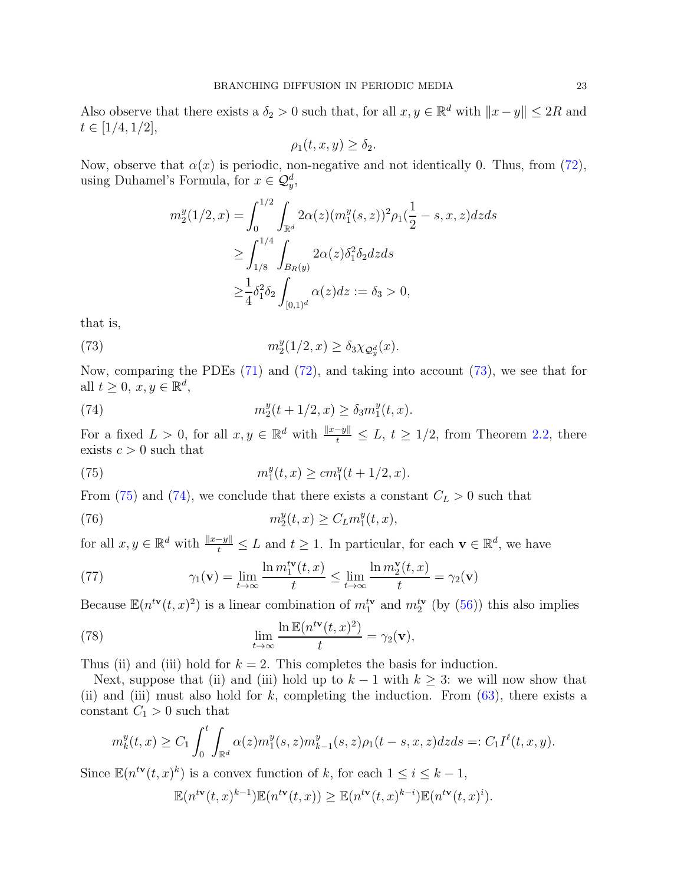Also observe that there exists a  $\delta_2 > 0$  such that, for all  $x, y \in \mathbb{R}^d$  with  $||x - y|| \leq 2R$  and  $t \in [1/4, 1/2],$ 

$$
\rho_1(t, x, y) \ge \delta_2.
$$

Now, observe that  $\alpha(x)$  is periodic, non-negative and not identically 0. Thus, from [\(72\)](#page-21-0), using Duhamel's Formula, for  $x \in \mathcal{Q}_y^d$ ,

<span id="page-22-0"></span>
$$
m_2^y(1/2, x) = \int_0^{1/2} \int_{\mathbb{R}^d} 2\alpha(z) (m_1^y(s, z))^2 \rho_1(\frac{1}{2} - s, x, z) dz ds
$$
  
\n
$$
\geq \int_{1/8}^{1/4} \int_{B_R(y)} 2\alpha(z) \delta_1^2 \delta_2 dz ds
$$
  
\n
$$
\geq \frac{1}{4} \delta_1^2 \delta_2 \int_{[0, 1)^d} \alpha(z) dz := \delta_3 > 0,
$$

that is,

(73) 
$$
m_2^y(1/2, x) \ge \delta_3 \chi_{\mathcal{Q}_y^d}(x).
$$

Now, comparing the PDEs [\(71\)](#page-21-1) and [\(72\)](#page-21-0), and taking into account [\(73\)](#page-22-0), we see that for all  $t \geq 0$ ,  $x, y \in \mathbb{R}^d$ ,

<span id="page-22-2"></span>(74) 
$$
m_2^y(t+1/2, x) \ge \delta_3 m_1^y(t, x).
$$

For a fixed  $L > 0$ , for all  $x, y \in \mathbb{R}^d$  with  $\frac{\|x-y\|}{t} \le L$ ,  $t \ge 1/2$ , from Theorem [2.2,](#page-4-2) there exists  $c > 0$  such that

<span id="page-22-1"></span>(75) 
$$
m_1^y(t,x) \geq cm_1^y(t+1/2,x).
$$

From [\(75\)](#page-22-1) and [\(74\)](#page-22-2), we conclude that there exists a constant  $C_L > 0$  such that

(76) 
$$
m_2^y(t,x) \ge C_L m_1^y(t,x),
$$

for all  $x, y \in \mathbb{R}^d$  with  $\frac{\|x-y\|}{t} \leq L$  and  $t \geq 1$ . In particular, for each  $\mathbf{v} \in \mathbb{R}^d$ , we have

(77) 
$$
\gamma_1(\mathbf{v}) = \lim_{t \to \infty} \frac{\ln m_1^{t\mathbf{v}}(t, x)}{t} \le \lim_{t \to \infty} \frac{\ln m_2^{\mathbf{v}}(t, x)}{t} = \gamma_2(\mathbf{v})
$$

Because  $\mathbb{E}(n^{t\mathbf{v}}(t,x)^2)$  is a linear combination of  $m_1^{t\mathbf{v}}$  and  $m_2^{t\mathbf{v}}$  (by [\(56\)](#page-18-3)) this also implies

(78) 
$$
\lim_{t \to \infty} \frac{\ln \mathbb{E}(n^{t\mathbf{v}}(t,x)^2)}{t} = \gamma_2(\mathbf{v}),
$$

Thus (ii) and (iii) hold for  $k = 2$ . This completes the basis for induction.

Next, suppose that (ii) and (iii) hold up to  $k-1$  with  $k \geq 3$ : we will now show that (ii) and (iii) must also hold for  $k$ , completing the induction. From  $(63)$ , there exists a constant  $C_1 > 0$  such that

$$
m_k^y(t,x) \ge C_1 \int_0^t \int_{\mathbb{R}^d} \alpha(z) m_1^y(s,z) m_{k-1}^y(s,z) \rho_1(t-s,x,z) dz ds =: C_1 I^{\ell}(t,x,y).
$$

Since  $\mathbb{E}(n^{t\mathbf{v}}(t,x)^k)$  is a convex function of k, for each  $1 \leq i \leq k-1$ ,

$$
\mathbb{E}(n^{t\mathbf{v}}(t,x)^{k-1})\mathbb{E}(n^{t\mathbf{v}}(t,x)) \geq \mathbb{E}(n^{t\mathbf{v}}(t,x)^{k-i})\mathbb{E}(n^{t\mathbf{v}}(t,x)^{i}).
$$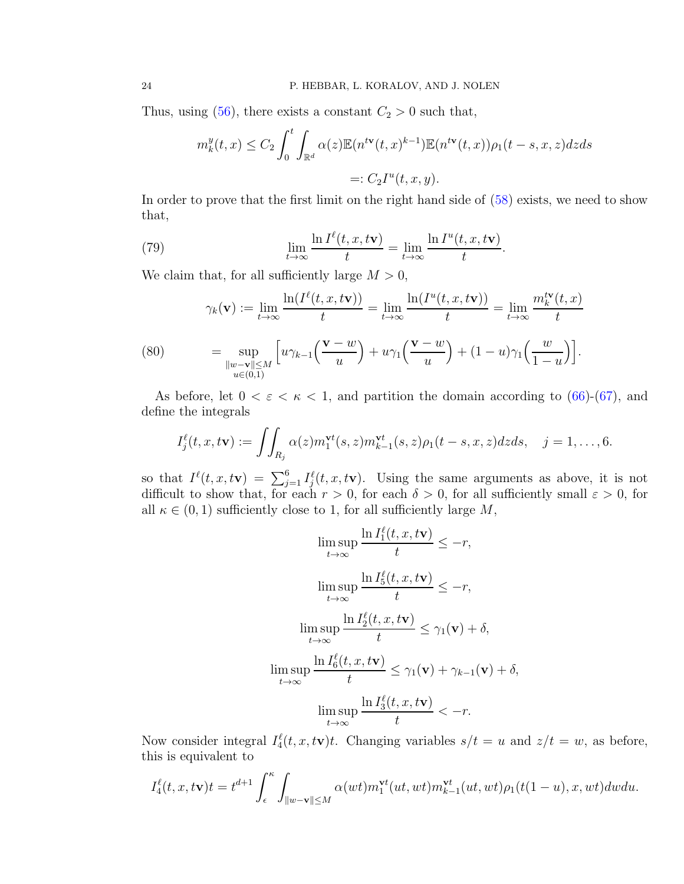Thus, using  $(56)$ , there exists a constant  $C_2 > 0$  such that,

<span id="page-23-0"></span>
$$
m_k^y(t,x) \le C_2 \int_0^t \int_{\mathbb{R}^d} \alpha(z) \mathbb{E}(n^{t\mathbf{v}}(t,x)^{k-1}) \mathbb{E}(n^{t\mathbf{v}}(t,x)) \rho_1(t-s,x,z) dz ds
$$
  
=:  $C_2 I^u(t,x,y)$ .

In order to prove that the first limit on the right hand side of [\(58\)](#page-18-4) exists, we need to show that,

(79) 
$$
\lim_{t \to \infty} \frac{\ln I^{\ell}(t, x, t\mathbf{v})}{t} = \lim_{t \to \infty} \frac{\ln I^{u}(t, x, t\mathbf{v})}{t}.
$$

We claim that, for all sufficiently large  $M > 0$ ,

(80) 
$$
\gamma_k(\mathbf{v}) := \lim_{t \to \infty} \frac{\ln(I^{\ell}(t, x, t\mathbf{v}))}{t} = \lim_{t \to \infty} \frac{\ln(I^u(t, x, t\mathbf{v}))}{t} = \lim_{t \to \infty} \frac{m_k^{t\mathbf{v}}(t, x)}{t}
$$

$$
= \sup_{\substack{\|w - \mathbf{v}\| \le M \\ u \in (0, 1)}} \left[ u\gamma_{k-1}\left(\frac{\mathbf{v} - w}{u}\right) + u\gamma_1\left(\frac{\mathbf{v} - w}{u}\right) + (1 - u)\gamma_1\left(\frac{w}{1 - u}\right) \right].
$$

<span id="page-23-1"></span>As before, let  $0 < \varepsilon < \kappa < 1$ , and partition the domain according to [\(66\)](#page-19-5)-[\(67\)](#page-20-0), and define the integrals

$$
I_j^{\ell}(t,x,t\mathbf{v}):=\iint_{R_j}\alpha(z)m_1^{\mathbf{v}t}(s,z)m_{k-1}^{\mathbf{v}t}(s,z)\rho_1(t-s,x,z)dzds,\quad j=1,\ldots,6.
$$

so that  $I^{\ell}(t, x, t\mathbf{v}) = \sum_{j=1}^{6} I^{\ell}_j(t, x, t\mathbf{v})$ . Using the same arguments as above, it is not difficult to show that, for each  $r > 0$ , for each  $\delta > 0$ , for all sufficiently small  $\varepsilon > 0$ , for all  $\kappa \in (0, 1)$  sufficiently close to 1, for all sufficiently large M,

$$
\limsup_{t \to \infty} \frac{\ln I_1^{\ell}(t, x, t\mathbf{v})}{t} \le -r,
$$
\n
$$
\limsup_{t \to \infty} \frac{\ln I_5^{\ell}(t, x, t\mathbf{v})}{t} \le -r,
$$
\n
$$
\limsup_{t \to \infty} \frac{\ln I_2^{\ell}(t, x, t\mathbf{v})}{t} \le \gamma_1(\mathbf{v}) + \delta,
$$
\n
$$
\limsup_{t \to \infty} \frac{\ln I_6^{\ell}(t, x, t\mathbf{v})}{t} \le \gamma_1(\mathbf{v}) + \gamma_{k-1}(\mathbf{v}) + \delta,
$$
\n
$$
\limsup_{t \to \infty} \frac{\ln I_3^{\ell}(t, x, t\mathbf{v})}{t} < -r.
$$

Now consider integral  $I_4^{\ell}(t, x, t\mathbf{v})t$ . Changing variables  $s/t = u$  and  $z/t = w$ , as before, this is equivalent to

$$
I_4^{\ell}(t, x, t\mathbf{v})t = t^{d+1} \int_{\epsilon}^{\kappa} \int_{\|w-\mathbf{v}\| \le M} \alpha(wt) m_1^{\mathbf{v}t}(ut, wt) m_{k-1}^{\mathbf{v}t}(ut, wt) \rho_1(t(1-u), x, wt) dw du.
$$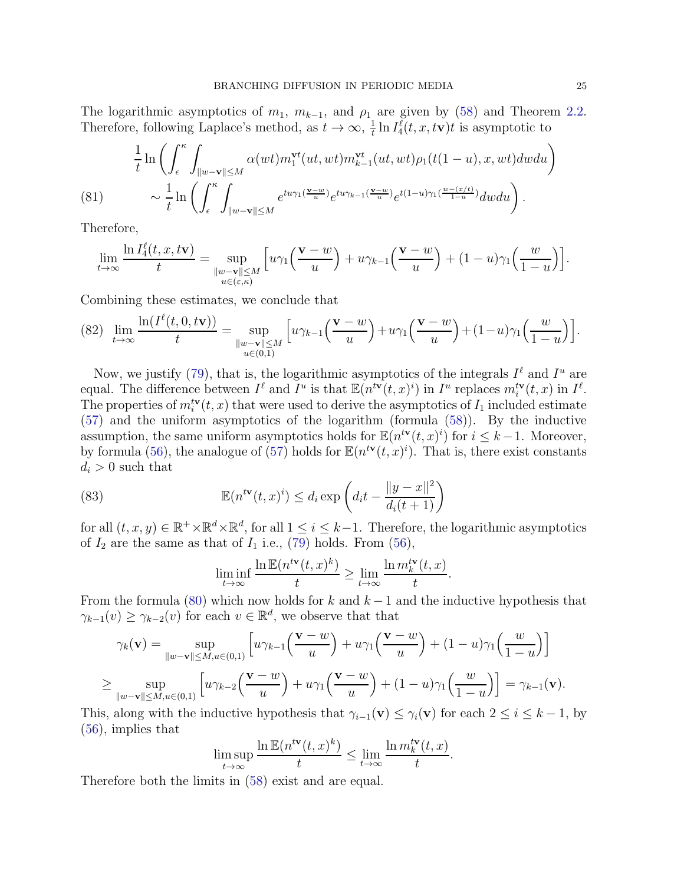The logarithmic asymptotics of  $m_1$ ,  $m_{k-1}$ , and  $\rho_1$  are given by [\(58\)](#page-18-4) and Theorem [2.2.](#page-4-2) Therefore, following Laplace's method, as  $t \to \infty$ ,  $\frac{1}{t}$  $\frac{1}{t} \ln I_4^{\ell}(t, x, t\mathbf{v})t$  is asymptotic to

$$
\frac{1}{t}\ln\left(\int_{\epsilon}^{\kappa}\int_{\|w-v\|\leq M}\alpha(wt)m_1^{\mathbf{v}t}(ut, wt)m_{k-1}^{\mathbf{v}t}(ut, wt)\rho_1(t(1-u), x, wt)dwdu\right) \sim \frac{1}{t}\ln\left(\int_{\epsilon}^{\kappa}\int_{\|w-v\|\leq M}e^{tu\gamma_1(\frac{\mathbf{v}-w}{u})}e^{tu\gamma_{k-1}(\frac{\mathbf{v}-w}{u})}e^{t(1-u)\gamma_1(\frac{w-(x/t)}{1-u})}dwdu\right).
$$

Therefore,

$$
\lim_{t \to \infty} \frac{\ln I_4^{\ell}(t, x, t\mathbf{v})}{t} = \sup_{\substack{\|w - \mathbf{v}\| \le M \\ u \in (\varepsilon, \kappa)}} \left[ u\gamma_1\left(\frac{\mathbf{v} - w}{u}\right) + u\gamma_{k-1}\left(\frac{\mathbf{v} - w}{u}\right) + (1 - u)\gamma_1\left(\frac{w}{1 - u}\right) \right].
$$

Combining these estimates, we conclude that

<span id="page-24-0"></span>
$$
(82)\ \lim_{t\to\infty}\frac{\ln(I^{\ell}(t,0,t\mathbf{v}))}{t}=\sup_{\substack{\|w-\mathbf{v}\|\leq M\\u\in(0,1)}}\Big[u\gamma_{k-1}\Big(\frac{\mathbf{v}-w}{u}\Big)+u\gamma_1\Big(\frac{\mathbf{v}-w}{u}\Big)+(1-u)\gamma_1\Big(\frac{w}{1-u}\Big)\Big].
$$

Now, we justify [\(79\)](#page-23-0), that is, the logarithmic asymptotics of the integrals  $I^{\ell}$  and  $I^u$  are equal. The difference between  $I^{\ell}$  and  $I^u$  is that  $\mathbb{E}(n^{t\mathbf{v}}(t,x)^i)$  in  $I^u$  replaces  $m_i^{t\mathbf{v}}(t,x)$  in  $I^{\ell}$ . The properties of  $m_i^{t\mathbf{v}}(t, x)$  that were used to derive the asymptotics of  $I_1$  included estimate [\(57\)](#page-18-2) and the uniform asymptotics of the logarithm (formula [\(58\)](#page-18-4)). By the inductive assumption, the same uniform asymptotics holds for  $\mathbb{E}(n^{t\mathbf{v}}(t,x)^i)$  for  $i \leq k-1$ . Moreover, by formula [\(56\)](#page-18-3), the analogue of [\(57\)](#page-18-2) holds for  $\mathbb{E}(n^{t\mathbf{v}}(t,x)^i)$ . That is, there exist constants  $d_i > 0$  such that

(83) 
$$
\mathbb{E}(n^{t\mathbf{v}}(t,x)^{i}) \leq d_{i} \exp\left(d_{i}t - \frac{\|y-x\|^{2}}{d_{i}(t+1)}\right)
$$

for all  $(t, x, y) \in \mathbb{R}^+ \times \mathbb{R}^d \times \mathbb{R}^d$ , for all  $1 \leq i \leq k-1$ . Therefore, the logarithmic asymptotics of  $I_2$  are the same as that of  $I_1$  i.e., [\(79\)](#page-23-0) holds. From [\(56\)](#page-18-3),

$$
\liminf_{t \to \infty} \frac{\ln \mathbb{E}(n^{t\mathbf{v}}(t,x)^k)}{t} \ge \lim_{t \to \infty} \frac{\ln m_k^{t\mathbf{v}}(t,x)}{t}.
$$

From the formula [\(80\)](#page-23-1) which now holds for k and  $k-1$  and the inductive hypothesis that  $\gamma_{k-1}(v) \geq \gamma_{k-2}(v)$  for each  $v \in \mathbb{R}^d$ , we observe that that

$$
\gamma_k(\mathbf{v}) = \sup_{\|w-\mathbf{v}\| \le M, u \in (0,1)} \left[ u\gamma_{k-1}\left(\frac{\mathbf{v}-w}{u}\right) + u\gamma_1\left(\frac{\mathbf{v}-w}{u}\right) + (1-u)\gamma_1\left(\frac{w}{1-u}\right) \right]
$$
  

$$
\ge \sup_{\|w-\mathbf{v}\| \le M, u \in (0,1)} \left[ u\gamma_{k-2}\left(\frac{\mathbf{v}-w}{u}\right) + u\gamma_1\left(\frac{\mathbf{v}-w}{u}\right) + (1-u)\gamma_1\left(\frac{w}{1-u}\right) \right] = \gamma_{k-1}(\mathbf{v}).
$$

This, along with the inductive hypothesis that  $\gamma_{i-1}(\mathbf{v}) \leq \gamma_i(\mathbf{v})$  for each  $2 \leq i \leq k-1$ , by  $(56)$ , implies that

$$
\limsup_{t \to \infty} \frac{\ln \mathbb{E}(n^{t\mathbf{v}}(t,x)^k)}{t} \le \lim_{t \to \infty} \frac{\ln m_k^{t\mathbf{v}}(t,x)}{t}.
$$

Therefore both the limits in [\(58\)](#page-18-4) exist and are equal.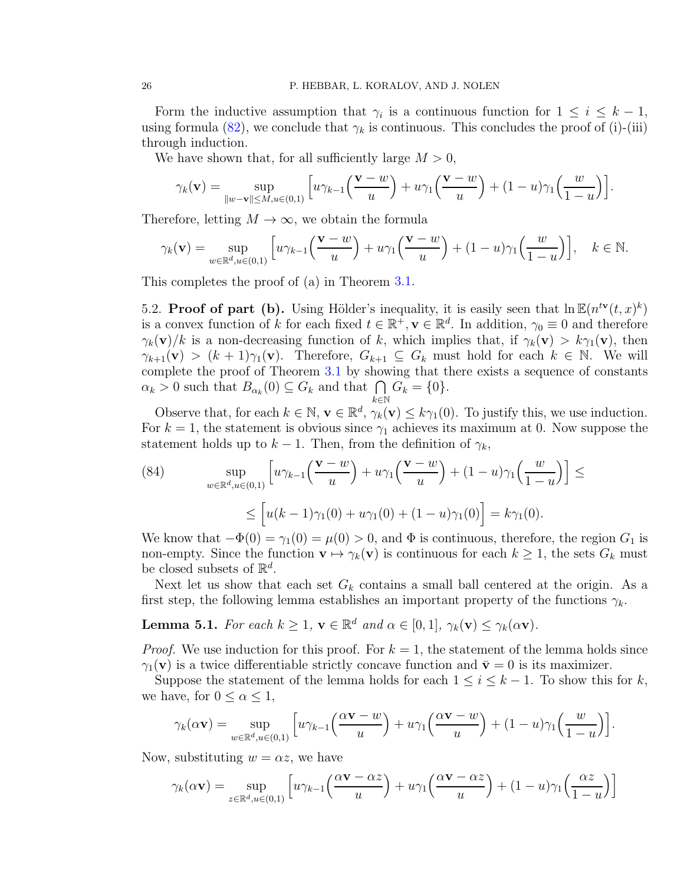Form the inductive assumption that  $\gamma_i$  is a continuous function for  $1 \leq i \leq k-1$ , using formula [\(82\)](#page-24-0), we conclude that  $\gamma_k$  is continuous. This concludes the proof of (i)-(iii) through induction.

We have shown that, for all sufficiently large  $M > 0$ ,

$$
\gamma_k(\mathbf{v}) = \sup_{\|w-\mathbf{v}\| \le M, u \in (0,1)} \left[ u\gamma_{k-1}\left(\frac{\mathbf{v}-w}{u}\right) + u\gamma_1\left(\frac{\mathbf{v}-w}{u}\right) + (1-u)\gamma_1\left(\frac{w}{1-u}\right) \right].
$$

Therefore, letting  $M \to \infty$ , we obtain the formula

$$
\gamma_k(\mathbf{v}) = \sup_{w \in \mathbb{R}^d, u \in (0,1)} \left[ u \gamma_{k-1} \left( \frac{\mathbf{v} - w}{u} \right) + u \gamma_1 \left( \frac{\mathbf{v} - w}{u} \right) + (1 - u) \gamma_1 \left( \frac{w}{1 - u} \right) \right], \quad k \in \mathbb{N}.
$$

This completes the proof of (a) in Theorem [3.1.](#page-6-2)

5.2. Proof of part (b). Using Hölder's inequality, it is easily seen that  $\ln \mathbb{E}(n^{t\mathbf{v}}(t,x)^k)$ is a convex function of k for each fixed  $t \in \mathbb{R}^+, \mathbf{v} \in \mathbb{R}^d$ . In addition,  $\gamma_0 \equiv 0$  and therefore  $\gamma_k(\mathbf{v})/k$  is a non-decreasing function of k, which implies that, if  $\gamma_k(\mathbf{v}) > k\gamma_1(\mathbf{v})$ , then  $\gamma_{k+1}(\mathbf{v}) > (k+1)\gamma_1(\mathbf{v})$ . Therefore,  $G_{k+1} \subseteq G_k$  must hold for each  $k \in \mathbb{N}$ . We will complete the proof of Theorem [3.1](#page-6-2) by showing that there exists a sequence of constants  $\alpha_k > 0$  such that  $B_{\alpha_k}(0) \subseteq G_k$  and that  $\bigcap_{k \in \mathbb{N}} G_k = \{0\}.$  $k\in\mathbb{N}$ 

Observe that, for each  $k \in \mathbb{N}$ ,  $\mathbf{v} \in \mathbb{R}^d$ ,  $\gamma_k(\mathbf{v}) \leq k\gamma_1(0)$ . To justify this, we use induction. For  $k = 1$ , the statement is obvious since  $\gamma_1$  achieves its maximum at 0. Now suppose the statement holds up to  $k-1$ . Then, from the definition of  $\gamma_k$ ,

<span id="page-25-1"></span>(84) 
$$
\sup_{w \in \mathbb{R}^d, u \in (0,1)} \left[ u\gamma_{k-1} \left( \frac{\mathbf{v} - w}{u} \right) + u\gamma_1 \left( \frac{\mathbf{v} - w}{u} \right) + (1 - u)\gamma_1 \left( \frac{w}{1 - u} \right) \right] \le
$$
  

$$
\leq \left[ u(k-1)\gamma_1(0) + u\gamma_1(0) + (1 - u)\gamma_1(0) \right] = k\gamma_1(0).
$$

We know that  $-\Phi(0) = \gamma_1(0) = \mu(0) > 0$ , and  $\Phi$  is continuous, therefore, the region  $G_1$  is non-empty. Since the function  $\mathbf{v} \mapsto \gamma_k(\mathbf{v})$  is continuous for each  $k \geq 1$ , the sets  $G_k$  must be closed subsets of  $\mathbb{R}^d$ .

Next let us show that each set  $G_k$  contains a small ball centered at the origin. As a first step, the following lemma establishes an important property of the functions  $\gamma_k$ .

<span id="page-25-0"></span>**Lemma 5.1.** For each  $k \geq 1$ ,  $\mathbf{v} \in \mathbb{R}^d$  and  $\alpha \in [0, 1]$ ,  $\gamma_k(\mathbf{v}) \leq \gamma_k(\alpha \mathbf{v})$ .

*Proof.* We use induction for this proof. For  $k = 1$ , the statement of the lemma holds since  $\gamma_1(\mathbf{v})$  is a twice differentiable strictly concave function and  $\bar{\mathbf{v}}=0$  is its maximizer.

Suppose the statement of the lemma holds for each  $1 \leq i \leq k-1$ . To show this for k, we have, for  $0 \leq \alpha \leq 1$ ,

$$
\gamma_k(\alpha \mathbf{v}) = \sup_{w \in \mathbb{R}^d, u \in (0,1)} \left[ u \gamma_{k-1} \left( \frac{\alpha \mathbf{v} - w}{u} \right) + u \gamma_1 \left( \frac{\alpha \mathbf{v} - w}{u} \right) + (1 - u) \gamma_1 \left( \frac{w}{1 - u} \right) \right].
$$

Now, substituting  $w = \alpha z$ , we have

$$
\gamma_k(\alpha \mathbf{v}) = \sup_{z \in \mathbb{R}^d, u \in (0,1)} \left[ u \gamma_{k-1} \left( \frac{\alpha \mathbf{v} - \alpha z}{u} \right) + u \gamma_1 \left( \frac{\alpha \mathbf{v} - \alpha z}{u} \right) + (1 - u) \gamma_1 \left( \frac{\alpha z}{1 - u} \right) \right]
$$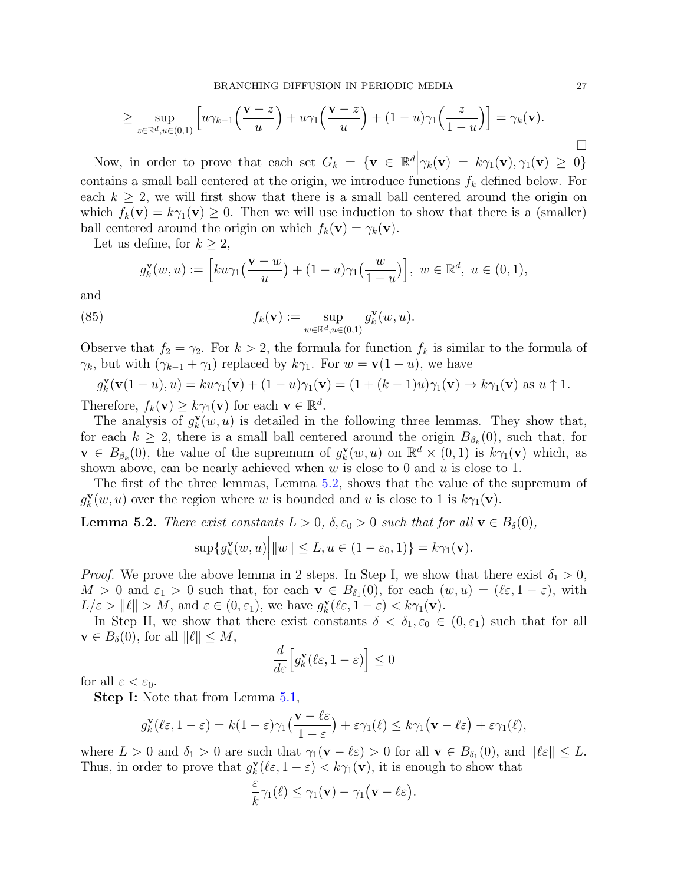$$
\geq \sup_{z \in \mathbb{R}^d, u \in (0,1)} \left[ u \gamma_{k-1} \left( \frac{\mathbf{v} - z}{u} \right) + u \gamma_1 \left( \frac{\mathbf{v} - z}{u} \right) + (1 - u) \gamma_1 \left( \frac{z}{1 - u} \right) \right] = \gamma_k(\mathbf{v}).
$$

Now, in order to prove that each set  $G_k = {\mathbf{v} \in \mathbb{R}^d \Big|\gamma_k(\mathbf{v}) = k\gamma_1(\mathbf{v}), \gamma_1(\mathbf{v}) \geq 0}$ contains a small ball centered at the origin, we introduce functions  $f_k$  defined below. For each  $k \geq 2$ , we will first show that there is a small ball centered around the origin on which  $f_k(\mathbf{v}) = k\gamma_1(\mathbf{v}) \geq 0$ . Then we will use induction to show that there is a (smaller) ball centered around the origin on which  $f_k(\mathbf{v}) = \gamma_k(\mathbf{v})$ .

Let us define, for  $k \geq 2$ ,

$$
g_k^{\mathbf{v}}(w, u) := \left[ku\gamma_1\left(\frac{\mathbf{v} - w}{u}\right) + (1 - u)\gamma_1\left(\frac{w}{1 - u}\right)\right], \ w \in \mathbb{R}^d, \ u \in (0, 1),
$$

and

(85) 
$$
f_k(\mathbf{v}) := \sup_{w \in \mathbb{R}^d, u \in (0,1)} g_k^{\mathbf{v}}(w, u).
$$

Observe that  $f_2 = \gamma_2$ . For  $k > 2$ , the formula for function  $f_k$  is similar to the formula of  $\gamma_k$ , but with  $(\gamma_{k-1} + \gamma_1)$  replaced by  $k\gamma_1$ . For  $w = \mathbf{v}(1-u)$ , we have

$$
g_k^{\mathbf{v}}(\mathbf{v}(1-u),u) = ku\gamma_1(\mathbf{v}) + (1-u)\gamma_1(\mathbf{v}) = (1 + (k-1)u)\gamma_1(\mathbf{v}) \to k\gamma_1(\mathbf{v}) \text{ as } u \uparrow 1.
$$

Therefore,  $f_k(\mathbf{v}) \geq k \gamma_1(\mathbf{v})$  for each  $\mathbf{v} \in \mathbb{R}^d$ .

The analysis of  $g_k^{\mathbf{v}}$  $\mathbf{v}_k^{\mathbf{v}}(w, u)$  is detailed in the following three lemmas. They show that, for each  $k \geq 2$ , there is a small ball centered around the origin  $B_{\beta_k}(0)$ , such that, for  $\mathbf{v} \in B_{\beta_k}(0)$ , the value of the supremum of  $g_k^{\mathbf{v}}$  $\mathbf{R}^{\mathbf{v}}(w, u)$  on  $\mathbb{R}^d \times (0, 1)$  is  $k\gamma_1(\mathbf{v})$  which, as shown above, can be nearly achieved when  $w$  is close to 0 and  $u$  is close to 1.

The first of the three lemmas, Lemma [5.2,](#page-26-0) shows that the value of the supremum of  $g_k^{\mathbf{v}}$  $\mathbf{v}_k^{\mathbf{v}}(w, u)$  over the region where w is bounded and u is close to 1 is  $k\gamma_1(\mathbf{v})$ .

<span id="page-26-0"></span>**Lemma 5.2.** There exist constants  $L > 0$ ,  $\delta, \epsilon_0 > 0$  such that for all  $\mathbf{v} \in B_{\delta}(0)$ ,

 $\mathbf{I}$ 

$$
\sup\{g_k^{\mathbf{v}}(w,u)\Big|\|w\|\leq L, u\in(1-\varepsilon_0,1)\}=k\gamma_1(\mathbf{v}).
$$

*Proof.* We prove the above lemma in 2 steps. In Step I, we show that there exist  $\delta_1 > 0$ ,  $M > 0$  and  $\varepsilon_1 > 0$  such that, for each  $\mathbf{v} \in B_{\delta_1}(0)$ , for each  $(w, u) = (\ell \varepsilon, 1 - \varepsilon)$ , with  $L/\varepsilon > ||\ell|| > M$ , and  $\varepsilon \in (0, \varepsilon_1)$ , we have  $g_k^{\mathbf{v}}$  $k(\ell \varepsilon, 1-\varepsilon) < k\gamma_1(\mathbf{v}).$ 

In Step II, we show that there exist constants  $\delta < \delta_1, \varepsilon_0 \in (0, \varepsilon_1)$  such that for all  $\mathbf{v} \in B_{\delta}(0)$ , for all  $\|\ell\| \leq M$ ,

$$
\frac{d}{d\varepsilon} \Big[ g_k^{\mathbf{v}}(\ell\varepsilon, 1-\varepsilon) \Big] \le 0
$$

for all  $\varepsilon < \varepsilon_0$ .

Step I: Note that from Lemma [5.1,](#page-25-0)

$$
g_k^{\mathbf{v}}(\ell \varepsilon, 1-\varepsilon) = k(1-\varepsilon)\gamma_1\big(\frac{\mathbf{v}-\ell \varepsilon}{1-\varepsilon}\big) + \varepsilon \gamma_1(\ell) \le k\gamma_1\big(\mathbf{v}-\ell \varepsilon\big) + \varepsilon \gamma_1(\ell),
$$

where  $L > 0$  and  $\delta_1 > 0$  are such that  $\gamma_1(\mathbf{v} - \ell \varepsilon) > 0$  for all  $\mathbf{v} \in B_{\delta_1}(0)$ , and  $\|\ell \varepsilon\| \leq L$ . Thus, in order to prove that  $g_k^{\mathbf{v}}$  $\mathbf{X}_{k}^{\mathbf{v}}(\ell\varepsilon,1-\varepsilon) < k\gamma_1(\mathbf{v}),$  it is enough to show that

$$
\frac{\varepsilon}{k}\gamma_1(\ell) \leq \gamma_1(\mathbf{v}) - \gamma_1(\mathbf{v} - \ell\varepsilon).
$$

 $\Box$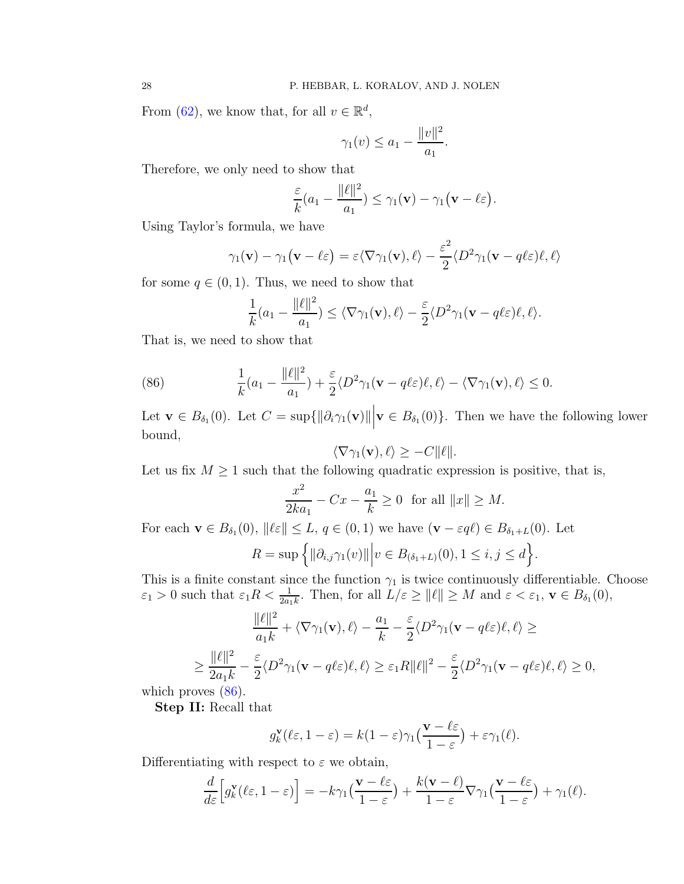From [\(62\)](#page-19-1), we know that, for all  $v \in \mathbb{R}^d$ ,

$$
\gamma_1(v) \le a_1 - \frac{\|v\|^2}{a_1}.
$$

Therefore, we only need to show that

$$
\frac{\varepsilon}{k}(a_1-\frac{\|\ell\|^2}{a_1})\leq \gamma_1(\mathbf{v})-\gamma_1(\mathbf{v}-\ell\varepsilon).
$$

Using Taylor's formula, we have

$$
\gamma_1(\mathbf{v}) - \gamma_1(\mathbf{v} - \ell \varepsilon) = \varepsilon \langle \nabla \gamma_1(\mathbf{v}), \ell \rangle - \frac{\varepsilon^2}{2} \langle D^2 \gamma_1(\mathbf{v} - q\ell \varepsilon) \ell, \ell \rangle
$$

for some  $q \in (0, 1)$ . Thus, we need to show that

<span id="page-27-0"></span>
$$
\frac{1}{k}(a_1 - \frac{\|\ell\|^2}{a_1}) \le \langle \nabla \gamma_1(\mathbf{v}), \ell \rangle - \frac{\varepsilon}{2} \langle D^2 \gamma_1(\mathbf{v} - q\ell\varepsilon)\ell, \ell \rangle.
$$

That is, we need to show that

(86) 
$$
\frac{1}{k}(a_1 - \frac{\|\ell\|^2}{a_1}) + \frac{\varepsilon}{2} \langle D^2 \gamma_1 (\mathbf{v} - q \ell \varepsilon) \ell, \ell \rangle - \langle \nabla \gamma_1 (\mathbf{v}), \ell \rangle \leq 0.
$$

Let  $\mathbf{v} \in B_{\delta_1}(0)$ . Let  $C = \sup{\{\|\partial_i \gamma_1(\mathbf{v})\| \|\mathbf{v} \in B_{\delta_1}(0)\}}$ . Then we have the following lower bound,

$$
\langle \nabla \gamma_1(\mathbf{v}), \ell \rangle \ge -C ||\ell||.
$$

Let us fix  $M \geq 1$  such that the following quadratic expression is positive, that is,

$$
\frac{x^2}{2ka_1} - Cx - \frac{a_1}{k} \ge 0 \text{ for all } ||x|| \ge M.
$$

For each  $\mathbf{v} \in B_{\delta_1}(0)$ ,  $\|\ell \varepsilon\| \leq L$ ,  $q \in (0,1)$  we have  $(\mathbf{v} - \varepsilon q \ell) \in B_{\delta_1 + L}(0)$ . Let  $R = \sup \{ ||\partial_{i,j}\gamma_1(v)|| \Big| v \in B_{(\delta_1+L)}(0), 1 \le i, j \le d \}.$ 

This is a finite constant since the function  $\gamma_1$  is twice continuously differentiable. Choose  $\varepsilon_1 > 0$  such that  $\varepsilon_1 R < \frac{1}{2a_1 k}$ . Then, for all  $L/\varepsilon \ge ||\ell|| \ge M$  and  $\varepsilon < \varepsilon_1$ ,  $\mathbf{v} \in B_{\delta_1}(0)$ ,

$$
\frac{\|\ell\|^2}{a_1 k} + \langle \nabla \gamma_1(\mathbf{v}), \ell \rangle - \frac{a_1}{k} - \frac{\varepsilon}{2} \langle D^2 \gamma_1(\mathbf{v} - q \ell \varepsilon) \ell, \ell \rangle \ge
$$
  

$$
\ge \frac{\|\ell\|^2}{2a_1 k} - \frac{\varepsilon}{2} \langle D^2 \gamma_1(\mathbf{v} - q \ell \varepsilon) \ell, \ell \rangle \ge \varepsilon_1 R \|\ell\|^2 - \frac{\varepsilon}{2} \langle D^2 \gamma_1(\mathbf{v} - q \ell \varepsilon) \ell, \ell \rangle \ge 0,
$$

which proves  $(86)$ .

Step II: Recall that

$$
g_k^{\mathbf{v}}(\ell \varepsilon, 1-\varepsilon) = k(1-\varepsilon)\gamma_1\big(\frac{\mathbf{v}-\ell \varepsilon}{1-\varepsilon}\big) + \varepsilon \gamma_1(\ell).
$$

Differentiating with respect to  $\varepsilon$  we obtain,

$$
\frac{d}{d\varepsilon}\Big[g_k^{\mathbf{v}}(\ell\varepsilon,1-\varepsilon)\Big] = -k\gamma_1\Big(\frac{\mathbf{v}-\ell\varepsilon}{1-\varepsilon}\Big)+\frac{k(\mathbf{v}-\ell)}{1-\varepsilon}\nabla\gamma_1\Big(\frac{\mathbf{v}-\ell\varepsilon}{1-\varepsilon}\Big)+\gamma_1(\ell).
$$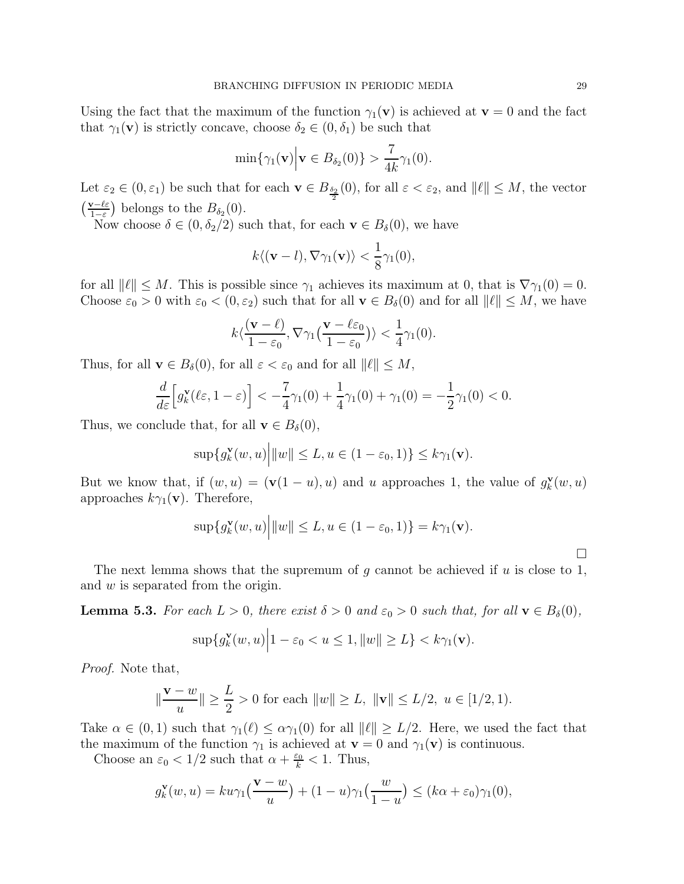Using the fact that the maximum of the function  $\gamma_1(\mathbf{v})$  is achieved at  $\mathbf{v} = 0$  and the fact that  $\gamma_1(\mathbf{v})$  is strictly concave, choose  $\delta_2 \in (0, \delta_1)$  be such that

$$
\min\{\gamma_1(\mathbf{v}) \Big| \mathbf{v} \in B_{\delta_2}(0)\} > \frac{7}{4k}\gamma_1(0).
$$

Let  $\varepsilon_2 \in (0, \varepsilon_1)$  be such that for each  $\mathbf{v} \in B_{\frac{\delta_2}{2}}(0)$ , for all  $\varepsilon < \varepsilon_2$ , and  $||\ell|| \leq M$ , the vector  $\left(\frac{\mathbf{v}-\ell\varepsilon}{1-\varepsilon}\right)$  $\frac{\nu-\ell\varepsilon}{1-\varepsilon}$  belongs to the  $B_{\delta_2}(0)$ .

Now choose  $\delta \in (0, \delta_2/2)$  such that, for each  $\mathbf{v} \in B_{\delta}(0)$ , we have

$$
k\langle (\mathbf{v}-l), \nabla \gamma_1(\mathbf{v})\rangle < \frac{1}{8}\gamma_1(0),
$$

for all  $\|\ell\| \leq M$ . This is possible since  $\gamma_1$  achieves its maximum at 0, that is  $\nabla \gamma_1(0) = 0$ . Choose  $\varepsilon_0 > 0$  with  $\varepsilon_0 < (0, \varepsilon_2)$  such that for all  $\mathbf{v} \in B_\delta(0)$  and for all  $\|\ell\| \leq M$ , we have

$$
k\langle \frac{(\mathbf{v}-\ell)}{1-\varepsilon_0}, \nabla \gamma_1 \big(\frac{\mathbf{v}-\ell \varepsilon_0}{1-\varepsilon_0}\big)\rangle < \frac{1}{4}\gamma_1(0).
$$

Thus, for all  $\mathbf{v} \in B_{\delta}(0)$ , for all  $\varepsilon < \varepsilon_0$  and for all  $\|\ell\| \leq M$ ,

$$
\frac{d}{d\varepsilon} \Big[ g_k^{\mathbf{v}}(\ell\varepsilon, 1-\varepsilon) \Big] < -\frac{7}{4}\gamma_1(0) + \frac{1}{4}\gamma_1(0) + \gamma_1(0) = -\frac{1}{2}\gamma_1(0) < 0.
$$

Thus, we conclude that, for all  $\mathbf{v} \in B_{\delta}(0)$ ,

$$
\sup\{g_k^{\mathbf{v}}(w,u)\Big|\|w\|\leq L, u\in(1-\varepsilon_0,1)\}\leq k\gamma_1(\mathbf{v}).
$$

But we know that, if  $(w, u) = (\mathbf{v}(1 - u), u)$  and u approaches 1, the value of  $g_k^{\mathbf{v}}$  $\mathbf{X}_k^{\mathbf{v}}(w,u)$ approaches  $k\gamma_1(\mathbf{v})$ . Therefore,

$$
\sup\{g_k^{\mathbf{v}}(w,u)\Big| \|w\| \le L, u \in (1-\varepsilon_0,1)\} = k\gamma_1(\mathbf{v}).
$$

The next lemma shows that the supremum of g cannot be achieved if  $u$  is close to 1, and w is separated from the origin.

**Lemma 5.3.** For each  $L > 0$ , there exist  $\delta > 0$  and  $\varepsilon_0 > 0$  such that, for all  $\mathbf{v} \in B_{\delta}(0)$ ,

$$
\sup\{g_k^{\mathbf{v}}(w,u)\Big|1-\varepsilon_0
$$

Proof. Note that,

$$
\|\frac{\mathbf{v} - w}{u}\| \ge \frac{L}{2} > 0
$$
 for each  $||w|| \ge L$ ,  $||\mathbf{v}|| \le L/2$ ,  $u \in [1/2, 1)$ .

Take  $\alpha \in (0,1)$  such that  $\gamma_1(\ell) \leq \alpha \gamma_1(0)$  for all  $\|\ell\| \geq L/2$ . Here, we used the fact that the maximum of the function  $\gamma_1$  is achieved at  $\mathbf{v} = 0$  and  $\gamma_1(\mathbf{v})$  is continuous.

Choose an  $\varepsilon_0 < 1/2$  such that  $\alpha + \frac{\varepsilon_0}{k} < 1$ . Thus,

$$
g_k^{\mathbf{v}}(w, u) = ku\gamma_1\left(\frac{\mathbf{v} - w}{u}\right) + (1 - u)\gamma_1\left(\frac{w}{1 - u}\right) \le (k\alpha + \varepsilon_0)\gamma_1(0),
$$

 $\Box$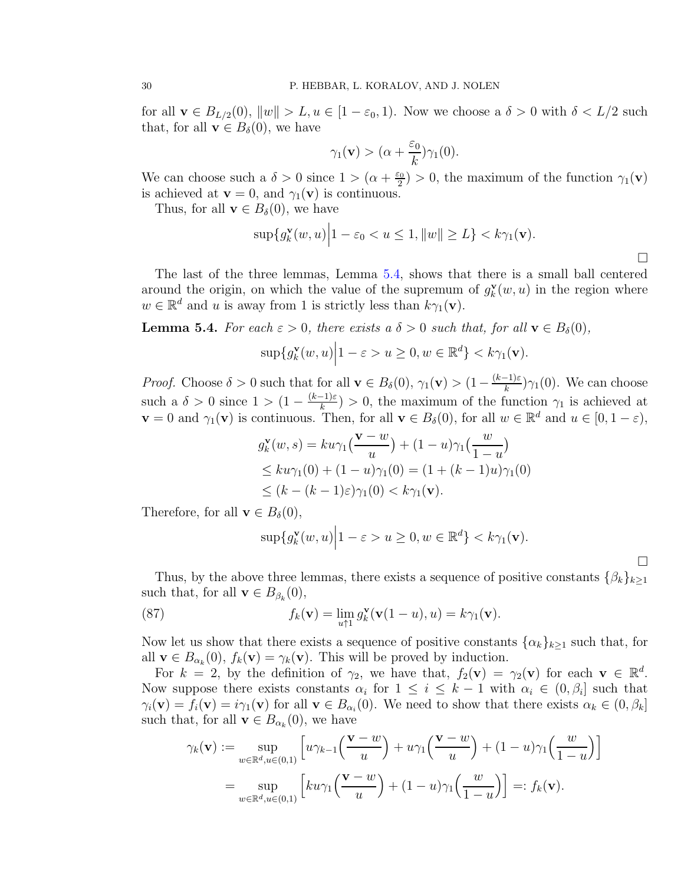for all  $\mathbf{v} \in B_{L/2}(0)$ ,  $||w|| > L$ ,  $u \in [1 - \varepsilon_0, 1)$ . Now we choose a  $\delta > 0$  with  $\delta < L/2$  such that, for all  $\mathbf{v} \in B_{\delta}(0)$ , we have

$$
\gamma_1(\mathbf{v}) > (\alpha + \frac{\varepsilon_0}{k})\gamma_1(0).
$$

We can choose such a  $\delta > 0$  since  $1 > (\alpha + \frac{\varepsilon_0}{2})$  $\binom{20}{2}$  > 0, the maximum of the function  $\gamma_1(\mathbf{v})$ is achieved at  $\mathbf{v} = 0$ , and  $\gamma_1(\mathbf{v})$  is continuous.

Thus, for all  $\mathbf{v} \in B_{\delta}(0)$ , we have

$$
\sup\{g_k^{\mathbf{v}}(w,u)\Big|1-\varepsilon_0
$$

 $\Box$ 

 $\Box$ 

The last of the three lemmas, Lemma [5.4,](#page-29-0) shows that there is a small ball centered around the origin, on which the value of the supremum of  $g_k^{\mathbf{v}}$  $k(\mathbf{w}, \mathbf{u})$  in the region where  $w \in \mathbb{R}^d$  and u is away from 1 is strictly less than  $k\gamma_1(\mathbf{v})$ .

<span id="page-29-0"></span>**Lemma 5.4.** For each  $\varepsilon > 0$ , there exists a  $\delta > 0$  such that, for all  $\mathbf{v} \in B_{\delta}(0)$ ,

$$
\sup\{g_k^{\mathbf{v}}(w,u)\Big|1-\varepsilon>u\geq0,w\in\mathbb{R}^d\}
$$

*Proof.* Choose  $\delta > 0$  such that for all  $\mathbf{v} \in B_{\delta}(0)$ ,  $\gamma_1(\mathbf{v}) > (1 - \frac{(k-1)\varepsilon}{k})\gamma_1(0)$ . We can choose such a  $\delta > 0$  since  $1 > (1 - \frac{(k-1)\varepsilon}{k}) > 0$ , the maximum of the function  $\gamma_1$  is achieved at  $\mathbf{v} = 0$  and  $\gamma_1(\mathbf{v})$  is continuous. Then, for all  $\mathbf{v} \in B_\delta(0)$ , for all  $w \in \mathbb{R}^d$  and  $u \in [0, 1 - \varepsilon)$ ,

$$
g_k^{\mathbf{v}}(w,s) = ku\gamma_1\left(\frac{\mathbf{v} - w}{u}\right) + (1 - u)\gamma_1\left(\frac{w}{1 - u}\right)
$$
  
\n
$$
\leq ku\gamma_1(0) + (1 - u)\gamma_1(0) = (1 + (k - 1)u)\gamma_1(0)
$$
  
\n
$$
\leq (k - (k - 1)\varepsilon)\gamma_1(0) < k\gamma_1(\mathbf{v}).
$$

Therefore, for all  $\mathbf{v} \in B_{\delta}(0)$ ,

<span id="page-29-1"></span>
$$
\sup\{g_k^{\mathbf{v}}(w,u)\Big|1-\varepsilon>u\geq0,w\in\mathbb{R}^d\}
$$

Thus, by the above three lemmas, there exists a sequence of positive constants  $\{\beta_k\}_{k\geq 1}$ such that, for all  $\mathbf{v} \in B_{\beta_k}(0)$ ,

(87) 
$$
f_k(\mathbf{v}) = \lim_{u \uparrow 1} g_k^{\mathbf{v}}(\mathbf{v}(1-u), u) = k \gamma_1(\mathbf{v}).
$$

Now let us show that there exists a sequence of positive constants  $\{\alpha_k\}_{k>1}$  such that, for all  $\mathbf{v} \in B_{\alpha_k}(0)$ ,  $f_k(\mathbf{v}) = \gamma_k(\mathbf{v})$ . This will be proved by induction.

For  $k = 2$ , by the definition of  $\gamma_2$ , we have that,  $f_2(\mathbf{v}) = \gamma_2(\mathbf{v})$  for each  $\mathbf{v} \in \mathbb{R}^d$ . Now suppose there exists constants  $\alpha_i$  for  $1 \leq i \leq k-1$  with  $\alpha_i \in (0, \beta_i]$  such that  $\gamma_i(\mathbf{v}) = f_i(\mathbf{v}) = i\gamma_1(\mathbf{v})$  for all  $\mathbf{v} \in B_{\alpha_i}(0)$ . We need to show that there exists  $\alpha_k \in (0, \beta_k]$ such that, for all  $\mathbf{v} \in B_{\alpha_k}(0)$ , we have

$$
\gamma_k(\mathbf{v}) := \sup_{w \in \mathbb{R}^d, u \in (0,1)} \left[ u \gamma_{k-1} \left( \frac{\mathbf{v} - w}{u} \right) + u \gamma_1 \left( \frac{\mathbf{v} - w}{u} \right) + (1 - u) \gamma_1 \left( \frac{w}{1 - u} \right) \right]
$$
  
= 
$$
\sup_{w \in \mathbb{R}^d, u \in (0,1)} \left[ ku \gamma_1 \left( \frac{\mathbf{v} - w}{u} \right) + (1 - u) \gamma_1 \left( \frac{w}{1 - u} \right) \right] =: f_k(\mathbf{v}).
$$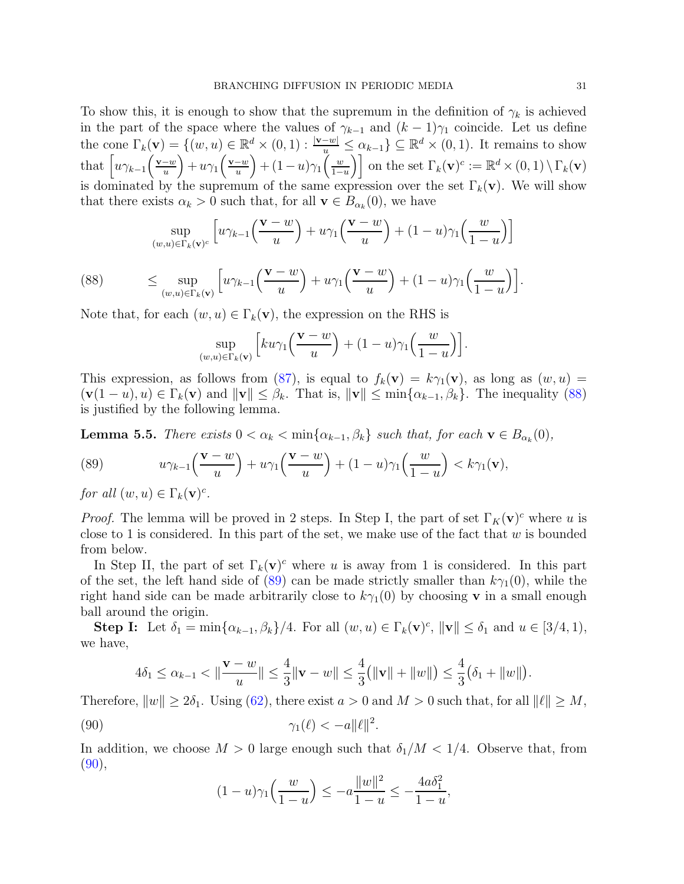To show this, it is enough to show that the supremum in the definition of  $\gamma_k$  is achieved in the part of the space where the values of  $\gamma_{k-1}$  and  $(k-1)\gamma_1$  coincide. Let us define the cone  $\Gamma_k(\mathbf{v}) = \{(w, u) \in \mathbb{R}^d \times (0, 1) : \frac{|\mathbf{v}-w|}{u} \leq \alpha_{k-1}\} \subseteq \mathbb{R}^d \times (0, 1)$ . It remains to show that  $\left[ u\gamma_{k-1}\left(\frac{\mathbf{v}-w}{u}\right) +u\gamma_1\left(\frac{\mathbf{v}-w}{u}\right) + (1-u)\gamma_1\left(\frac{w}{1-u}\right) \right]$  $\left[\frac{w}{1-u}\right]$  on the set  $\Gamma_k(\mathbf{v})^c := \mathbb{R}^d \times (0,1) \setminus \Gamma_k(\mathbf{v})$ is dominated by the supremum of the same expression over the set  $\Gamma_k(\mathbf{v})$ . We will show that there exists  $\alpha_k > 0$  such that, for all  $\mathbf{v} \in B_{\alpha_k}(0)$ , we have

<span id="page-30-0"></span>
$$
\sup_{(w,u)\in\Gamma_k(\mathbf{v})^c} \left[ u\gamma_{k-1}\left(\frac{\mathbf{v}-w}{u}\right) + u\gamma_1\left(\frac{\mathbf{v}-w}{u}\right) + (1-u)\gamma_1\left(\frac{w}{1-u}\right) \right]
$$

(88) 
$$
\leq \sup_{(w,u)\in\Gamma_k(\mathbf{v})}\left[u\gamma_{k-1}\left(\frac{\mathbf{v}-w}{u}\right)+u\gamma_1\left(\frac{\mathbf{v}-w}{u}\right)+(1-u)\gamma_1\left(\frac{w}{1-u}\right)\right].
$$

Note that, for each  $(w, u) \in \Gamma_k(\mathbf{v})$ , the expression on the RHS is

$$
\sup_{(w,u)\in\Gamma_k(\mathbf{v})}\left[ku\gamma_1\left(\frac{\mathbf{v}-w}{u}\right)+(1-u)\gamma_1\left(\frac{w}{1-u}\right)\right].
$$

This expression, as follows from [\(87\)](#page-29-1), is equal to  $f_k(\mathbf{v}) = k\gamma_1(\mathbf{v})$ , as long as  $(w, u)$  $(\mathbf{v}(1 - u), u) \in \Gamma_k(\mathbf{v})$  and  $\|\mathbf{v}\| \leq \beta_k$ . That is,  $\|\mathbf{v}\| \leq \min\{\alpha_{k-1}, \beta_k\}$ . The inequality [\(88\)](#page-30-0) is justified by the following lemma.

**Lemma 5.5.** There exists  $0 < \alpha_k < \min\{\alpha_{k-1}, \beta_k\}$  such that, for each  $\mathbf{v} \in B_{\alpha_k}(0)$ ,

<span id="page-30-1"></span>(89) 
$$
u\gamma_{k-1}\left(\frac{\mathbf{v}-w}{u}\right)+u\gamma_1\left(\frac{\mathbf{v}-w}{u}\right)+(1-u)\gamma_1\left(\frac{w}{1-u}\right)< k\gamma_1(\mathbf{v}),
$$

for all  $(w, u) \in \Gamma_k(\mathbf{v})^c$ .

*Proof.* The lemma will be proved in 2 steps. In Step I, the part of set  $\Gamma_K(\mathbf{v})^c$  where u is close to 1 is considered. In this part of the set, we make use of the fact that  $w$  is bounded from below.

In Step II, the part of set  $\Gamma_k(\mathbf{v})^c$  where u is away from 1 is considered. In this part of the set, the left hand side of  $(89)$  can be made strictly smaller than  $k\gamma_1(0)$ , while the right hand side can be made arbitrarily close to  $k\gamma_1(0)$  by choosing **v** in a small enough ball around the origin.

**Step I:** Let  $\delta_1 = \min\{\alpha_{k-1}, \beta_k\}/4$ . For all  $(w, u) \in \Gamma_k(\mathbf{v})^c$ ,  $\|\mathbf{v}\| \leq \delta_1$  and  $u \in [3/4, 1)$ , we have,

$$
4\delta_1 \leq \alpha_{k-1} < \|\frac{\mathbf{v} - w}{u}\| \leq \frac{4}{3} \|\mathbf{v} - w\| \leq \frac{4}{3} \big(\|\mathbf{v}\| + \|w\|\big) \leq \frac{4}{3} \big(\delta_1 + \|w\|\big).
$$

Therefore,  $||w|| \ge 2\delta_1$ . Using [\(62\)](#page-19-1), there exist  $a > 0$  and  $M > 0$  such that, for all  $||\ell|| \ge M$ ,

$$
\gamma_1(\ell) < -a \|\ell\|^2.
$$

In addition, we choose  $M > 0$  large enough such that  $\delta_1/M < 1/4$ . Observe that, from  $(90),$  $(90),$ 

<span id="page-30-2"></span>
$$
(1-u)\gamma_1\left(\frac{w}{1-u}\right) \le -a\frac{\|w\|^2}{1-u} \le -\frac{4a\delta_1^2}{1-u},
$$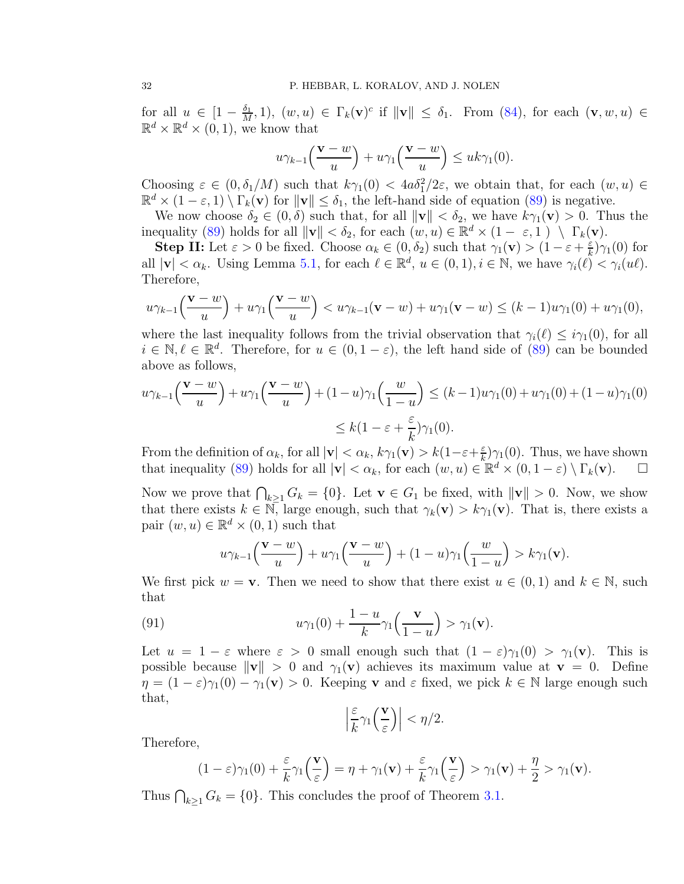for all  $u \in \left[1 - \frac{\delta_1}{M}\right]$  $\frac{\delta_1}{M}, 1$ ,  $(w, u) \in \Gamma_k(\mathbf{v})^c$  if  $\|\mathbf{v}\| \leq \delta_1$ . From [\(84\)](#page-25-1), for each  $(\mathbf{v}, w, u) \in$  $\mathbb{R}^d \times \mathbb{R}^d \times (0,1)$ , we know that

$$
u\gamma_{k-1}\left(\frac{\mathbf{v}-w}{u}\right)+u\gamma_1\left(\frac{\mathbf{v}-w}{u}\right)\leq uk\gamma_1(0).
$$

Choosing  $\varepsilon \in (0, \delta_1/M)$  such that  $k\gamma_1(0) < 4a\delta_1^2/2\varepsilon$ , we obtain that, for each  $(w, u) \in$  $\mathbb{R}^d \times (1 - \varepsilon, 1) \setminus \Gamma_k(\mathbf{v})$  for  $\|\mathbf{v}\| \leq \delta_1$ , the left-hand side of equation [\(89\)](#page-30-1) is negative.

We now choose  $\delta_2 \in (0, \delta)$  such that, for all  $\|\mathbf{v}\| < \delta_2$ , we have  $k\gamma_1(\mathbf{v}) > 0$ . Thus the inequality [\(89\)](#page-30-1) holds for all  $\|\mathbf{v}\| < \delta_2$ , for each  $(w, u) \in \mathbb{R}^d \times (1 - \varepsilon, 1) \setminus \Gamma_k(\mathbf{v})$ .

**Step II:** Let  $\varepsilon > 0$  be fixed. Choose  $\alpha_k \in (0, \delta_2)$  such that  $\gamma_1(\mathbf{v}) > (1 - \varepsilon + \frac{\varepsilon}{k})$  $\frac{\varepsilon}{k}$ ) $\gamma_1(0)$  for all  $|\mathbf{v}| < \alpha_k$ . Using Lemma [5.1,](#page-25-0) for each  $\ell \in \mathbb{R}^d$ ,  $u \in (0,1), i \in \mathbb{N}$ , we have  $\gamma_i(\ell) < \gamma_i(u\ell)$ . Therefore,

$$
u\gamma_{k-1}\left(\frac{\mathbf{v}-w}{u}\right)+u\gamma_1\left(\frac{\mathbf{v}-w}{u}\right)
$$

where the last inequality follows from the trivial observation that  $\gamma_i(\ell) \leq i\gamma_1(0)$ , for all  $i \in \mathbb{N}, \ell \in \mathbb{R}^d$ . Therefore, for  $u \in (0, 1-\varepsilon)$ , the left hand side of [\(89\)](#page-30-1) can be bounded above as follows,

$$
u\gamma_{k-1}\left(\frac{\mathbf{v}-w}{u}\right) + u\gamma_1\left(\frac{\mathbf{v}-w}{u}\right) + (1-u)\gamma_1\left(\frac{w}{1-u}\right) \le (k-1)u\gamma_1(0) + u\gamma_1(0) + (1-u)\gamma_1(0)
$$
  

$$
\le k(1-\varepsilon+\frac{\varepsilon}{k})\gamma_1(0).
$$

From the definition of  $\alpha_k$ , for all  $|{\bf v}| < \alpha_k$ ,  $k\gamma_1({\bf v}) > k(1-\varepsilon+\frac{\varepsilon}{k})$  $(\frac{\varepsilon}{k})\gamma_1(0)$ . Thus, we have shown that inequality [\(89\)](#page-30-1) holds for all  $|\mathbf{v}| < \alpha_k$ , for each  $(w, u) \in \mathbb{R}^d \times (0, 1 - \varepsilon) \setminus \Gamma_k(\mathbf{v})$ .  $\Box$ 

Now we prove that  $\bigcap_{k\geq 1} G_k = \{0\}$ . Let  $\mathbf{v} \in G_1$  be fixed, with  $\|\mathbf{v}\| > 0$ . Now, we show that there exists  $k \in \mathbb{N}$ , large enough, such that  $\gamma_k(\mathbf{v}) > k\gamma_1(\mathbf{v})$ . That is, there exists a pair  $(w, u) \in \mathbb{R}^d \times (0, 1)$  such that

$$
u\gamma_{k-1}\left(\frac{\mathbf{v}-w}{u}\right)+u\gamma_1\left(\frac{\mathbf{v}-w}{u}\right)+(1-u)\gamma_1\left(\frac{w}{1-u}\right)>k\gamma_1(\mathbf{v}).
$$

We first pick  $w = v$ . Then we need to show that there exist  $u \in (0,1)$  and  $k \in \mathbb{N}$ , such that

(91) 
$$
u\gamma_1(0)+\frac{1-u}{k}\gamma_1\left(\frac{\mathbf{v}}{1-u}\right)>\gamma_1(\mathbf{v}).
$$

Let  $u = 1 - \varepsilon$  where  $\varepsilon > 0$  small enough such that  $(1 - \varepsilon)\gamma_1(0) > \gamma_1(\mathbf{v})$ . This is possible because  $\|\mathbf{v}\| > 0$  and  $\gamma_1(\mathbf{v})$  achieves its maximum value at  $\mathbf{v} = 0$ . Define  $\eta = (1 - \varepsilon)\gamma_1(0) - \gamma_1(\mathbf{v}) > 0$ . Keeping **v** and  $\varepsilon$  fixed, we pick  $k \in \mathbb{N}$  large enough such that,

$$
\left|\frac{\varepsilon}{k}\gamma_1\left(\frac{\mathbf{v}}{\varepsilon}\right)\right| < \eta/2.
$$

Therefore,

$$
(1-\varepsilon)\gamma_1(0)+\frac{\varepsilon}{k}\gamma_1\left(\frac{\mathbf{v}}{\varepsilon}\right)=\eta+\gamma_1(\mathbf{v})+\frac{\varepsilon}{k}\gamma_1\left(\frac{\mathbf{v}}{\varepsilon}\right)>\gamma_1(\mathbf{v})+\frac{\eta}{2}>\gamma_1(\mathbf{v}).
$$

Thus  $\bigcap_{k\geq 1} G_k = \{0\}$ . This concludes the proof of Theorem [3.1.](#page-6-2)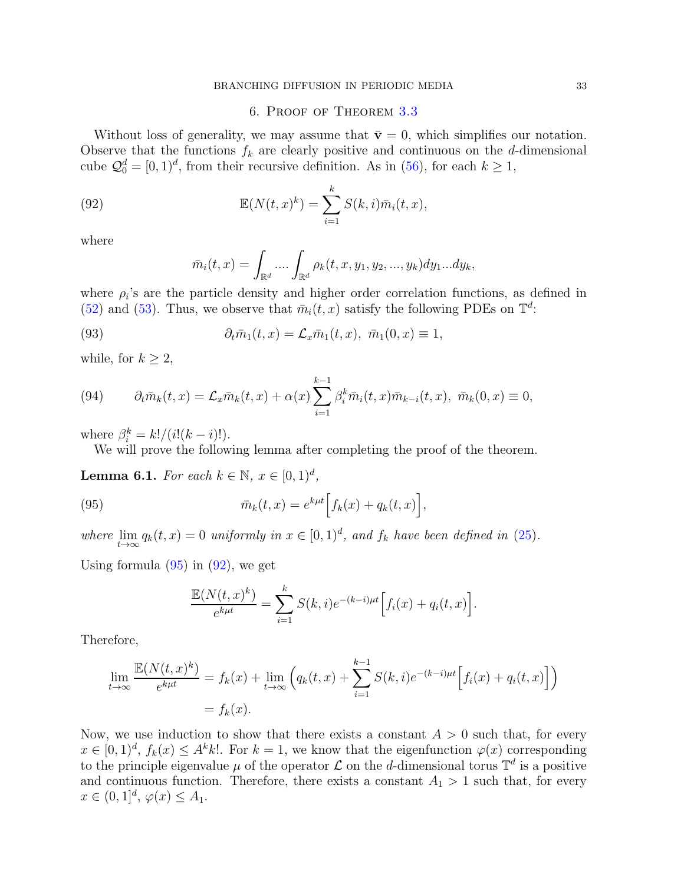#### 6. Proof of Theorem [3.3](#page-7-2)

Without loss of generality, we may assume that  $\bar{\mathbf{v}} = 0$ , which simplifies our notation. Observe that the functions  $f_k$  are clearly positive and continuous on the d-dimensional cube  $\mathcal{Q}_0^d = [0, 1)^d$ , from their recursive definition. As in [\(56\)](#page-18-3), for each  $k \geq 1$ ,

(92) 
$$
\mathbb{E}(N(t,x)^k) = \sum_{i=1}^k S(k,i)\bar{m}_i(t,x),
$$

where

<span id="page-32-3"></span><span id="page-32-1"></span>
$$
\bar{m}_i(t,x) = \int_{\mathbb{R}^d} \dots \int_{\mathbb{R}^d} \rho_k(t,x,y_1,y_2,...,y_k) dy_1...dy_k,
$$

where  $\rho_i$ 's are the particle density and higher order correlation functions, as defined in [\(52\)](#page-17-2) and [\(53\)](#page-17-1). Thus, we observe that  $\bar{m}_i(t, x)$  satisfy the following PDEs on  $\mathbb{T}^d$ :

(93) 
$$
\partial_t \bar{m}_1(t,x) = \mathcal{L}_x \bar{m}_1(t,x), \ \bar{m}_1(0,x) \equiv 1,
$$

while, for  $k \geq 2$ ,

<span id="page-32-4"></span>(94) 
$$
\partial_t \bar{m}_k(t,x) = \mathcal{L}_x \bar{m}_k(t,x) + \alpha(x) \sum_{i=1}^{k-1} \beta_i^k \bar{m}_i(t,x) \bar{m}_{k-i}(t,x), \ \bar{m}_k(0,x) \equiv 0,
$$

where  $\beta_i^k = k!/(i!(k-i)!).$ 

We will prove the following lemma after completing the proof of the theorem.

<span id="page-32-2"></span>**Lemma 6.1.** For each  $k \in \mathbb{N}$ ,  $x \in [0, 1)^d$ ,

(95) 
$$
\bar{m}_k(t,x) = e^{k\mu t} \Big[ f_k(x) + q_k(t,x) \Big],
$$

where lim  $\lim_{t\to\infty} q_k(t,x) = 0$  uniformly in  $x \in [0,1)^d$ , and  $f_k$  have been defined in [\(25\)](#page-7-1).

Using formula  $(95)$  in  $(92)$ , we get

<span id="page-32-0"></span>
$$
\frac{\mathbb{E}(N(t,x)^k)}{e^{k\mu t}} = \sum_{i=1}^k S(k,i)e^{-(k-i)\mu t} \Big[ f_i(x) + q_i(t,x) \Big].
$$

Therefore,

$$
\lim_{t \to \infty} \frac{\mathbb{E}(N(t,x)^k)}{e^{k\mu t}} = f_k(x) + \lim_{t \to \infty} \left( q_k(t,x) + \sum_{i=1}^{k-1} S(k,i)e^{-(k-i)\mu t} \Big[ f_i(x) + q_i(t,x) \Big] \right)
$$

$$
= f_k(x).
$$

Now, we use induction to show that there exists a constant  $A > 0$  such that, for every  $x \in [0,1)^d$ ,  $f_k(x) \leq A^k k!$ . For  $k = 1$ , we know that the eigenfunction  $\varphi(x)$  corresponding to the principle eigenvalue  $\mu$  of the operator  $\mathcal L$  on the d-dimensional torus  $\mathbb T^d$  is a positive and continuous function. Therefore, there exists a constant  $A_1 > 1$  such that, for every  $x \in (0,1]^d, \, \varphi(x) \leq A_1.$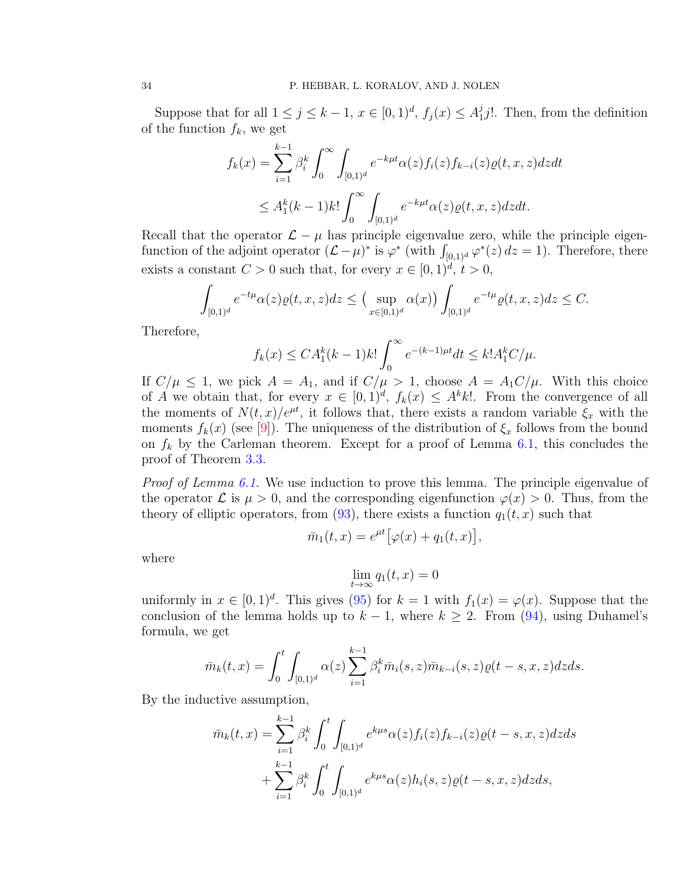Suppose that for all  $1 \le j \le k - 1$ ,  $x \in [0, 1)^d$ ,  $f_j(x) \le A_1^j$  $j_1 j!$ . Then, from the definition of the function  $f_k$ , we get

$$
f_k(x) = \sum_{i=1}^{k-1} \beta_i^k \int_0^\infty \int_{[0,1)^d} e^{-k\mu t} \alpha(z) f_i(z) f_{k-i}(z) \varrho(t, x, z) dz dt
$$
  

$$
\leq A_1^k (k-1) k! \int_0^\infty \int_{[0,1)^d} e^{-k\mu t} \alpha(z) \varrho(t, x, z) dz dt.
$$

Recall that the operator  $\mathcal{L} - \mu$  has principle eigenvalue zero, while the principle eigenfunction of the adjoint operator  $(L - \mu)^*$  is  $\varphi^*$  (with  $\int_{[0,1)^d} \varphi^*(z) dz = 1$ ). Therefore, there exists a constant  $C > 0$  such that, for every  $x \in [0, 1)^d$ ,  $t > 0$ ,

$$
\int_{[0,1)^d} e^{-t\mu} \alpha(z) \varrho(t,x,z) dz \leq \left( \sup_{x \in [0,1)^d} \alpha(x) \right) \int_{[0,1)^d} e^{-t\mu} \varrho(t,x,z) dz \leq C.
$$

Therefore,

$$
f_k(x) \le CA_1^k(k-1)k! \int_0^\infty e^{-(k-1)\mu t} dt \le k! A_1^k C/\mu.
$$

If  $C/\mu \leq 1$ , we pick  $A = A_1$ , and if  $C/\mu > 1$ , choose  $A = A_1 C/\mu$ . With this choice of A we obtain that, for every  $x \in [0,1)^d$ ,  $f_k(x) \leq A^k k!$ . From the convergence of all the moments of  $N(t, x)/e^{\mu t}$ , it follows that, there exists a random variable  $\xi_x$  with the moments  $f_k(x)$  (see [\[9\]](#page-42-16)). The uniqueness of the distribution of  $\xi_x$  follows from the bound on  $f_k$  by the Carleman theorem. Except for a proof of Lemma [6.1,](#page-32-2) this concludes the proof of Theorem [3.3.](#page-7-2)

Proof of Lemma [6.1.](#page-32-2) We use induction to prove this lemma. The principle eigenvalue of the operator  $\mathcal L$  is  $\mu > 0$ , and the corresponding eigenfunction  $\varphi(x) > 0$ . Thus, from the theory of elliptic operators, from [\(93\)](#page-32-3), there exists a function  $q_1(t, x)$  such that

$$
\bar{m}_1(t,x) = e^{\mu t} \big[ \varphi(x) + q_1(t,x) \big],
$$

where

$$
\lim_{t \to \infty} q_1(t, x) = 0
$$

uniformly in  $x \in [0, 1)^d$ . This gives [\(95\)](#page-32-0) for  $k = 1$  with  $f_1(x) = \varphi(x)$ . Suppose that the conclusion of the lemma holds up to  $k - 1$ , where  $k \geq 2$ . From [\(94\)](#page-32-4), using Duhamel's formula, we get

$$
\bar{m}_k(t,x) = \int_0^t \int_{[0,1)^d} \alpha(z) \sum_{i=1}^{k-1} \beta_i^k \bar{m}_i(s,z) \bar{m}_{k-i}(s,z) \varrho(t-s,x,z) dz ds.
$$

By the inductive assumption,

$$
\bar{m}_k(t,x) = \sum_{i=1}^{k-1} \beta_i^k \int_0^t \int_{[0,1)^d} e^{k\mu s} \alpha(z) f_i(z) f_{k-i}(z) \varrho(t-s,x,z) dz ds \n+ \sum_{i=1}^{k-1} \beta_i^k \int_0^t \int_{[0,1)^d} e^{k\mu s} \alpha(z) h_i(s,z) \varrho(t-s,x,z) dz ds,
$$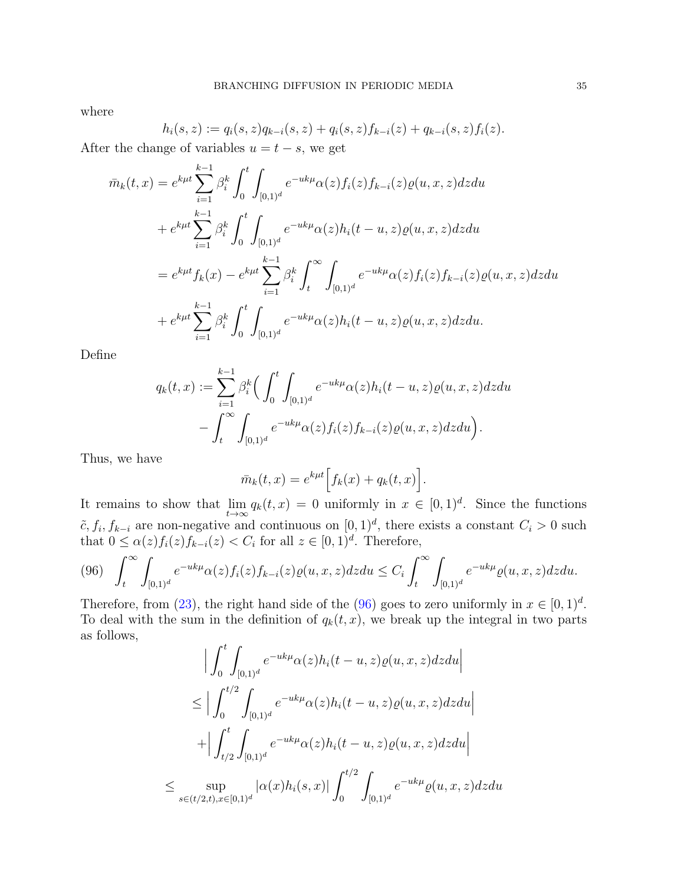where

$$
h_i(s, z) := q_i(s, z)q_{k-i}(s, z) + q_i(s, z)f_{k-i}(z) + q_{k-i}(s, z)f_i(z).
$$

After the change of variables  $u = t - s$ , we get

$$
\bar{m}_k(t,x) = e^{k\mu t} \sum_{i=1}^{k-1} \beta_i^k \int_0^t \int_{[0,1)^d} e^{-uk\mu} \alpha(z) f_i(z) f_{k-i}(z) \varrho(u,x,z) dz du \n+ e^{k\mu t} \sum_{i=1}^{k-1} \beta_i^k \int_0^t \int_{[0,1)^d} e^{-uk\mu} \alpha(z) h_i(t-u,z) \varrho(u,x,z) dz du \n= e^{k\mu t} f_k(x) - e^{k\mu t} \sum_{i=1}^{k-1} \beta_i^k \int_0^\infty \int_{[0,1)^d} e^{-uk\mu} \alpha(z) f_i(z) f_{k-i}(z) \varrho(u,x,z) dz du \n+ e^{k\mu t} \sum_{i=1}^{k-1} \beta_i^k \int_0^t \int_{[0,1)^d} e^{-uk\mu} \alpha(z) h_i(t-u,z) \varrho(u,x,z) dz du.
$$

Define

$$
q_k(t,x) := \sum_{i=1}^{k-1} \beta_i^k \Big( \int_0^t \int_{[0,1)^d} e^{-uk\mu} \alpha(z) h_i(t-u, z) \varrho(u, x, z) dz du - \int_t^{\infty} \int_{[0,1)^d} e^{-uk\mu} \alpha(z) f_i(z) f_{k-i}(z) \varrho(u, x, z) dz du \Big).
$$

Thus, we have

$$
\bar{m}_k(t,x) = e^{k\mu t} \Big[ f_k(x) + q_k(t,x) \Big].
$$

It remains to show that lim  $\lim_{t\to\infty} q_k(t,x) = 0$  uniformly in  $x \in [0,1)^d$ . Since the functions  $\tilde{c}, f_i, f_{k-i}$  are non-negative and continuous on  $[0, 1)^d$ , there exists a constant  $C_i > 0$  such that  $0 \leq \alpha(z) f_i(z) f_{k-i}(z) < C_i$  for all  $z \in [0,1)^d$ . Therefore,

<span id="page-34-0"></span>
$$
(96)\quad \int_t^{\infty}\int_{[0,1)^d}e^{-uk\mu}\alpha(z)f_i(z)f_{k-i}(z)\varrho(u,x,z)dzdu \leq C_i\int_t^{\infty}\int_{[0,1)^d}e^{-uk\mu}\varrho(u,x,z)dzdu.
$$

Therefore, from [\(23\)](#page-7-3), the right hand side of the [\(96\)](#page-34-0) goes to zero uniformly in  $x \in [0, 1)^d$ . To deal with the sum in the definition of  $q_k(t, x)$ , we break up the integral in two parts as follows,

$$
\left| \int_{0}^{t} \int_{[0,1)^{d}} e^{-uk\mu} \alpha(z) h_{i}(t-u, z) \varrho(u, x, z) dz du \right|
$$
  
\n
$$
\leq \left| \int_{0}^{t/2} \int_{[0,1)^{d}} e^{-uk\mu} \alpha(z) h_{i}(t-u, z) \varrho(u, x, z) dz du \right|
$$
  
\n
$$
+ \left| \int_{t/2}^{t} \int_{[0,1)^{d}} e^{-uk\mu} \alpha(z) h_{i}(t-u, z) \varrho(u, x, z) dz du \right|
$$
  
\n
$$
\leq \sup_{s \in (t/2, t), x \in [0,1)^{d}} |\alpha(x) h_{i}(s, x)| \int_{0}^{t/2} \int_{[0,1)^{d}} e^{-uk\mu} \varrho(u, x, z) dz du
$$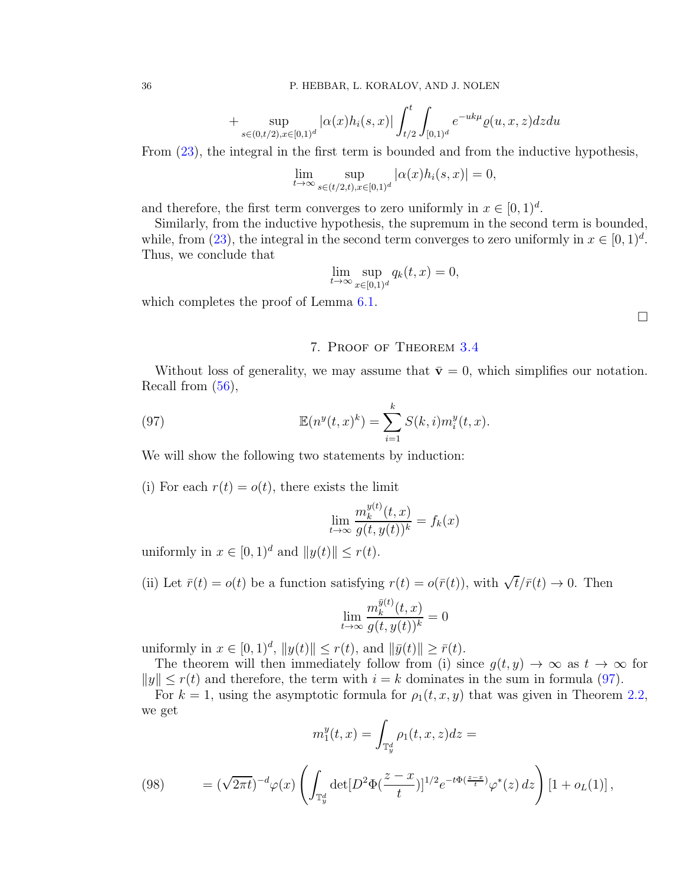+ 
$$
\sup_{s \in (0,t/2), x \in [0,1]^d} |\alpha(x)h_i(s,x)| \int_{t/2}^t \int_{[0,1)^d} e^{-uk\mu} \varrho(u,x,z) dz du
$$

From [\(23\)](#page-7-3), the integral in the first term is bounded and from the inductive hypothesis,

$$
\lim_{t \to \infty} \sup_{s \in (t/2,t), x \in [0,1)^d} |\alpha(x)h_i(s,x)| = 0,
$$

and therefore, the first term converges to zero uniformly in  $x \in [0, 1)^d$ .

Similarly, from the inductive hypothesis, the supremum in the second term is bounded, while, from [\(23\)](#page-7-3), the integral in the second term converges to zero uniformly in  $x \in [0, 1)^d$ . Thus, we conclude that

$$
\lim_{t \to \infty} \sup_{x \in [0,1)^d} q_k(t,x) = 0,
$$

which completes the proof of Lemma  $6.1$ .

 $\Box$ 

# <span id="page-35-0"></span>7. Proof of Theorem [3.4](#page-8-2)

Without loss of generality, we may assume that  $\bar{\mathbf{v}}=0$ , which simplifies our notation. Recall from [\(56\)](#page-18-3),

(97) 
$$
\mathbb{E}(n^y(t,x)^k) = \sum_{i=1}^k S(k,i)m_i^y(t,x).
$$

We will show the following two statements by induction:

(i) For each  $r(t) = o(t)$ , there exists the limit

$$
\lim_{t \to \infty} \frac{m_k^{y(t)}(t, x)}{g(t, y(t))^k} = f_k(x)
$$

uniformly in  $x \in [0, 1]^d$  and  $||y(t)|| \leq r(t)$ .

(ii) Let  $\bar{r}(t) = o(t)$  be a function satisfying  $r(t) = o(\bar{r}(t))$ , with  $\sqrt{t}/\bar{r}(t) \to 0$ . Then

$$
\lim_{t \to \infty} \frac{m_k^{\bar{y}(t)}(t, x)}{g(t, y(t))^k} = 0
$$

uniformly in  $x \in [0, 1)^d$ ,  $||y(t)|| \le r(t)$ , and  $||\bar{y}(t)|| \ge \bar{r}(t)$ .

The theorem will then immediately follow from (i) since  $g(t, y) \to \infty$  as  $t \to \infty$  for  $||y|| \leq r(t)$  and therefore, the term with  $i = k$  dominates in the sum in formula [\(97\)](#page-35-0).

For  $k = 1$ , using the asymptotic formula for  $\rho_1(t, x, y)$  that was given in Theorem [2.2,](#page-4-2) we get

$$
m_1^y(t,x) = \int_{\mathbb{T}_y^d} \rho_1(t,x,z) dz =
$$

(98) 
$$
= (\sqrt{2\pi t})^{-d} \varphi(x) \left( \int_{\mathbb{T}_y^d} \det[D^2 \Phi(\frac{z-x}{t})]^{1/2} e^{-t \Phi(\frac{z-x}{t})} \varphi^*(z) dz \right) [1 + o_L(1)],
$$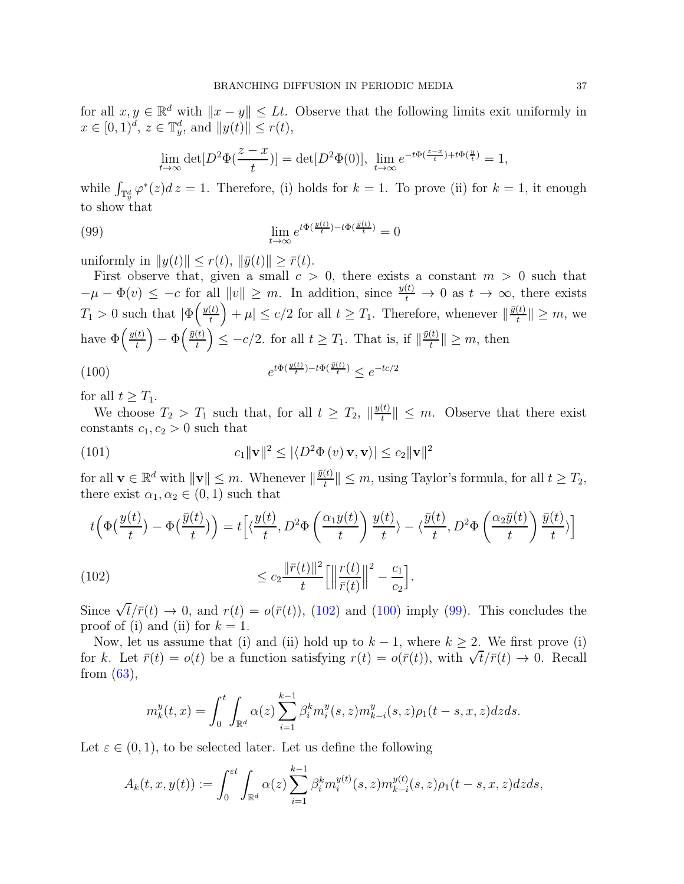for all  $x, y \in \mathbb{R}^d$  with  $||x - y|| \leq Lt$ . Observe that the following limits exit uniformly in  $x \in [0, 1)^d$ ,  $z \in \mathbb{T}_y^d$ , and  $||y(t)|| \le r(t)$ ,

<span id="page-36-2"></span>
$$
\lim_{t \to \infty} \det[D^2 \Phi(\frac{z-x}{t})] = \det[D^2 \Phi(0)], \lim_{t \to \infty} e^{-t\Phi(\frac{z-x}{t}) + t\Phi(\frac{y}{t})} = 1,
$$

while  $\int_{\mathbb{T}_y^d} \varphi^*(z) dz = 1$ . Therefore, (i) holds for  $k = 1$ . To prove (ii) for  $k = 1$ , it enough to show that

(99) 
$$
\lim_{t \to \infty} e^{t\Phi(\frac{y(t)}{t}) - t\Phi(\frac{\bar{y}(t)}{t})} = 0
$$

uniformly in  $||y(t)|| \leq r(t)$ ,  $||\bar{y}(t)|| > \bar{r}(t)$ .

First observe that, given a small  $c > 0$ , there exists a constant  $m > 0$  such that  $-\mu - \Phi(v) \leq -c$  for all  $||v|| \geq m$ . In addition, since  $\frac{y(t)}{t} \to 0$  as  $t \to \infty$ , there exists  $T_1 > 0$  such that  $\left| \Phi \left( \frac{y(t)}{t} \right) \right|$  $\left| \frac{t}{t} \right| + \mu \leq c/2$  for all  $t \geq T_1$ . Therefore, whenever  $\|\frac{\bar{y}(t)}{t}\|$  $\left\| \frac{u}{t} \right\| \geq m$ , we have  $\Phi\left(\frac{y(t)}{t}\right)$  $\left(\frac{t)}{t}\right) - \Phi\!\left(\frac{\bar{y}(t)}{t}\right)$  $\left(\frac{t}{t}\right) \leq -c/2$ . for all  $t \geq T_1$ . That is, if  $\left\|\frac{\bar{y}(t)}{t}\right\|$  $\left|\frac{u}{t}\right| \geq m$ , then

<span id="page-36-1"></span>(100) 
$$
e^{t\Phi(\frac{y(t)}{t}) - t\Phi(\frac{\bar{y}(t)}{t})} \le e^{-tc/2}
$$

for all  $t \geq T_1$ .

We choose  $T_2 > T_1$  such that, for all  $t \geq T_2$ ,  $\|\frac{y(t)}{t}\|$  $\left|\frac{\partial(t)}{\partial t}\right| \leq m$ . Observe that there exist constants  $c_1, c_2 > 0$  such that

(101) 
$$
c_1 \|\mathbf{v}\|^2 \le |\langle D^2\Phi(v)\mathbf{v}, \mathbf{v}\rangle| \le c_2 \|\mathbf{v}\|^2
$$

for all  $\mathbf{v} \in \mathbb{R}^d$  with  $\|\mathbf{v}\| \leq m$ . Whenever  $\|\frac{\bar{y}(t)}{t}$  $\left\| \frac{t}{t} \right\| \leq m$ , using Taylor's formula, for all  $t \geq T_2$ , there exist  $\alpha_1, \alpha_2 \in (0, 1)$  such that

$$
t\left(\Phi\left(\frac{y(t)}{t}\right) - \Phi\left(\frac{\bar{y}(t)}{t}\right)\right) = t\left[\left\langle \frac{y(t)}{t}, D^2\Phi\left(\frac{\alpha_1 y(t)}{t}\right) \frac{y(t)}{t}\right\rangle - \left\langle \frac{\bar{y}(t)}{t}, D^2\Phi\left(\frac{\alpha_2 \bar{y}(t)}{t}\right) \frac{\bar{y}(t)}{t}\right\rangle\right]
$$
\n(102)\n
$$
\leq c_2 \frac{\|\bar{r}(t)\|^2}{t} \left[\left\|\frac{r(t)}{\bar{r}(t)}\right\|^2 - \frac{c_1}{c_2}\right].
$$

Since  $\sqrt{t}/\bar{r}(t) \rightarrow 0$ , and  $r(t) = o(\bar{r}(t))$ , [\(102\)](#page-36-0) and [\(100\)](#page-36-1) imply [\(99\)](#page-36-2). This concludes the proof of (i) and (ii) for  $k = 1$ .

Now, let us assume that (i) and (ii) hold up to  $k - 1$ , where  $k \geq 2$ . We first prove (i) for k. Let  $\bar{r}(t) = o(t)$  be a function satisfying  $r(t) = o(\bar{r}(t))$ , with  $\sqrt{t}/\bar{r}(t) \to 0$ . Recall from  $(63)$ ,

<span id="page-36-0"></span>
$$
m_k^y(t,x) = \int_0^t \int_{\mathbb{R}^d} \alpha(z) \sum_{i=1}^{k-1} \beta_i^k m_i^y(s,z) m_{k-i}^y(s,z) \rho_1(t-s,x,z) dz ds.
$$

Let  $\varepsilon \in (0,1)$ , to be selected later. Let us define the following

$$
A_k(t, x, y(t)) := \int_0^{\varepsilon t} \int_{\mathbb{R}^d} \alpha(z) \sum_{i=1}^{k-1} \beta_i^k m_i^{y(t)}(s, z) m_{k-i}^{y(t)}(s, z) \rho_1(t - s, x, z) dz ds,
$$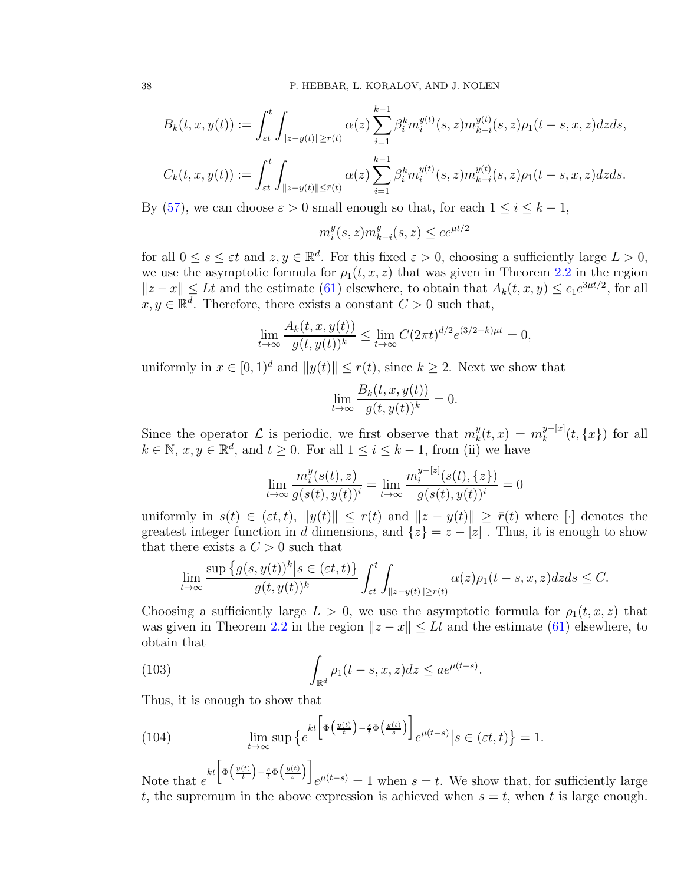$$
B_k(t, x, y(t)) := \int_{\varepsilon t}^t \int_{\|z - y(t)\| \ge \bar{r}(t)} \alpha(z) \sum_{i=1}^{k-1} \beta_i^k m_i^{y(t)}(s, z) m_{k-i}^{y(t)}(s, z) \rho_1(t - s, x, z) dz ds,
$$

$$
C_k(t, x, y(t)) := \int_{\varepsilon t}^t \int_{\|z - y(t)\| \leq \bar{r}(t)} \alpha(z) \sum_{i=1}^{k-1} \beta_i^k m_i^{y(t)}(s, z) m_{k-i}^{y(t)}(s, z) \rho_1(t - s, x, z) dz ds.
$$

By [\(57\)](#page-18-2), we can choose  $\varepsilon > 0$  small enough so that, for each  $1 \leq i \leq k-1$ ,

$$
m_i^y(s, z) m_{k-i}^y(s, z) \le ce^{\mu t/2}
$$

for all  $0 \le s \le \varepsilon t$  and  $z, y \in \mathbb{R}^d$ . For this fixed  $\varepsilon > 0$ , choosing a sufficiently large  $L > 0$ , we use the asymptotic formula for  $\rho_1(t, x, z)$  that was given in Theorem [2.2](#page-4-2) in the region  $||z-x|| \leq Lt$  and the estimate [\(61\)](#page-19-2) elsewhere, to obtain that  $A_k(t, x, y) \leq c_1e^{3\mu t/2}$ , for all  $x, y \in \mathbb{R}^d$ . Therefore, there exists a constant  $C > 0$  such that,

$$
\lim_{t \to \infty} \frac{A_k(t, x, y(t))}{g(t, y(t))^k} \le \lim_{t \to \infty} C(2\pi t)^{d/2} e^{(3/2 - k)\mu t} = 0,
$$

uniformly in  $x \in [0, 1]^d$  and  $||y(t)|| \le r(t)$ , since  $k \ge 2$ . Next we show that

$$
\lim_{t \to \infty} \frac{B_k(t, x, y(t))}{g(t, y(t))^k} = 0.
$$

Since the operator  $\mathcal L$  is periodic, we first observe that  $m_k^y$  $k_t^y(t,x) = m_k^{y-[x]}(t,\{x\})$  for all  $k \in \mathbb{N}, x, y \in \mathbb{R}^d$ , and  $t \geq 0$ . For all  $1 \leq i \leq k-1$ , from (ii) we have

$$
\lim_{t \to \infty} \frac{m_i^y(s(t), z)}{g(s(t), y(t))^i} = \lim_{t \to \infty} \frac{m_i^{y-[z]}(s(t), \{z\})}{g(s(t), y(t))^i} = 0
$$

uniformly in  $s(t) \in (\varepsilon t, t)$ ,  $||y(t)|| \leq r(t)$  and  $||z - y(t)|| \geq \overline{r}(t)$  where [·] denotes the greatest integer function in d dimensions, and  $\{z\} = z - \lfloor z \rfloor$ . Thus, it is enough to show that there exists a  $C > 0$  such that

$$
\lim_{t \to \infty} \frac{\sup \{g(s, y(t))^k \mid s \in (\varepsilon t, t)\}}{g(t, y(t))^k} \int_{\varepsilon t}^t \int_{\|z - y(t)\| \ge \bar{r}(t)} \alpha(z) \rho_1(t - s, x, z) dz ds \le C.
$$

Choosing a sufficiently large  $L > 0$ , we use the asymptotic formula for  $\rho_1(t, x, z)$  that was given in Theorem [2.2](#page-4-2) in the region  $||z - x|| \leq Lt$  and the estimate [\(61\)](#page-19-2) elsewhere, to obtain that

.

(103) 
$$
\int_{\mathbb{R}^d} \rho_1(t-s,x,z) dz \le a e^{\mu(t-s)}
$$

Thus, it is enough to show that

<span id="page-37-0"></span>(104) 
$$
\lim_{t \to \infty} \sup \left\{ e^{kt \left[ \Phi \left( \frac{y(t)}{t} \right) - \frac{s}{t} \Phi \left( \frac{y(t)}{s} \right) \right]} e^{\mu(t-s)} \middle| s \in (\varepsilon t, t) \right\} = 1.
$$

Note that  $e$  $kt\left[\Phi\left(\frac{y(t)}{t}\right)-\frac{s}{t}\Phi\left(\frac{y(t)}{s}\right)\right]$  $e^{\mu(t-s)} = 1$  when  $s = t$ . We show that, for sufficiently large t, the supremum in the above expression is achieved when  $s = t$ , when t is large enough.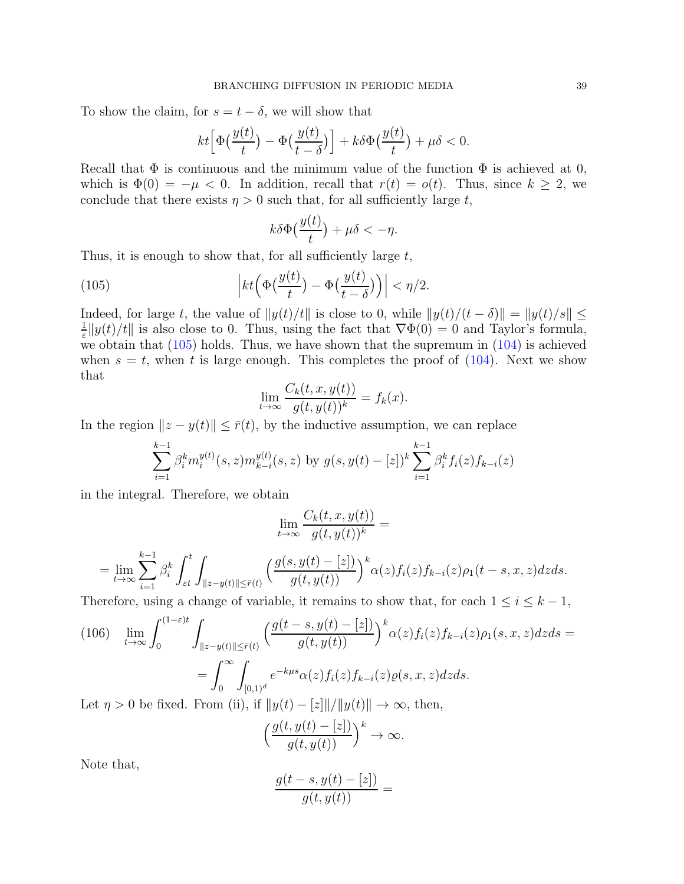To show the claim, for  $s = t - \delta$ , we will show that

$$
kt\Big[\Phi\big(\frac{y(t)}{t}\big) - \Phi\big(\frac{y(t)}{t-\delta}\big)\Big] + k\delta\Phi\big(\frac{y(t)}{t}\big) + \mu\delta < 0.
$$

Recall that  $\Phi$  is continuous and the minimum value of the function  $\Phi$  is achieved at 0, which is  $\Phi(0) = -\mu < 0$ . In addition, recall that  $r(t) = o(t)$ . Thus, since  $k \geq 2$ , we conclude that there exists  $\eta > 0$  such that, for all sufficiently large t,

<span id="page-38-0"></span>
$$
k\delta\Phi\big(\frac{y(t)}{t}\big)+\mu\delta<-\eta.
$$

Thus, it is enough to show that, for all sufficiently large  $t$ ,

(105) 
$$
\left|kt\left(\Phi\left(\frac{y(t)}{t}\right) - \Phi\left(\frac{y(t)}{t-\delta}\right)\right)\right| < \eta/2.
$$

Indeed, for large t, the value of  $||y(t)/t||$  is close to 0, while  $||y(t)/(t - \delta)|| = ||y(t)/s|| \le$ 1  $\frac{1}{\varepsilon} \|y(t)/t\|$  is also close to 0. Thus, using the fact that  $\nabla \Phi(0) = 0$  and Taylor's formula, we obtain that  $(105)$  holds. Thus, we have shown that the supremum in  $(104)$  is achieved when  $s = t$ , when t is large enough. This completes the proof of  $(104)$ . Next we show that

$$
\lim_{t \to \infty} \frac{C_k(t, x, y(t))}{g(t, y(t))^k} = f_k(x).
$$

In the region  $||z - y(t)|| \leq \bar{r}(t)$ , by the inductive assumption, we can replace

$$
\sum_{i=1}^{k-1} \beta_i^k m_i^{y(t)}(s, z) m_{k-i}^{y(t)}(s, z) \text{ by } g(s, y(t) - [z])^k \sum_{i=1}^{k-1} \beta_i^k f_i(z) f_{k-i}(z)
$$

in the integral. Therefore, we obtain

$$
\lim_{t \to \infty} \frac{C_k(t, x, y(t))}{g(t, y(t))^k} =
$$

$$
=\lim_{t\to\infty}\sum_{i=1}^{k-1}\beta_i^k\int_{\varepsilon t}^t\int_{\|z-y(t)\|\leq \bar r(t)}\Big(\frac{g(s,y(t)-[z])}{g(t,y(t))}\Big)^k\alpha(z)f_i(z)f_{k-i}(z)\rho_1(t-s,x,z)dzds.
$$

Therefore, using a change of variable, it remains to show that, for each  $1 \leq i \leq k-1$ ,

$$
(106)\quad \lim_{t\to\infty} \int_0^{(1-\varepsilon)t} \int_{\|z-y(t)\| \leq \bar{r}(t)} \left(\frac{g(t-s,y(t)-[z])}{g(t,y(t))}\right)^k \alpha(z) f_i(z) f_{k-i}(z) \rho_1(s,x,z) dz ds =
$$
\n
$$
= \int_0^{\infty} \int_{[0,1)^d} e^{-k\mu s} \alpha(z) f_i(z) f_{k-i}(z) \varrho(s,x,z) dz ds.
$$
\nLet  $n > 0$  be fixed. From (ii) if  $||u(t) - [x||/||u(t)|| \to \infty$ , then

Let  $\eta > 0$  be fixed. From (ii), if  $||y(t) - z|| / ||y(t)|| \rightarrow \infty$ , then,

$$
\left(\frac{g(t,y(t)-[z])}{g(t,y(t))}\right)^k \to \infty.
$$

Note that,

$$
\frac{g(t-s,y(t)-[z])}{g(t,y(t))} =
$$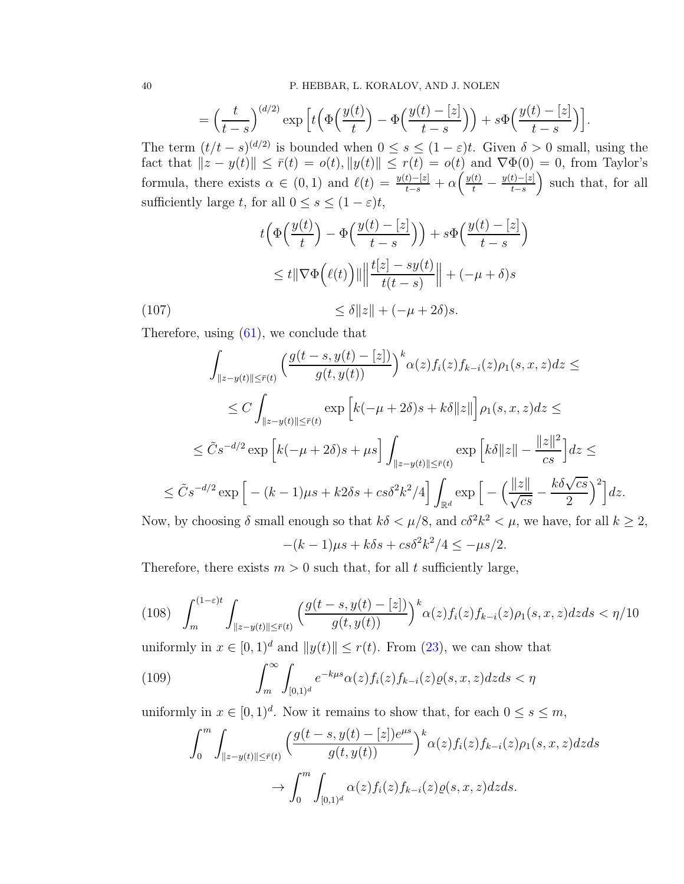$$
= \left(\frac{t}{t-s}\right)^{(d/2)} \exp\left[t\left(\Phi\left(\frac{y(t)}{t}\right) - \Phi\left(\frac{y(t) - [z]}{t-s}\right)\right) + s\Phi\left(\frac{y(t) - [z]}{t-s}\right)\right].
$$

The term  $(t/t - s)^{(d/2)}$  is bounded when  $0 \le s \le (1 - \varepsilon)t$ . Given  $\delta > 0$  small, using the fact that  $||z - y(t)|| \le \overline{r}(t) = o(t), ||y(t)|| \le r(t) = o(t)$  and  $\nabla \Phi(0) = 0$ , from Taylor's formula, there exists  $\alpha \in (0,1)$  and  $\ell(t) = \frac{y(t)-[z]}{t-s} + \alpha \left( \frac{y(t)}{t} - \frac{y(t)-[z]}{t-s} \right)$  $t-s$  such that, for all sufficiently large t, for all  $0 \leq s \leq (1 - \varepsilon)t$ ,

<span id="page-39-0"></span>
$$
t\left(\Phi\left(\frac{y(t)}{t}\right) - \Phi\left(\frac{y(t) - [z]}{t - s}\right)\right) + s\Phi\left(\frac{y(t) - [z]}{t - s}\right)
$$

$$
\leq t\|\nabla\Phi\left(\ell(t)\right)\| \left\|\frac{t[z] - sy(t)}{t(t - s)}\right\| + (-\mu + \delta)s
$$

(107)  $\leq \delta ||z|| + (-\mu + 2\delta)s.$ 

Therefore, using [\(61\)](#page-19-2), we conclude that

$$
\int_{\|z-y(t)\| \leq \bar{r}(t)} \left( \frac{g(t-s, y(t) - [z])}{g(t, y(t))} \right)^k \alpha(z) f_i(z) f_{k-i}(z) \rho_1(s, x, z) dz \leq
$$
\n
$$
\leq C \int_{\|z-y(t)\| \leq \bar{r}(t)} \exp\left[k(-\mu+2\delta)s+k\delta\|z\|\right] \rho_1(s, x, z) dz \leq
$$
\n
$$
\leq \tilde{C} s^{-d/2} \exp\left[k(-\mu+2\delta)s+\mu s\right] \int_{\|z-y(t)\| \leq \bar{r}(t)} \exp\left[k\delta\|z\| - \frac{\|z\|^2}{cs}\right] dz \leq
$$
\n
$$
\leq \tilde{C} s^{-d/2} \exp\left[-(k-1)\mu s + k2\delta s + cs\delta^2 k^2/4\right] \int_{\mathbb{R}^d} \exp\left[-\left(\frac{\|z\|}{\sqrt{cs}} - \frac{k\delta\sqrt{cs}}{2}\right)^2\right] dz.
$$
\nNow, by choosing  $\delta$  small enough so that  $k\delta < \mu/8$ , and  $c\delta^2 k^2 < \mu$ , we have, for all  $k \geq 2$ ,

$$
-(k-1)\mu s + k\delta s + cs\delta^2 k^2/4 \le -\mu s/2.
$$

Therefore, there exists  $m > 0$  such that, for all t sufficiently large,

<span id="page-39-1"></span>
$$
(108)\quad \int_{m}^{(1-\varepsilon)t} \int_{\|z-y(t)\| \leq \bar{r}(t)} \left( \frac{g(t-s, y(t)-[z])}{g(t, y(t))} \right)^{k} \alpha(z) f_i(z) f_{k-i}(z) \rho_1(s, x, z) dz ds < \eta/10
$$

uniformly in  $x \in [0, 1]^d$  and  $||y(t)|| \le r(t)$ . From [\(23\)](#page-7-3), we can show that

(109) 
$$
\int_{m}^{\infty} \int_{[0,1)^d} e^{-k\mu s} \alpha(z) f_i(z) f_{k-i}(z) \varrho(s,x,z) dz ds < \eta
$$

uniformly in  $x \in [0, 1)^d$ . Now it remains to show that, for each  $0 \le s \le m$ ,

<span id="page-39-2"></span>
$$
\int_0^m \int_{\|z-y(t)\| \leq \bar{r}(t)} \left( \frac{g(t-s, y(t) - [z])e^{\mu s}}{g(t, y(t))} \right)^k \alpha(z) f_i(z) f_{k-i}(z) \rho_1(s, x, z) dz ds
$$

$$
\to \int_0^m \int_{[0,1)^d} \alpha(z) f_i(z) f_{k-i}(z) \varrho(s, x, z) dz ds.
$$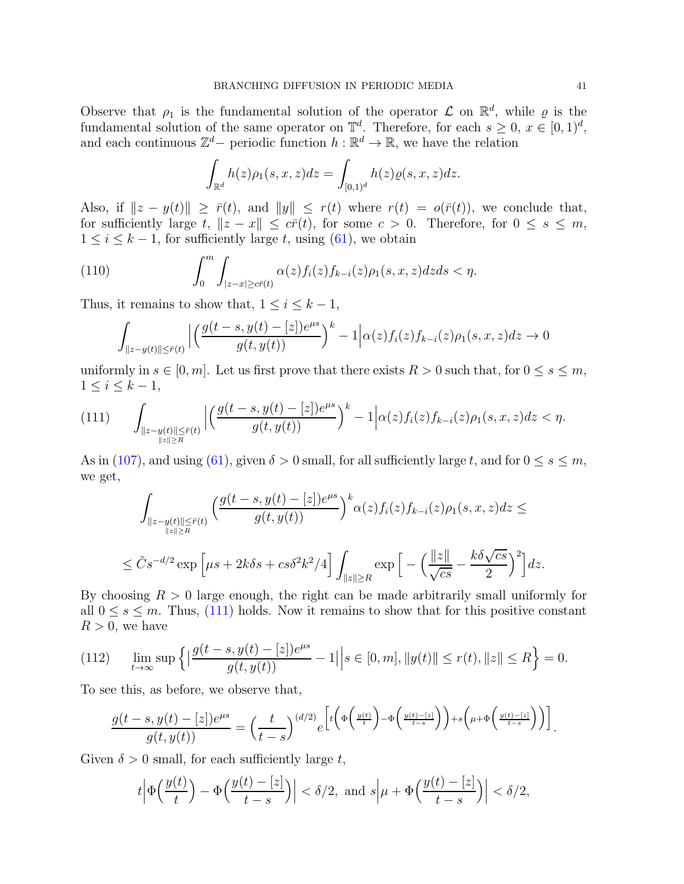Observe that  $\rho_1$  is the fundamental solution of the operator  $\mathcal L$  on  $\mathbb R^d$ , while  $\varrho$  is the fundamental solution of the same operator on  $\mathbb{T}^d$ . Therefore, for each  $s \geq 0$ ,  $x \in [0, 1)^d$ , and each continuous  $\mathbb{Z}^d$  – periodic function  $h : \mathbb{R}^d \to \mathbb{R}$ , we have the relation

$$
\int_{\mathbb{R}^d} h(z)\rho_1(s,x,z)dz = \int_{[0,1)^d} h(z)\varrho(s,x,z)dz.
$$

Also, if  $||z - y(t)|| \geq \bar{r}(t)$ , and  $||y|| \leq r(t)$  where  $r(t) = o(\bar{r}(t))$ , we conclude that, for sufficiently large t,  $||z - x|| \leq c\bar{r}(t)$ , for some  $c > 0$ . Therefore, for  $0 \leq s \leq m$ ,  $1 \leq i \leq k-1$ , for sufficiently large t, using [\(61\)](#page-19-2), we obtain

(110) 
$$
\int_0^m \int_{|z-x| \ge c\overline{r}(t)} \alpha(z) f_i(z) f_{k-i}(z) \rho_1(s,x,z) dz ds < \eta.
$$

Thus, it remains to show that,  $1 \leq i \leq k-1$ ,

<span id="page-40-1"></span>
$$
\int_{\|z-y(t)\| \le \bar{r}(t)} \Big| \Big( \frac{g(t-s, y(t) - [z])e^{\mu s}}{g(t, y(t))} \Big)^k - 1 \Big| \alpha(z) f_i(z) f_{k-i}(z) \rho_1(s, x, z) dz \to 0
$$

uniformly in  $s \in [0, m]$ . Let us first prove that there exists  $R > 0$  such that, for  $0 \le s \le m$ ,  $1 \leq i \leq k-1$ ,

<span id="page-40-0"></span>
$$
(111) \qquad \int_{\substack{\|z-y(t)\| \leq \bar{r}(t) \\ \|z\| \geq R}} \left| \left( \frac{g(t-s,y(t)-[z])e^{\mu s}}{g(t,y(t))} \right)^k - 1 \right| \alpha(z) f_i(z) f_{k-i}(z) \rho_1(s,x,z) dz < \eta.
$$

As in [\(107\)](#page-39-0), and using [\(61\)](#page-19-2), given  $\delta > 0$  small, for all sufficiently large t, and for  $0 \le s \le m$ , we get,

$$
\int_{\|z-y(t)\| \le \bar{r}(t)} \left( \frac{g(t-s, y(t)-[z])e^{\mu s}}{g(t, y(t))} \right)^k \alpha(z) f_i(z) f_{k-i}(z) \rho_1(s, x, z) dz \le
$$
  

$$
\le \tilde{C} s^{-d/2} \exp \left[ \mu s + 2k \delta s + c s \delta^2 k^2 / 4 \right] \int_{\|z\| \ge R} \exp \left[ - \left( \frac{\|z\|}{\sqrt{cs}} - \frac{k \delta \sqrt{cs}}{2} \right)^2 \right] dz.
$$

By choosing  $R > 0$  large enough, the right can be made arbitrarily small uniformly for all  $0 \leq s \leq m$ . Thus, [\(111\)](#page-40-0) holds. Now it remains to show that for this positive constant  $R > 0$ , we have

(112) 
$$
\lim_{t \to \infty} \sup \left\{ \left| \frac{g(t-s, y(t) - [z])e^{\mu s}}{g(t, y(t))} - 1 \right| \right| s \in [0, m], ||y(t)|| \le r(t), ||z|| \le R \right\} = 0.
$$

To see this, as before, we observe that,

$$
\frac{g(t-s,y(t)-[z])e^{\mu s}}{g(t,y(t))}=\left(\frac{t}{t-s}\right)^{(d/2)}e^{\left[t\left(\Phi\left(\frac{y(t)}{t}\right)-\Phi\left(\frac{y(t)-[z]}{t-s}\right)\right)+s\left(\mu+\Phi\left(\frac{y(t)-[z]}{t-s}\right)\right)\right]}.
$$

Given  $\delta > 0$  small, for each sufficiently large t,

$$
t\left|\Phi\left(\frac{y(t)}{t}\right)-\Phi\left(\frac{y(t)-[z]}{t-s}\right)\right|<\delta/2,\text{ and }s\left|\mu+\Phi\left(\frac{y(t)-[z]}{t-s}\right)\right|<\delta/2,
$$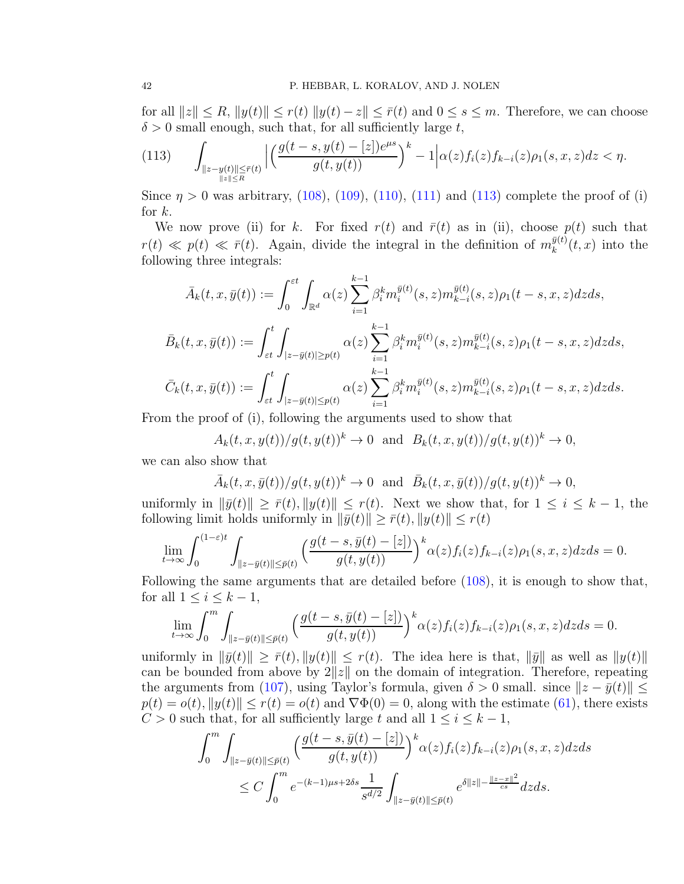for all  $||z|| \leq R$ ,  $||y(t)|| \leq r(t) ||y(t) - z|| \leq \overline{r}(t)$  and  $0 \leq s \leq m$ . Therefore, we can choose  $\delta > 0$  small enough, such that, for all sufficiently large t,

<span id="page-41-0"></span>
$$
(113)\qquad \int_{\substack{\|z-y(t)\| \leq \bar{r}(t) \\ \|z\| \leq R}} \left| \left( \frac{g(t-s,y(t)-[z])e^{\mu s}}{g(t,y(t))} \right)^k - 1 \right| \alpha(z) f_i(z) f_{k-i}(z) \rho_1(s,x,z) dz < \eta.
$$

Since  $\eta > 0$  was arbitrary, [\(108\)](#page-39-1), [\(109\)](#page-39-2), [\(110\)](#page-40-1), [\(111\)](#page-40-0) and [\(113\)](#page-41-0) complete the proof of (i) for  $k$ .

We now prove (ii) for k. For fixed  $r(t)$  and  $\bar{r}(t)$  as in (ii), choose  $p(t)$  such that  $r(t) \ll p(t) \ll \bar{r}(t)$ . Again, divide the integral in the definition of  $m_k^{\bar{y}(t)}$  $_{k}^{y(t)}(t,x)$  into the following three integrals:

$$
\bar{A}_k(t, x, \bar{y}(t)) := \int_0^{\epsilon t} \int_{\mathbb{R}^d} \alpha(z) \sum_{i=1}^{k-1} \beta_i^k m_i^{\bar{y}(t)}(s, z) m_{k-i}^{\bar{y}(t)}(s, z) \rho_1(t-s, x, z) dz ds,
$$
\n
$$
\bar{B}_k(t, x, \bar{y}(t)) := \int_{\epsilon t}^t \int_{|z-\bar{y}(t)| \ge p(t)} \alpha(z) \sum_{i=1}^{k-1} \beta_i^k m_i^{\bar{y}(t)}(s, z) m_{k-i}^{\bar{y}(t)}(s, z) \rho_1(t-s, x, z) dz ds,
$$
\n
$$
\bar{C}_k(t, x, \bar{y}(t)) := \int_{\epsilon t}^t \int_{|z-\bar{y}(t)| \le p(t)} \alpha(z) \sum_{i=1}^{k-1} \beta_i^k m_i^{\bar{y}(t)}(s, z) m_{k-i}^{\bar{y}(t)}(s, z) \rho_1(t-s, x, z) dz ds.
$$

From the proof of (i), following the arguments used to show that

 $A_k(t, x, y(t))/g(t, y(t))^k \to 0$  and  $B_k(t, x, y(t))/g(t, y(t))^k \to 0$ ,

we can also show that

 $\bar{A}_k(t, x, \bar{y}(t))/g(t, y(t))^k \to 0 \text{ and } \bar{B}_k(t, x, \bar{y}(t))/g(t, y(t))^k \to 0,$ 

uniformly in  $\|\bar{y}(t)\| \geq \bar{r}(t), \|y(t)\| \leq r(t)$ . Next we show that, for  $1 \leq i \leq k-1$ , the following limit holds uniformly in  $\|\bar{y}(t)\| \geq \bar{r}(t), \|y(t)\| \leq r(t)$ 

$$
\lim_{t \to \infty} \int_0^{(1-\varepsilon)t} \int_{\|z - \bar{y}(t)\| \le \bar{p}(t)} \left( \frac{g(t-s, \bar{y}(t) - [z])}{g(t, y(t))} \right)^k \alpha(z) f_i(z) f_{k-i}(z) \rho_1(s, x, z) dz ds = 0.
$$

Following the same arguments that are detailed before [\(108\)](#page-39-1), it is enough to show that, for all  $1 \leq i \leq k-1$ ,

$$
\lim_{t \to \infty} \int_0^m \int_{\|z - \bar{y}(t)\| \le \bar{p}(t)} \left( \frac{g(t - s, \bar{y}(t) - [z])}{g(t, y(t))} \right)^k \alpha(z) f_i(z) f_{k-i}(z) \rho_1(s, x, z) dz ds = 0.
$$

uniformly in  $\|\bar{y}(t)\| \geq \bar{r}(t), \|y(t)\| \leq r(t)$ . The idea here is that,  $\|\bar{y}\|$  as well as  $\|y(t)\|$ can be bounded from above by  $2||z||$  on the domain of integration. Therefore, repeating the arguments from [\(107\)](#page-39-0), using Taylor's formula, given  $\delta > 0$  small. since  $||z - \bar{y}(t)||$  ≤  $p(t) = o(t), ||y(t)|| \leq r(t) = o(t)$  and  $\nabla \Phi(0) = 0$ , along with the estimate [\(61\)](#page-19-2), there exists  $C > 0$  such that, for all sufficiently large t and all  $1 \leq i \leq k - 1$ ,

$$
\int_0^m \int_{\|z - \bar{y}(t)\| \le \bar{p}(t)} \left( \frac{g(t - s, \bar{y}(t) - [z])}{g(t, y(t))} \right)^k \alpha(z) f_i(z) f_{k-i}(z) \rho_1(s, x, z) dz ds
$$
  

$$
\le C \int_0^m e^{-(k-1)\mu s + 2\delta s} \frac{1}{s^{d/2}} \int_{\|z - \bar{y}(t)\| \le \bar{p}(t)} e^{\delta \|z\| - \frac{\|z - x\|^2}{cs}} dz ds.
$$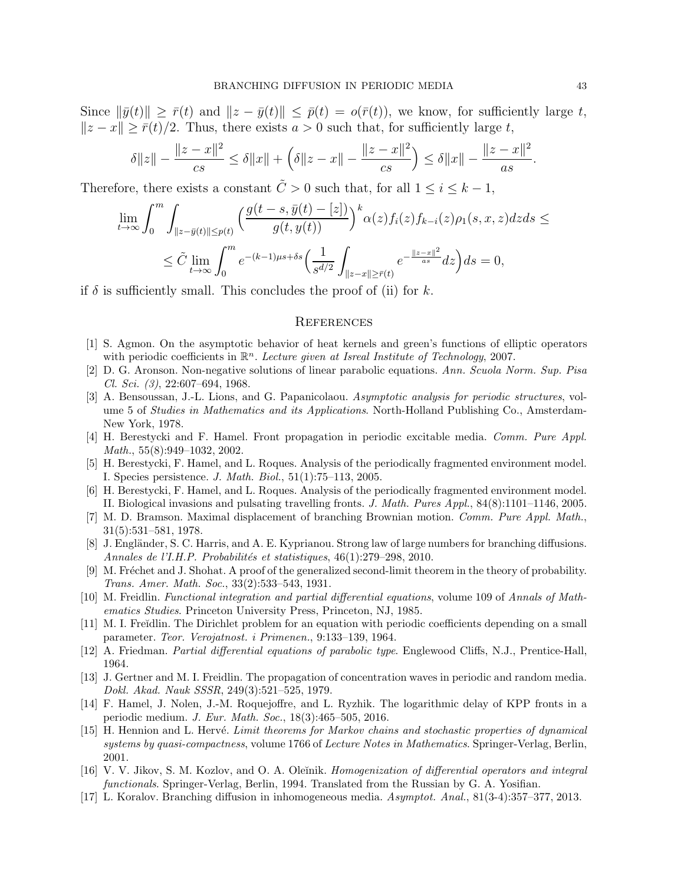Since  $\|\bar{y}(t)\| \geq \bar{r}(t)$  and  $\|z - \bar{y}(t)\| \leq \bar{p}(t) = o(\bar{r}(t))$ , we know, for sufficiently large t,  $||z - x|| \geq \overline{r}(t)/2$ . Thus, there exists  $a > 0$  such that, for sufficiently large t,

$$
\delta ||z|| - \frac{||z - x||^2}{cs} \le \delta ||x|| + \left(\delta ||z - x|| - \frac{||z - x||^2}{cs}\right) \le \delta ||x|| - \frac{||z - x||^2}{as}.
$$

Therefore, there exists a constant  $\tilde{C} > 0$  such that, for all  $1 \leq i \leq k - 1$ ,

$$
\lim_{t \to \infty} \int_0^m \int_{\|z - \bar{y}(t)\| \le p(t)} \left( \frac{g(t - s, \bar{y}(t) - [z])}{g(t, y(t))} \right)^k \alpha(z) f_i(z) f_{k-i}(z) \rho_1(s, x, z) dz ds \le
$$
  

$$
\le \tilde{C} \lim_{t \to \infty} \int_0^m e^{-(k-1)\mu s + \delta s} \left( \frac{1}{s^{d/2}} \int_{\|z - x\| \ge \bar{r}(t)} e^{-\frac{\|z - x\|^2}{as}} dz \right) ds = 0,
$$

if  $\delta$  is sufficiently small. This concludes the proof of (ii) for k.

### **REFERENCES**

- <span id="page-42-4"></span><span id="page-42-3"></span>[1] S. Agmon. On the asymptotic behavior of heat kernels and green's functions of elliptic operators with periodic coefficients in  $\mathbb{R}^n$ . Lecture given at Isreal Institute of Technology, 2007.
- <span id="page-42-12"></span>[2] D. G. Aronson. Non-negative solutions of linear parabolic equations. Ann. Scuola Norm. Sup. Pisa Cl. Sci. (3), 22:607–694, 1968.
- [3] A. Bensoussan, J.-L. Lions, and G. Papanicolaou. Asymptotic analysis for periodic structures, volume 5 of Studies in Mathematics and its Applications. North-Holland Publishing Co., Amsterdam-New York, 1978.
- <span id="page-42-6"></span>[4] H. Berestycki and F. Hamel. Front propagation in periodic excitable media. Comm. Pure Appl. Math., 55(8):949–1032, 2002.
- <span id="page-42-7"></span>[5] H. Berestycki, F. Hamel, and L. Roques. Analysis of the periodically fragmented environment model. I. Species persistence. J. Math. Biol., 51(1):75–113, 2005.
- <span id="page-42-8"></span>[6] H. Berestycki, F. Hamel, and L. Roques. Analysis of the periodically fragmented environment model. II. Biological invasions and pulsating travelling fronts. J. Math. Pures Appl., 84(8):1101–1146, 2005.
- <span id="page-42-10"></span>[7] M. D. Bramson. Maximal displacement of branching Brownian motion. Comm. Pure Appl. Math., 31(5):531–581, 1978.
- <span id="page-42-1"></span>[8] J. Engländer, S. C. Harris, and A. E. Kyprianou. Strong law of large numbers for branching diffusions. Annales de l'I.H.P. Probabilités et statistiques, 46(1):279–298, 2010.
- <span id="page-42-16"></span>[9] M. Fréchet and J. Shohat. A proof of the generalized second-limit theorem in the theory of probability. Trans. Amer. Math. Soc., 33(2):533–543, 1931.
- <span id="page-42-0"></span>[10] M. Freidlin. Functional integration and partial differential equations, volume 109 of Annals of Mathematics Studies. Princeton University Press, Princeton, NJ, 1985.
- <span id="page-42-11"></span>[11] M. I. Freĭdlin. The Dirichlet problem for an equation with periodic coefficients depending on a small parameter. Teor. Verojatnost. i Primenen., 9:133–139, 1964.
- <span id="page-42-14"></span><span id="page-42-5"></span>[12] A. Friedman. Partial differential equations of parabolic type. Englewood Cliffs, N.J., Prentice-Hall, 1964.
- [13] J. Gertner and M. I. Freidlin. The propagation of concentration waves in periodic and random media. Dokl. Akad. Nauk SSSR, 249(3):521–525, 1979.
- <span id="page-42-9"></span>[14] F. Hamel, J. Nolen, J.-M. Roquejoffre, and L. Ryzhik. The logarithmic delay of KPP fronts in a periodic medium. J. Eur. Math. Soc., 18(3):465–505, 2016.
- <span id="page-42-15"></span>[15] H. Hennion and L. Hervé. Limit theorems for Markov chains and stochastic properties of dynamical systems by quasi-compactness, volume 1766 of Lecture Notes in Mathematics. Springer-Verlag, Berlin, 2001.
- <span id="page-42-13"></span>[16] V. V. Jikov, S. M. Kozlov, and O. A. Oleĭnik. Homogenization of differential operators and integral functionals. Springer-Verlag, Berlin, 1994. Translated from the Russian by G. A. Yosifian.
- <span id="page-42-2"></span>[17] L. Koralov. Branching diffusion in inhomogeneous media. Asymptot. Anal., 81(3-4):357–377, 2013.